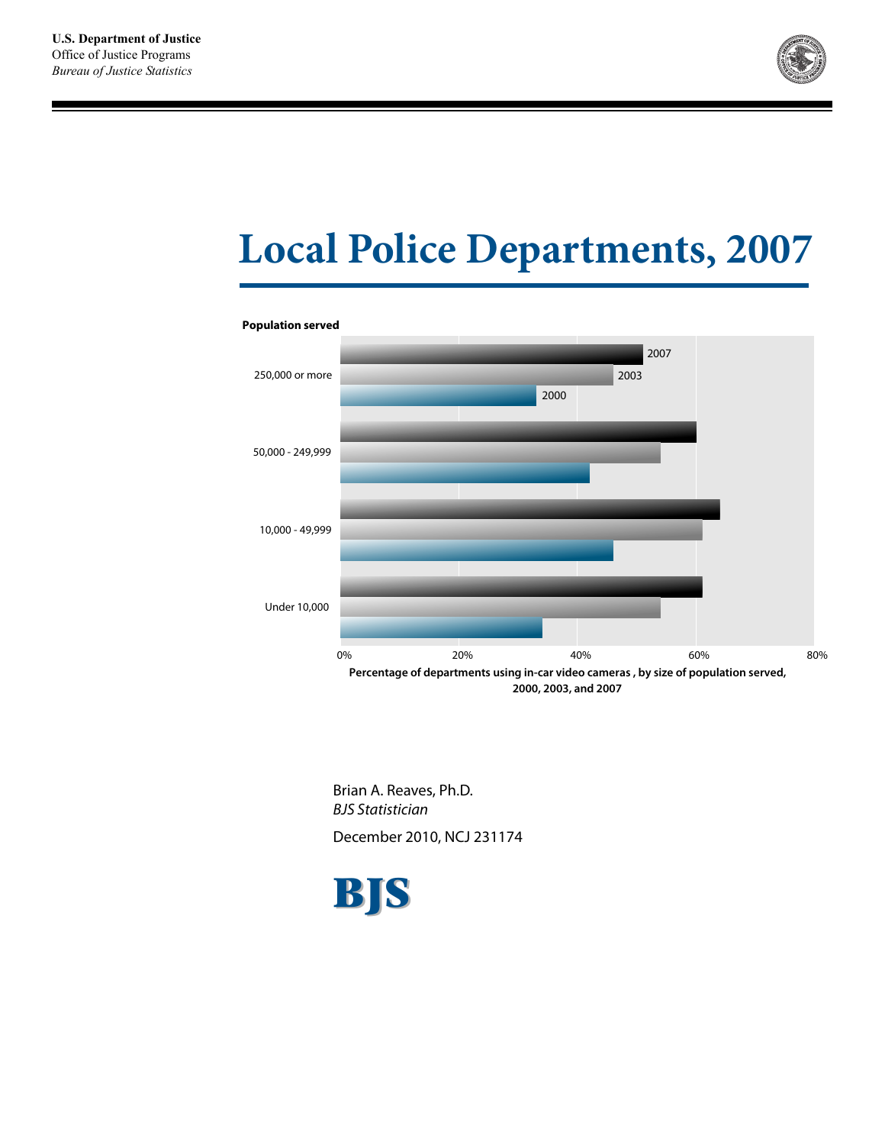

# **Local Police Departments, 2007**



## **Population served**

Brian A. Reaves, Ph.D. BJS Statistician

December 2010, NCJ 231174

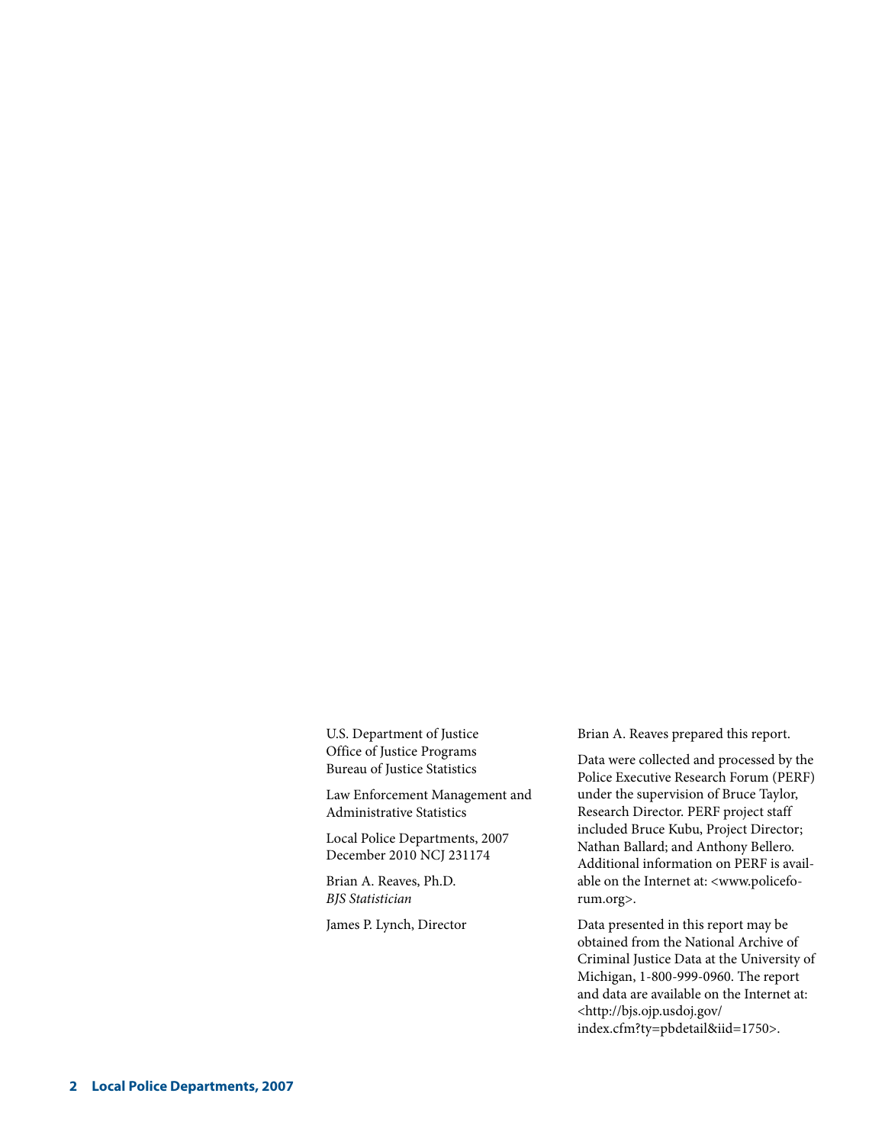U.S. Department of Justice Office of Justice Programs Bureau of Justice Statistics

Law Enforcement Management and Administrative Statistics

Local Police Departments, 2007 December 2010 NCJ 231174

Brian A. Reaves, Ph.D. *BJS Statistician* 

James P. Lynch, Director

Brian A. Reaves prepared this report.

Data were collected and processed by the Police Executive Research Forum (PERF) under the supervision of Bruce Taylor, Research Director. PERF project staff included Bruce Kubu, Project Director; Nathan Ballard; and Anthony Bellero. Additional information on PERF is available on the Internet at: <www.policeforum.org>.

Data presented in this report may be obtained from the National Archive of Criminal Justice Data at the University of Michigan, 1-800-999-0960. The report and data are available on the Internet at: <http://bjs.ojp.usdoj.gov/ index.cfm?ty=pbdetail&iid=1750>.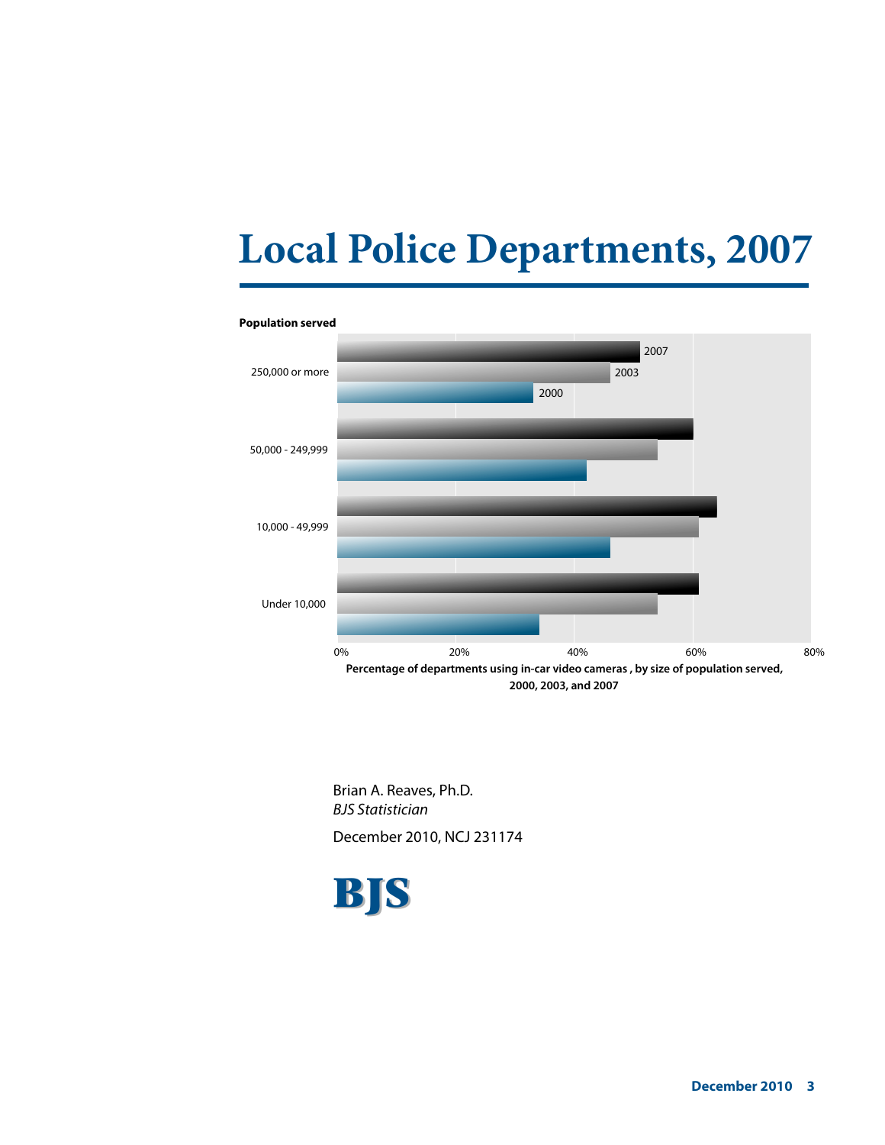# **Local Police Departments, 2007**



#### **Population served**

Brian A. Reaves, Ph.D. BJS Statistician

December 2010, NCJ 231174

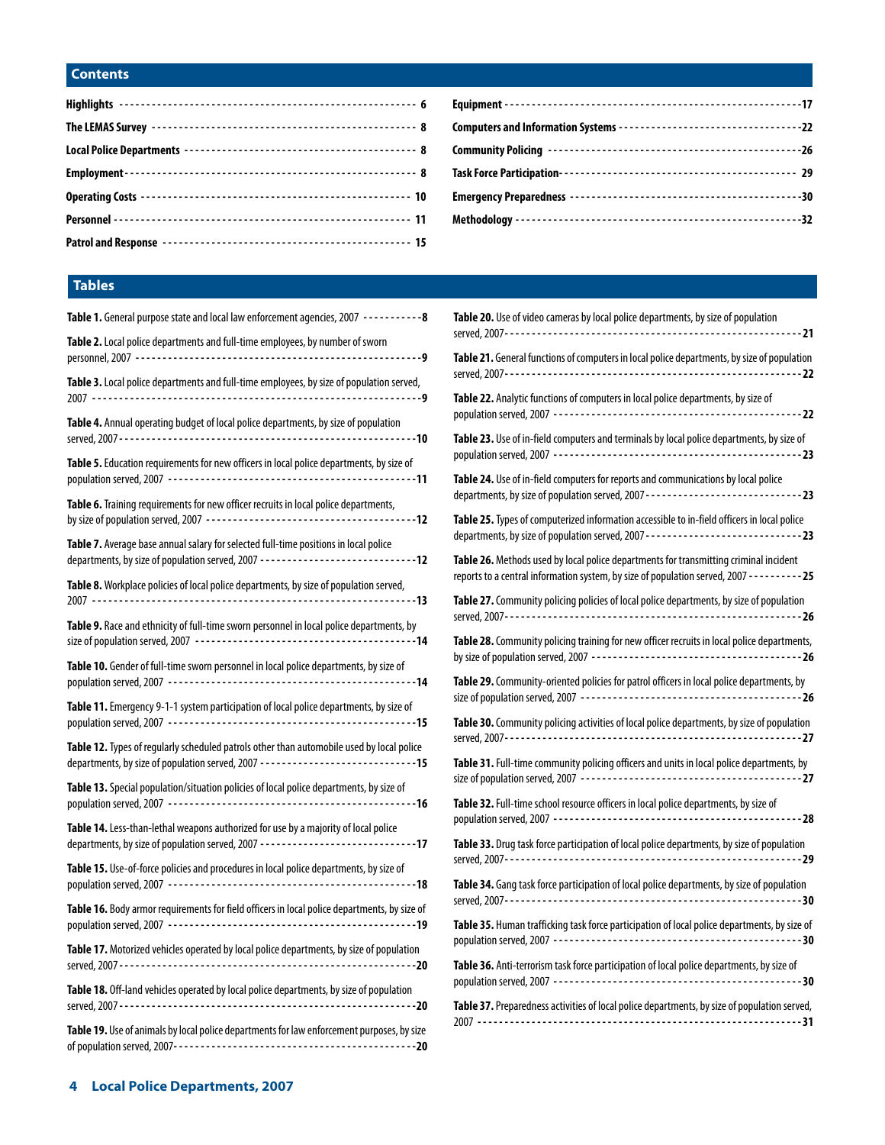# **Contents**

# **Tables**

| Table 1. General purpose state and local law enforcement agencies, 2007 -----------8                                                                                           |
|--------------------------------------------------------------------------------------------------------------------------------------------------------------------------------|
| Table 2. Local police departments and full-time employees, by number of sworn                                                                                                  |
| Table 3. Local police departments and full-time employees, by size of population served,                                                                                       |
| Table 4. Annual operating budget of local police departments, by size of population                                                                                            |
| Table 5. Education requirements for new officers in local police departments, by size of                                                                                       |
| Table 6. Training requirements for new officer recruits in local police departments,                                                                                           |
| Table 7. Average base annual salary for selected full-time positions in local police                                                                                           |
| Table 8. Workplace policies of local police departments, by size of population served,                                                                                         |
| Table 9. Race and ethnicity of full-time sworn personnel in local police departments, by                                                                                       |
| Table 10. Gender of full-time sworn personnel in local police departments, by size of                                                                                          |
| Table 11. Emergency 9-1-1 system participation of local police departments, by size of                                                                                         |
| Table 12. Types of regularly scheduled patrols other than automobile used by local police<br>departments, by size of population served, 2007 -------------------------------15 |
| Table 13. Special population/situation policies of local police departments, by size of                                                                                        |
| Table 14. Less-than-lethal weapons authorized for use by a majority of local police<br>departments, by size of population served, 2007 ------------------------------17        |
| Table 15. Use-of-force policies and procedures in local police departments, by size of                                                                                         |
| Table 16. Body armor requirements for field officers in local police departments, by size of                                                                                   |
| <b>Table 17.</b> Motorized vehicles operated by local police departments, by size of population                                                                                |
| Table 18. Off-land vehicles operated by local police departments, by size of population                                                                                        |
| Table 19. Use of animals by local police departments for law enforcement purposes, by size                                                                                     |

| Table 20. Use of video cameras by local police departments, by size of population                                                                                                         |
|-------------------------------------------------------------------------------------------------------------------------------------------------------------------------------------------|
| Table 21. General functions of computers in local police departments, by size of population                                                                                               |
| Table 22. Analytic functions of computers in local police departments, by size of                                                                                                         |
| Table 23. Use of in-field computers and terminals by local police departments, by size of                                                                                                 |
| Table 24. Use of in-field computers for reports and communications by local police<br>departments, by size of population served, 2007 -----------------------------23                     |
| Table 25. Types of computerized information accessible to in-field officers in local police                                                                                               |
| Table 26. Methods used by local police departments for transmitting criminal incident<br>reports to a central information system, by size of population served, 2007 - - - - - - - - - 25 |
| Table 27. Community policing policies of local police departments, by size of population                                                                                                  |
| Table 28. Community policing training for new officer recruits in local police departments,                                                                                               |
| Table 29. Community-oriented policies for patrol officers in local police departments, by                                                                                                 |
| Table 30. Community policing activities of local police departments, by size of population                                                                                                |
| Table 31. Full-time community policing officers and units in local police departments, by                                                                                                 |
| Table 32. Full-time school resource officers in local police departments, by size of                                                                                                      |
| Table 33. Drug task force participation of local police departments, by size of population                                                                                                |
| Table 34. Gang task force participation of local police departments, by size of population                                                                                                |
| Table 35. Human trafficking task force participation of local police departments, by size of                                                                                              |
| Table 36. Anti-terrorism task force participation of local police departments, by size of                                                                                                 |
| Table 37. Preparedness activities of local police departments, by size of population served,                                                                                              |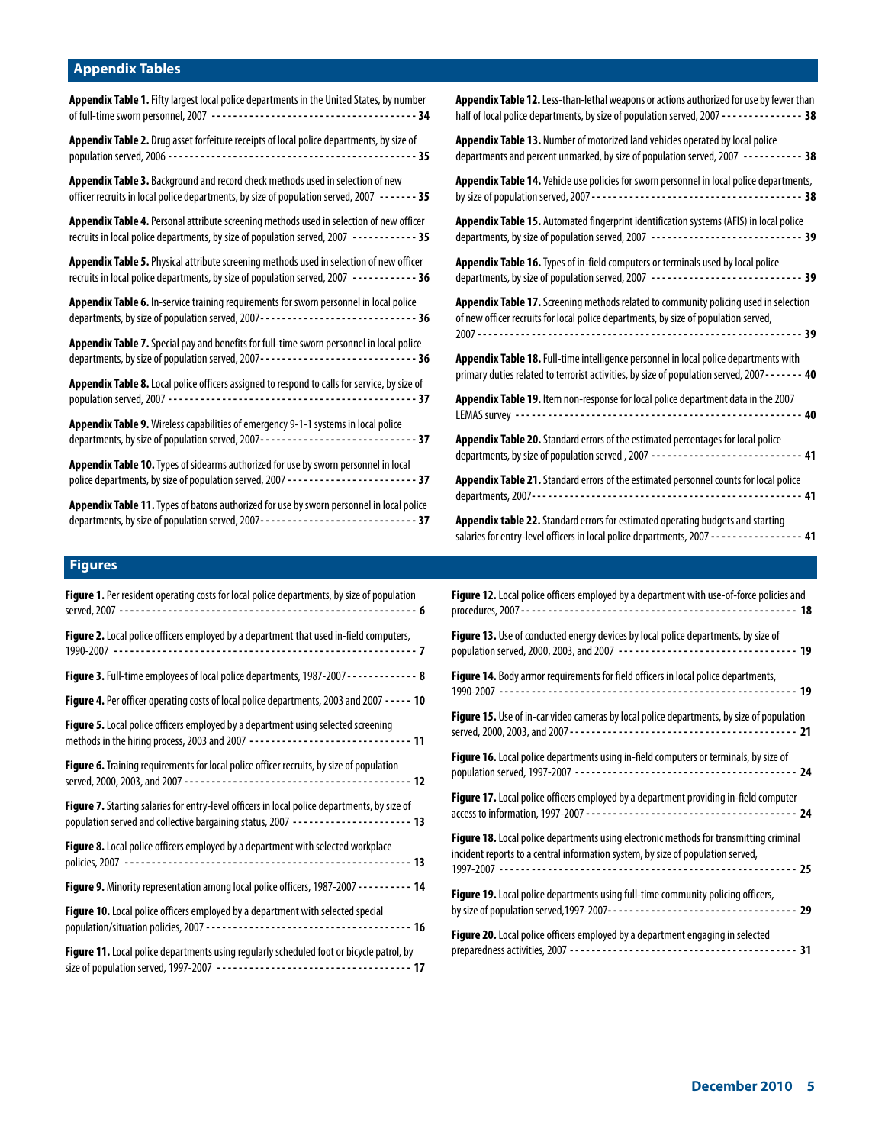# **Appendix Tables**

| <b>Appendix Table 1.</b> Fifty largest local police departments in the United States, by number                                                                                            |
|--------------------------------------------------------------------------------------------------------------------------------------------------------------------------------------------|
| Appendix Table 2. Drug asset forfeiture receipts of local police departments, by size of                                                                                                   |
| Appendix Table 3. Background and record check methods used in selection of new<br>officer recruits in local police departments, by size of population served, 2007 ------- 35              |
| Appendix Table 4. Personal attribute screening methods used in selection of new officer<br>recruits in local police departments, by size of population served, 2007 ------------ 35        |
| <b>Appendix Table 5.</b> Physical attribute screening methods used in selection of new officer<br>recruits in local police departments, by size of population served, 2007 ------------ 36 |
| Appendix Table 6. In-service training requirements for sworn personnel in local police<br>departments, by size of population served, 2007------------------------------ 36                 |
| Appendix Table 7. Special pay and benefits for full-time sworn personnel in local police                                                                                                   |
| Appendix Table 8. Local police officers assigned to respond to calls for service, by size of                                                                                               |
| Appendix Table 9. Wireless capabilities of emergency 9-1-1 systems in local police<br>departments, by size of population served, 2007------------------------------- 37                    |
| Appendix Table 10. Types of sidearms authorized for use by sworn personnel in local                                                                                                        |
| Appendix Table 11. Types of batons authorized for use by sworn personnel in local police<br>departments, by size of population served, 2007------------------------------- 37              |

| Appendix Table 12. Less-than-lethal weapons or actions authorized for use by fewer than<br>half of local police departments, by size of population served, 2007 - - - - - - - - - - - - - - - 38 |  |
|--------------------------------------------------------------------------------------------------------------------------------------------------------------------------------------------------|--|
| Appendix Table 13. Number of motorized land vehicles operated by local police<br>departments and percent unmarked, by size of population served, 2007 ---------- 38                              |  |
| Appendix Table 14. Vehicle use policies for sworn personnel in local police departments,                                                                                                         |  |
| Appendix Table 15. Automated fingerprint identification systems (AFIS) in local police<br>departments, by size of population served, 2007 ----------------------------- 39                       |  |
| Appendix Table 16. Types of in-field computers or terminals used by local police<br>departments, by size of population served, 2007 ----------------------------- 39                             |  |
| Appendix Table 17. Screening methods related to community policing used in selection<br>of new officer recruits for local police departments, by size of population served,                      |  |
| Appendix Table 18. Full-time intelligence personnel in local police departments with<br>primary duties related to terrorist activities, by size of population served, 2007 - - - - - - 40        |  |
| Appendix Table 19. Item non-response for local police department data in the 2007                                                                                                                |  |
| Appendix Table 20. Standard errors of the estimated percentages for local police<br>departments, by size of population served, 2007 ---------------------------- 41                              |  |
| Appendix Table 21. Standard errors of the estimated personnel counts for local police                                                                                                            |  |
| <b>Appendix table 22.</b> Standard errors for estimated operating budgets and starting<br>salaries for entry-level officers in local police departments, 2007 - - - - - - - - - - - - - - - - 41 |  |

# **Figures**

| Figure 1. Per resident operating costs for local police departments, by size of population                                                                                                 |
|--------------------------------------------------------------------------------------------------------------------------------------------------------------------------------------------|
| Figure 2. Local police officers employed by a department that used in-field computers,                                                                                                     |
| Figure 3. Full-time employees of local police departments, 1987-2007 - - - - - - - - - - - - 8                                                                                             |
| Figure 4. Per officer operating costs of local police departments, 2003 and 2007 - - - - - 10                                                                                              |
| <b>Figure 5.</b> Local police officers employed by a department using selected screening<br>methods in the hiring process, 2003 and 2007 --------------------------------- 11              |
| Figure 6. Training requirements for local police officer recruits, by size of population                                                                                                   |
| <b>Figure 7.</b> Starting salaries for entry-level officers in local police departments, by size of<br>population served and collective bargaining status, 2007 ----------------------- 13 |
| Figure 8. Local police officers employed by a department with selected workplace                                                                                                           |
| <b>Figure 9.</b> Minority representation among local police officers, 1987-2007 - - - - - - - - - 14                                                                                       |
| Figure 10. Local police officers employed by a department with selected special                                                                                                            |
| Figure 11. Local police departments using regularly scheduled foot or bicycle patrol, by                                                                                                   |
|                                                                                                                                                                                            |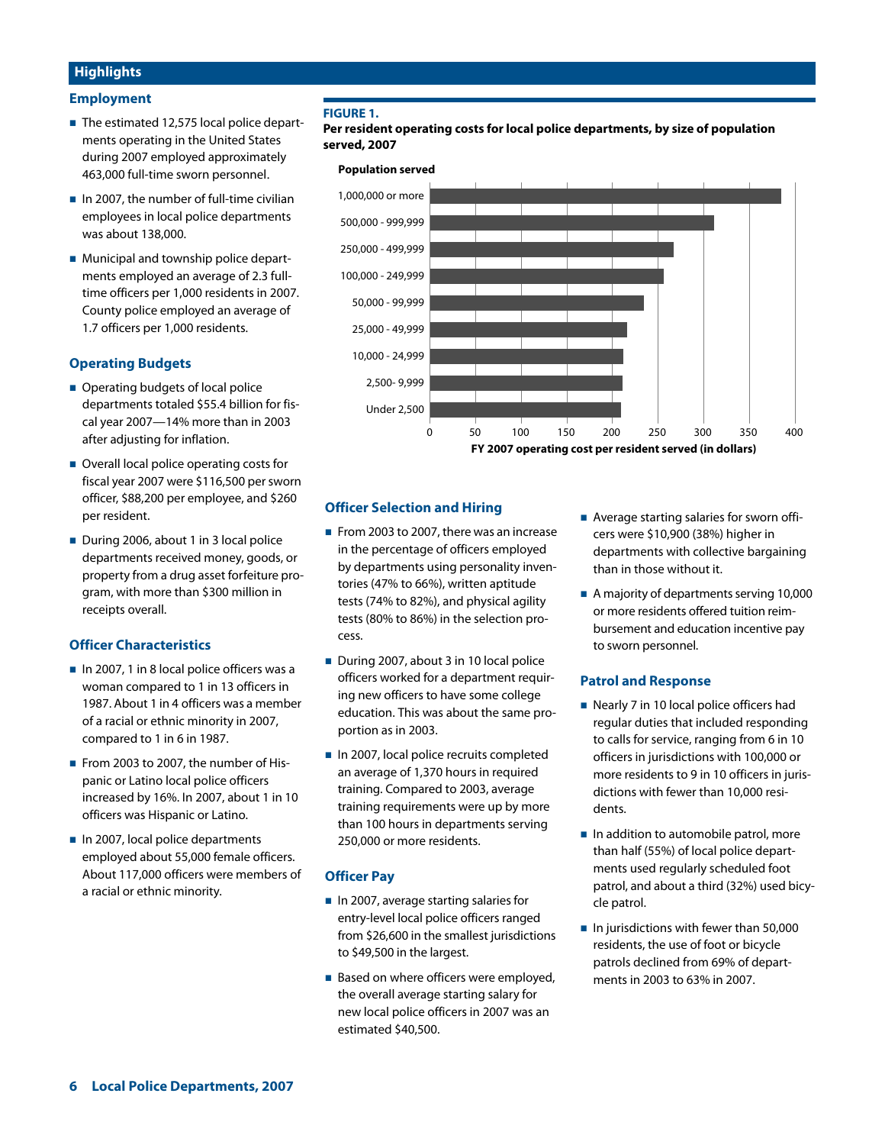# **Highlights**

## **Employment**

- The estimated 12,575 local police departments operating in the United States during 2007 employed approximately 463,000 full-time sworn personnel.
- $\blacksquare$  In 2007, the number of full-time civilian employees in local police departments was about 138,000.
- **Municipal and township police depart**ments employed an average of 2.3 fulltime officers per 1,000 residents in 2007. County police employed an average of 1.7 officers per 1,000 residents.

# **Operating Budgets**

- **Operating budgets of local police** departments totaled \$55.4 billion for fiscal year 2007—14% more than in 2003 after adjusting for inflation.
- Overall local police operating costs for fiscal year 2007 were \$116,500 per sworn officer, \$88,200 per employee, and \$260 per resident.
- During 2006, about 1 in 3 local police departments received money, goods, or property from a drug asset forfeiture program, with more than \$300 million in receipts overall.

## **Officer Characteristics**

- In 2007, 1 in 8 local police officers was a woman compared to 1 in 13 officers in 1987. About 1 in 4 officers was a member of a racial or ethnic minority in 2007, compared to 1 in 6 in 1987.
- From 2003 to 2007, the number of Hispanic or Latino local police officers increased by 16%. In 2007, about 1 in 10 officers was Hispanic or Latino.
- In 2007, local police departments employed about 55,000 female officers. About 117,000 officers were members of a racial or ethnic minority.

## **FIGURE 1.**

**Per resident operating costs for local police departments, by size of population served, 2007**

#### **Population served**



## **Officer Selection and Hiring**

- From 2003 to 2007, there was an increase in the percentage of officers employed by departments using personality inventories (47% to 66%), written aptitude tests (74% to 82%), and physical agility tests (80% to 86%) in the selection process.
- During 2007, about 3 in 10 local police officers worked for a department requiring new officers to have some college education. This was about the same proportion as in 2003.
- In 2007, local police recruits completed an average of 1,370 hours in required training. Compared to 2003, average training requirements were up by more than 100 hours in departments serving 250,000 or more residents.

## **Officer Pay**

- In 2007, average starting salaries for entry-level local police officers ranged from \$26,600 in the smallest jurisdictions to \$49,500 in the largest.
- Based on where officers were employed, the overall average starting salary for new local police officers in 2007 was an estimated \$40,500.
- **Average starting salaries for sworn offi**cers were \$10,900 (38%) higher in departments with collective bargaining than in those without it.
- A majority of departments serving 10,000 or more residents offered tuition reimbursement and education incentive pay to sworn personnel.

## **Patrol and Response**

- Nearly 7 in 10 local police officers had regular duties that included responding to calls for service, ranging from 6 in 10 officers in jurisdictions with 100,000 or more residents to 9 in 10 officers in jurisdictions with fewer than 10,000 residents.
- In addition to automobile patrol, more than half (55%) of local police departments used regularly scheduled foot patrol, and about a third (32%) used bicycle patrol.
- $\blacksquare$  In jurisdictions with fewer than 50,000 residents, the use of foot or bicycle patrols declined from 69% of departments in 2003 to 63% in 2007.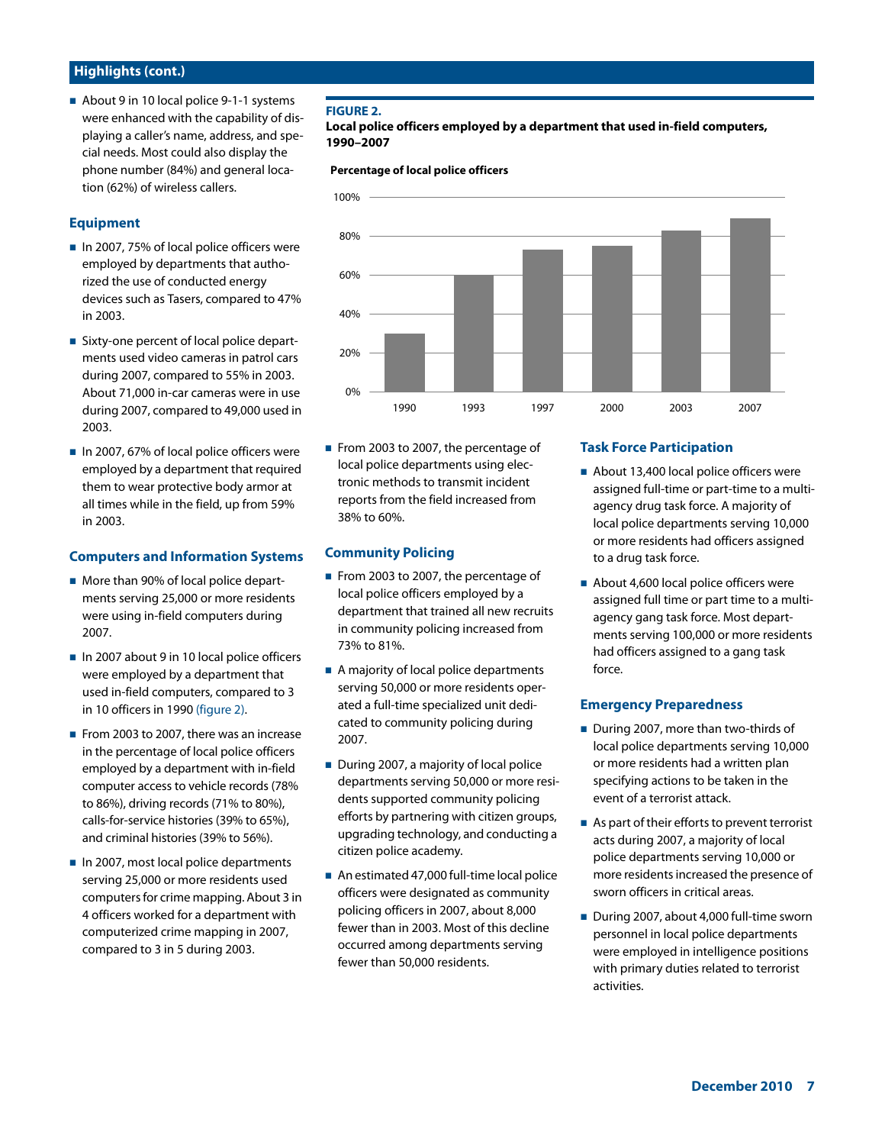# **Highlights (cont.)**

About 9 in 10 local police 9-1-1 systems were enhanced with the capability of displaying a caller's name, address, and special needs. Most could also display the phone number (84%) and general location (62%) of wireless callers.

## **Equipment**

- In 2007, 75% of local police officers were employed by departments that authorized the use of conducted energy devices such as Tasers, compared to 47% in 2003.
- Sixty-one percent of local police departments used video cameras in patrol cars during 2007, compared to 55% in 2003. About 71,000 in-car cameras were in use during 2007, compared to 49,000 used in 2003.
- In 2007, 67% of local police officers were employed by a department that required them to wear protective body armor at all times while in the field, up from 59% in 2003.

## **Computers and Information Systems**

- **More than 90% of local police depart**ments serving 25,000 or more residents were using in-field computers during 2007.
- In 2007 about 9 in 10 local police officers were employed by a department that used in-field computers, compared to 3 in 10 officers in 1990 (figure 2).
- From 2003 to 2007, there was an increase in the percentage of local police officers employed by a department with in-field computer access to vehicle records (78% to 86%), driving records (71% to 80%), calls-for-service histories (39% to 65%), and criminal histories (39% to 56%).
- In 2007, most local police departments serving 25,000 or more residents used computers for crime mapping. About 3 in 4 officers worked for a department with computerized crime mapping in 2007, compared to 3 in 5 during 2003.

## **FIGURE 2.**

**Local police officers employed by a department that used in-field computers, 1990–2007**

#### **Percentage of local police officers**



From 2003 to 2007, the percentage of local police departments using electronic methods to transmit incident reports from the field increased from 38% to 60%.

#### **Community Policing**

- From 2003 to 2007, the percentage of local police officers employed by a department that trained all new recruits in community policing increased from 73% to 81%.
- A majority of local police departments serving 50,000 or more residents operated a full-time specialized unit dedicated to community policing during 2007.
- During 2007, a majority of local police departments serving 50,000 or more residents supported community policing efforts by partnering with citizen groups, upgrading technology, and conducting a citizen police academy.
- An estimated 47,000 full-time local police officers were designated as community policing officers in 2007, about 8,000 fewer than in 2003. Most of this decline occurred among departments serving fewer than 50,000 residents.

## **Task Force Participation**

- About 13,400 local police officers were assigned full-time or part-time to a multiagency drug task force. A majority of local police departments serving 10,000 or more residents had officers assigned to a drug task force.
- About 4,600 local police officers were assigned full time or part time to a multiagency gang task force. Most departments serving 100,000 or more residents had officers assigned to a gang task force.

#### **Emergency Preparedness**

- During 2007, more than two-thirds of local police departments serving 10,000 or more residents had a written plan specifying actions to be taken in the event of a terrorist attack.
- As part of their efforts to prevent terrorist acts during 2007, a majority of local police departments serving 10,000 or more residents increased the presence of sworn officers in critical areas.
- During 2007, about 4,000 full-time sworn personnel in local police departments were employed in intelligence positions with primary duties related to terrorist activities.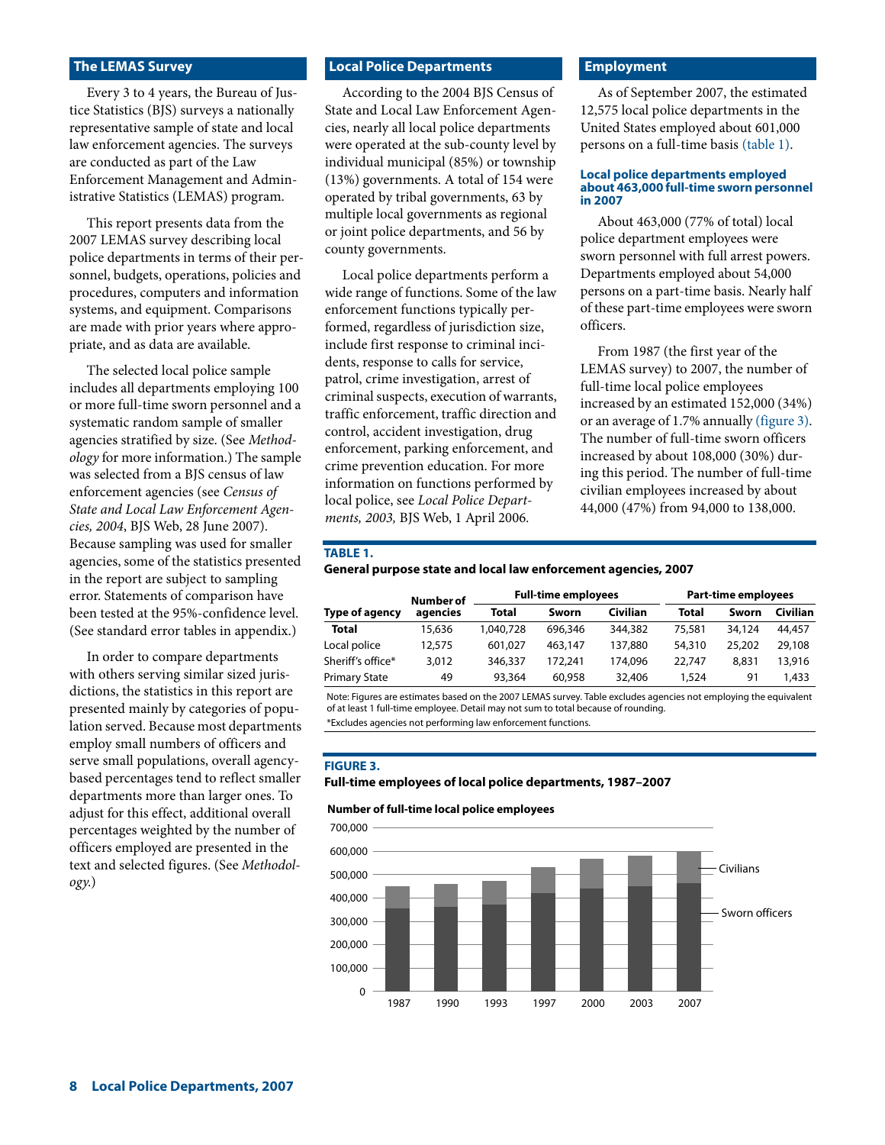## **The LEMAS Survey**

Every 3 to 4 years, the Bureau of Justice Statistics (BJS) surveys a nationally representative sample of state and local law enforcement agencies. The surveys are conducted as part of the Law Enforcement Management and Administrative Statistics (LEMAS) program.

This report presents data from the 2007 LEMAS survey describing local police departments in terms of their personnel, budgets, operations, policies and procedures, computers and information systems, and equipment. Comparisons are made with prior years where appropriate, and as data are available.

The selected local police sample includes all departments employing 100 or more full-time sworn personnel and a systematic random sample of smaller agencies stratified by size. (See *Methodology* for more information.) The sample was selected from a BJS census of law enforcement agencies (see *Census of State and Local Law Enforcement Agencies, 2004*, BJS Web, 28 June 2007). Because sampling was used for smaller agencies, some of the statistics presented in the report are subject to sampling error. Statements of comparison have been tested at the 95%-confidence level. (See standard error tables in appendix.)

In order to compare departments with others serving similar sized jurisdictions, the statistics in this report are presented mainly by categories of population served. Because most departments employ small numbers of officers and serve small populations, overall agencybased percentages tend to reflect smaller departments more than larger ones. To adjust for this effect, additional overall percentages weighted by the number of officers employed are presented in the text and selected figures. (See *Methodology*.)

## **Local Police Departments**

According to the 2004 BJS Census of State and Local Law Enforcement Agencies, nearly all local police departments were operated at the sub-county level by individual municipal (85%) or township (13%) governments. A total of 154 were operated by tribal governments, 63 by multiple local governments as regional or joint police departments, and 56 by county governments.

Local police departments perform a wide range of functions. Some of the law enforcement functions typically performed, regardless of jurisdiction size, include first response to criminal incidents, response to calls for service, patrol, crime investigation, arrest of criminal suspects, execution of warrants, traffic enforcement, traffic direction and control, accident investigation, drug enforcement, parking enforcement, and crime prevention education. For more information on functions performed by local police, see *Local Police Departments, 2003,* BJS Web, 1 April 2006*.*

## **Employment**

As of September 2007, the estimated 12,575 local police departments in the United States employed about 601,000 persons on a full-time basis (table 1).

#### **Local police departments employed about 463,000 full-time sworn personnel in 2007**

About 463,000 (77% of total) local police department employees were sworn personnel with full arrest powers. Departments employed about 54,000 persons on a part-time basis. Nearly half of these part-time employees were sworn officers.

From 1987 (the first year of the LEMAS survey) to 2007, the number of full-time local police employees increased by an estimated 152,000 (34%) or an average of 1.7% annually (figure 3). The number of full-time sworn officers increased by about 108,000 (30%) during this period. The number of full-time civilian employees increased by about 44,000 (47%) from 94,000 to 138,000.

#### **TABLE 1.**

#### **General purpose state and local law enforcement agencies, 2007**

|                      | Number of |           | <b>Full-time employees</b> |          | <b>Part-time employees</b> |        |          |
|----------------------|-----------|-----------|----------------------------|----------|----------------------------|--------|----------|
| Type of agency       | agencies  | Total     | Sworn                      | Civilian | Total                      | Sworn  | Civilian |
| <b>Total</b>         | 15,636    | 1,040,728 | 696,346                    | 344,382  | 75,581                     | 34,124 | 44,457   |
| Local police         | 12,575    | 601.027   | 463,147                    | 137,880  | 54,310                     | 25,202 | 29,108   |
| Sheriff's office*    | 3,012     | 346,337   | 172,241                    | 174,096  | 22,747                     | 8,831  | 13,916   |
| <b>Primary State</b> | 49        | 93,364    | 60,958                     | 32,406   | 1,524                      | 91     | 1.433    |

Note: Figures are estimates based on the 2007 LEMAS survey. Table excludes agencies not employing the equivalent of at least 1 full-time employee. Detail may not sum to total because of rounding.

\*Excludes agencies not performing law enforcement functions.

#### **FIGURE 3.**

#### **Full-time employees of local police departments, 1987–2007**

#### **Number of full-time local police employees**

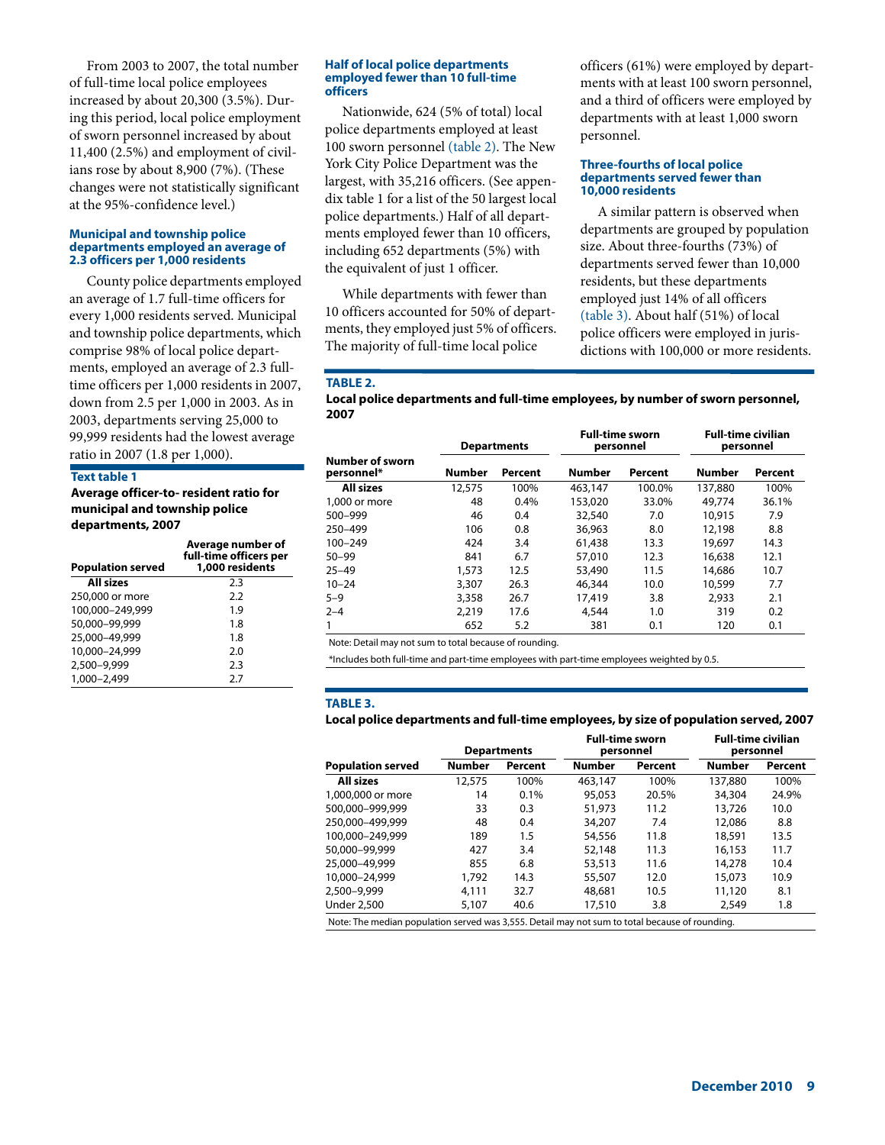From 2003 to 2007, the total number of full-time local police employees increased by about 20,300 (3.5%). During this period, local police employment of sworn personnel increased by about 11,400 (2.5%) and employment of civilians rose by about 8,900 (7%). (These changes were not statistically significant at the 95%-confidence level.)

#### **Municipal and township police departments employed an average of 2.3 officers per 1,000 residents**

County police departments employed an average of 1.7 full-time officers for every 1,000 residents served. Municipal and township police departments, which comprise 98% of local police departments, employed an average of 2.3 fulltime officers per 1,000 residents in 2007, down from 2.5 per 1,000 in 2003. As in 2003, departments serving 25,000 to 99,999 residents had the lowest average ratio in 2007 (1.8 per 1,000).

#### **Text table 1**

**Average officer-to- resident ratio for municipal and township police departments, 2007**

| <b>Population served</b> | Average number of<br>full-time officers per<br>1,000 residents |
|--------------------------|----------------------------------------------------------------|
| All sizes                | 2.3                                                            |
| 250,000 or more          | 2.2                                                            |
| 100,000-249,999          | 1.9                                                            |
| 50,000-99,999            | 1.8                                                            |
| 25,000-49,999            | 1.8                                                            |
| 10,000-24,999            | 2.0                                                            |
| 2,500-9,999              | 2.3                                                            |
| 1,000-2,499              | 2.7                                                            |

#### **Half of local police departments employed fewer than 10 full-time officers**

Nationwide, 624 (5% of total) local police departments employed at least 100 sworn personnel (table 2). The New York City Police Department was the largest, with 35,216 officers. (See appendix table 1 for a list of the 50 largest local police departments.) Half of all departments employed fewer than 10 officers, including 652 departments (5%) with the equivalent of just 1 officer.

While departments with fewer than 10 officers accounted for 50% of departments, they employed just 5% of officers. The majority of full-time local police

officers (61%) were employed by departments with at least 100 sworn personnel, and a third of officers were employed by departments with at least 1,000 sworn personnel.

#### **Three-fourths of local police departments served fewer than 10,000 residents**

A similar pattern is observed when departments are grouped by population size. About three-fourths (73%) of departments served fewer than 10,000 residents, but these departments employed just 14% of all officers (table 3). About half (51%) of local police officers were employed in jurisdictions with 100,000 or more residents.

## **TABLE 2.**

**Local police departments and full-time employees, by number of sworn personnel, 2007**

|                               | <b>Departments</b> |         | <b>Full-time sworn</b><br>personnel |         | <b>Full-time civilian</b><br>personnel |         |
|-------------------------------|--------------------|---------|-------------------------------------|---------|----------------------------------------|---------|
| Number of sworn<br>personnel* | Number             | Percent | <b>Number</b>                       | Percent | <b>Number</b>                          | Percent |
| <b>All sizes</b>              | 12,575             | 100%    | 463,147                             | 100.0%  | 137,880                                | 100%    |
| 1,000 or more                 | 48                 | 0.4%    | 153,020                             | 33.0%   | 49,774                                 | 36.1%   |
| 500-999                       | 46                 | 0.4     | 32,540                              | 7.0     | 10,915                                 | 7.9     |
| 250-499                       | 106                | 0.8     | 36,963                              | 8.0     | 12,198                                 | 8.8     |
| $100 - 249$                   | 424                | 3.4     | 61,438                              | 13.3    | 19,697                                 | 14.3    |
| $50 - 99$                     | 841                | 6.7     | 57,010                              | 12.3    | 16,638                                 | 12.1    |
| $25 - 49$                     | 1,573              | 12.5    | 53,490                              | 11.5    | 14,686                                 | 10.7    |
| $10 - 24$                     | 3,307              | 26.3    | 46,344                              | 10.0    | 10,599                                 | 7.7     |
| $5 - 9$                       | 3,358              | 26.7    | 17,419                              | 3.8     | 2.933                                  | 2.1     |
| $2 - 4$                       | 2.219              | 17.6    | 4,544                               | 1.0     | 319                                    | 0.2     |
|                               | 652                | 5.2     | 381                                 | 0.1     | 120                                    | 0.1     |

Note: Detail may not sum to total because of rounding.

\*Includes both full-time and part-time employees with part-time employees weighted by 0.5.

#### **TABLE 3.**

#### **Local police departments and full-time employees, by size of population served, 2007**

|                          | <b>Departments</b> |         | <b>Full-time sworn</b><br>personnel |         | <b>Full-time civilian</b><br>personnel |         |
|--------------------------|--------------------|---------|-------------------------------------|---------|----------------------------------------|---------|
| <b>Population served</b> | <b>Number</b>      | Percent | <b>Number</b>                       | Percent | <b>Number</b>                          | Percent |
| All sizes                | 12,575             | 100%    | 463,147                             | 100%    | 137,880                                | 100%    |
| 1,000,000 or more        | 14                 | 0.1%    | 95,053                              | 20.5%   | 34,304                                 | 24.9%   |
| 500,000-999,999          | 33                 | 0.3     | 51,973                              | 11.2    | 13,726                                 | 10.0    |
| 250.000-499.999          | 48                 | 0.4     | 34,207                              | 7.4     | 12,086                                 | 8.8     |
| 100.000-249.999          | 189                | $1.5\,$ | 54,556                              | 11.8    | 18,591                                 | 13.5    |
| 50,000-99,999            | 427                | 3.4     | 52,148                              | 11.3    | 16,153                                 | 11.7    |
| 25,000-49,999            | 855                | 6.8     | 53,513                              | 11.6    | 14,278                                 | 10.4    |
| 10,000-24,999            | 1,792              | 14.3    | 55,507                              | 12.0    | 15,073                                 | 10.9    |
| 2.500-9.999              | 4.111              | 32.7    | 48,681                              | 10.5    | 11,120                                 | 8.1     |
| <b>Under 2,500</b>       | 5.107              | 40.6    | 17,510                              | 3.8     | 2,549                                  | 1.8     |

Note: The median population served was 3,555. Detail may not sum to total because of rounding.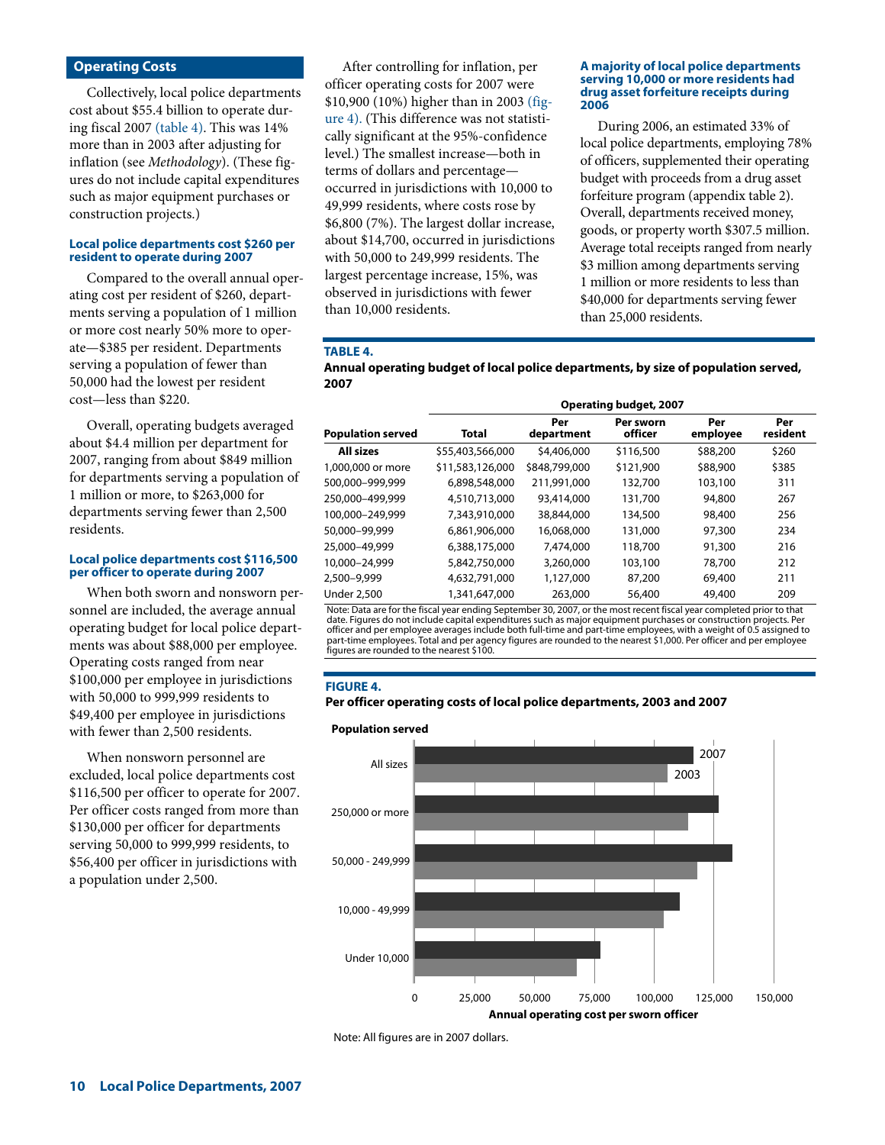## **Operating Costs**

Collectively, local police departments cost about \$55.4 billion to operate during fiscal 2007 (table 4). This was 14% more than in 2003 after adjusting for inflation (see *Methodology*). (These figures do not include capital expenditures such as major equipment purchases or construction projects.)

#### **Local police departments cost \$260 per resident to operate during 2007**

Compared to the overall annual operating cost per resident of \$260, departments serving a population of 1 million or more cost nearly 50% more to operate—\$385 per resident. Departments serving a population of fewer than 50,000 had the lowest per resident cost—less than \$220.

Overall, operating budgets averaged about \$4.4 million per department for 2007, ranging from about \$849 million for departments serving a population of 1 million or more, to \$263,000 for departments serving fewer than 2,500 residents.

#### **Local police departments cost \$116,500 per officer to operate during 2007**

When both sworn and nonsworn personnel are included, the average annual operating budget for local police departments was about \$88,000 per employee. Operating costs ranged from near \$100,000 per employee in jurisdictions with 50,000 to 999,999 residents to \$49,400 per employee in jurisdictions with fewer than 2,500 residents.

When nonsworn personnel are excluded, local police departments cost \$116,500 per officer to operate for 2007. Per officer costs ranged from more than \$130,000 per officer for departments serving 50,000 to 999,999 residents, to \$56,400 per officer in jurisdictions with a population under 2,500.

After controlling for inflation, per officer operating costs for 2007 were \$10,900 (10%) higher than in 2003 (figure 4). (This difference was not statistically significant at the 95%-confidence level.) The smallest increase—both in terms of dollars and percentage occurred in jurisdictions with 10,000 to 49,999 residents, where costs rose by \$6,800 (7%). The largest dollar increase, about \$14,700, occurred in jurisdictions with 50,000 to 249,999 residents. The largest percentage increase, 15%, was observed in jurisdictions with fewer than 10,000 residents.

#### **A majority of local police departments serving 10,000 or more residents had drug asset forfeiture receipts during 2006**

During 2006, an estimated 33% of local police departments, employing 78% of officers, supplemented their operating budget with proceeds from a drug asset forfeiture program (appendix table 2). Overall, departments received money, goods, or property worth \$307.5 million. Average total receipts ranged from nearly \$3 million among departments serving 1 million or more residents to less than \$40,000 for departments serving fewer than 25,000 residents.

#### **TABLE 4.**

**Annual operating budget of local police departments, by size of population served, 2007**

|                          | <b>Operating budget, 2007</b> |                   |                      |                 |                 |  |  |  |  |
|--------------------------|-------------------------------|-------------------|----------------------|-----------------|-----------------|--|--|--|--|
| <b>Population served</b> | <b>Total</b>                  | Per<br>department | Per sworn<br>officer | Per<br>employee | Per<br>resident |  |  |  |  |
| All sizes                | \$55,403,566,000              | \$4,406,000       | \$116,500            | \$88,200        | \$260           |  |  |  |  |
| 1,000,000 or more        | \$11,583,126,000              | \$848,799,000     | \$121,900            | \$88,900        | \$385           |  |  |  |  |
| 500,000-999,999          | 6,898,548,000                 | 211,991,000       | 132,700              | 103,100         | 311             |  |  |  |  |
| 250,000-499,999          | 4,510,713,000                 | 93,414,000        | 131,700              | 94,800          | 267             |  |  |  |  |
| 100.000-249.999          | 7,343,910,000                 | 38,844,000        | 134,500              | 98,400          | 256             |  |  |  |  |
| 50,000-99,999            | 6,861,906,000                 | 16,068,000        | 131,000              | 97,300          | 234             |  |  |  |  |
| 25,000-49,999            | 6,388,175,000                 | 7,474,000         | 118,700              | 91,300          | 216             |  |  |  |  |
| 10,000-24,999            | 5,842,750,000                 | 3,260,000         | 103,100              | 78,700          | 212             |  |  |  |  |
| 2,500-9,999              | 4,632,791,000                 | 1,127,000         | 87,200               | 69,400          | 211             |  |  |  |  |
| <b>Under 2,500</b>       | 1,341,647,000                 | 263,000           | 56,400               | 49,400          | 209             |  |  |  |  |

Note: Data are for the fiscal year ending September 30, 2007, or the most recent fiscal year completed prior to that date. Figures do not include capital expenditures such as major equipment purchases or construction projects. Per<br>officer and per employee averages include both full-time and part-time employees, with a weight of 0.5 assig part-time employees. Total and per agency figures are rounded to the nearest \$1,000. Per officer and per employee figures are rounded to the nearest \$100.

#### **FIGURE 4.**

#### **Per officer operating costs of local police departments, 2003 and 2007**



Note: All figures are in 2007 dollars.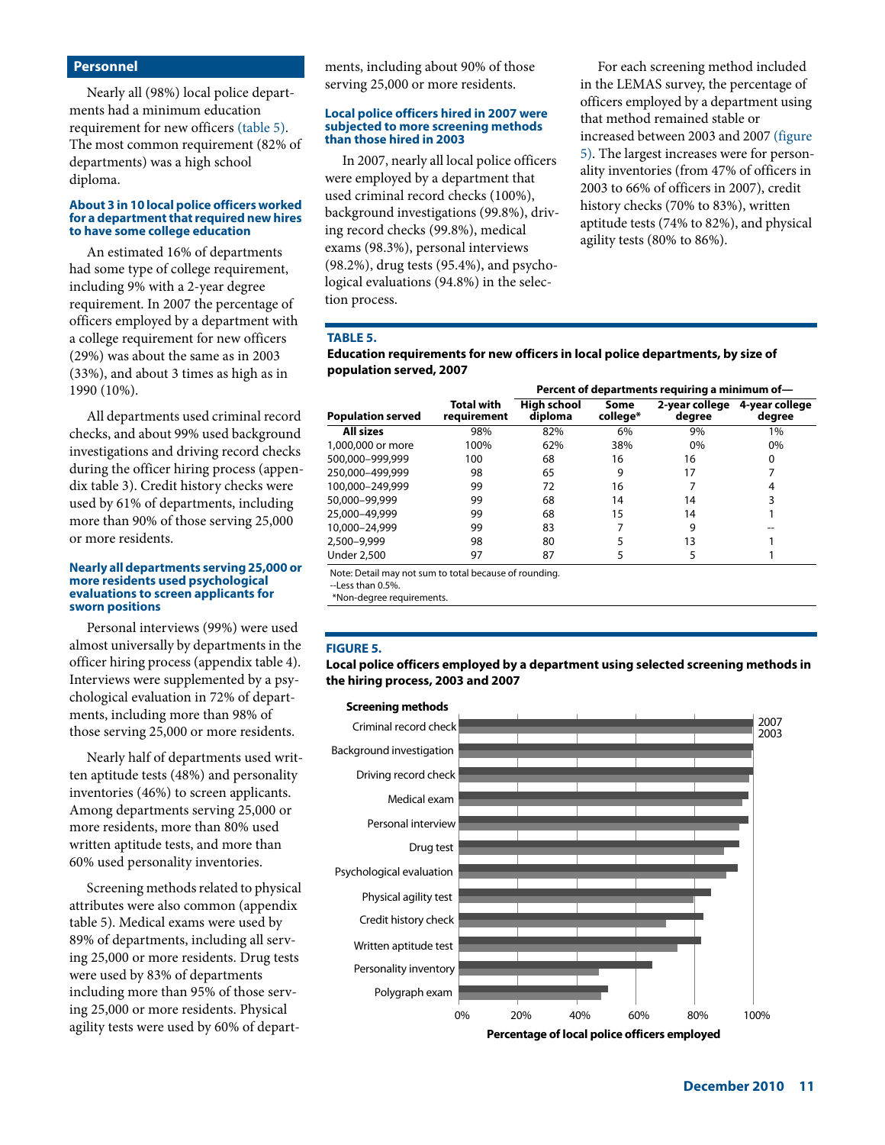## **Personnel**

Nearly all (98%) local police departments had a minimum education requirement for new officers (table 5). The most common requirement (82% of departments) was a high school diploma.

#### **About 3 in 10 local police officers worked for a department that required new hires to have some college education**

An estimated 16% of departments had some type of college requirement, including 9% with a 2-year degree requirement. In 2007 the percentage of officers employed by a department with a college requirement for new officers (29%) was about the same as in 2003 (33%), and about 3 times as high as in 1990 (10%).

All departments used criminal record checks, and about 99% used background investigations and driving record checks during the officer hiring process (appendix table 3). Credit history checks were used by 61% of departments, including more than 90% of those serving 25,000 or more residents.

#### **Nearly all departments serving 25,000 or more residents used psychological evaluations to screen applicants for sworn positions**

Personal interviews (99%) were used almost universally by departments in the officer hiring process (appendix table 4). Interviews were supplemented by a psychological evaluation in 72% of departments, including more than 98% of those serving 25,000 or more residents.

Nearly half of departments used written aptitude tests (48%) and personality inventories (46%) to screen applicants. Among departments serving 25,000 or more residents, more than 80% used written aptitude tests, and more than 60% used personality inventories.

Screening methods related to physical attributes were also common (appendix table 5). Medical exams were used by 89% of departments, including all serving 25,000 or more residents. Drug tests were used by 83% of departments including more than 95% of those serving 25,000 or more residents. Physical agility tests were used by 60% of departments, including about 90% of those serving 25,000 or more residents.

#### **Local police officers hired in 2007 were subjected to more screening methods than those hired in 2003**

In 2007, nearly all local police officers were employed by a department that used criminal record checks (100%), background investigations (99.8%), driving record checks (99.8%), medical exams (98.3%), personal interviews (98.2%), drug tests (95.4%), and psychological evaluations (94.8%) in the selection process.

For each screening method included in the LEMAS survey, the percentage of officers employed by a department using that method remained stable or increased between 2003 and 2007 (figure 5). The largest increases were for personality inventories (from 47% of officers in 2003 to 66% of officers in 2007), credit history checks (70% to 83%), written aptitude tests (74% to 82%), and physical agility tests (80% to 86%).

## **TABLE 5.**

**Education requirements for new officers in local police departments, by size of population served, 2007**

|                          |                           | Percent of departments requiring a minimum of- |                  |                          |                          |  |  |  |
|--------------------------|---------------------------|------------------------------------------------|------------------|--------------------------|--------------------------|--|--|--|
| <b>Population served</b> | Total with<br>reauirement | <b>High school</b><br>diploma                  | Some<br>college* | 2-year college<br>degree | 4-year college<br>degree |  |  |  |
| <b>All sizes</b>         | 98%                       | 82%                                            | 6%               | 9%                       | 1%                       |  |  |  |
| 1,000,000 or more        | 100%                      | 62%                                            | 38%              | 0%                       | 0%                       |  |  |  |
| 500,000–999,999          | 100                       | 68                                             | 16               | 16                       | 0                        |  |  |  |
| 250.000-499.999          | 98                        | 65                                             | 9                | 17                       |                          |  |  |  |
| 100.000-249.999          | 99                        | 72                                             | 16               |                          | 4                        |  |  |  |
| 50,000-99,999            | 99                        | 68                                             | 14               | 14                       | 3                        |  |  |  |
| 25,000-49,999            | 99                        | 68                                             | 15               | 14                       |                          |  |  |  |
| 10,000-24,999            | 99                        | 83                                             |                  | 9                        |                          |  |  |  |
| 2,500–9,999              | 98                        | 80                                             |                  | 13                       |                          |  |  |  |
| Under 2,500              | 97                        | 87                                             |                  |                          |                          |  |  |  |

Note: Detail may not sum to total because of rounding.

--Less than 0.5%.

\*Non-degree requirements.

#### **FIGURE 5.**

**Local police officers employed by a department using selected screening methods in the hiring process, 2003 and 2007**

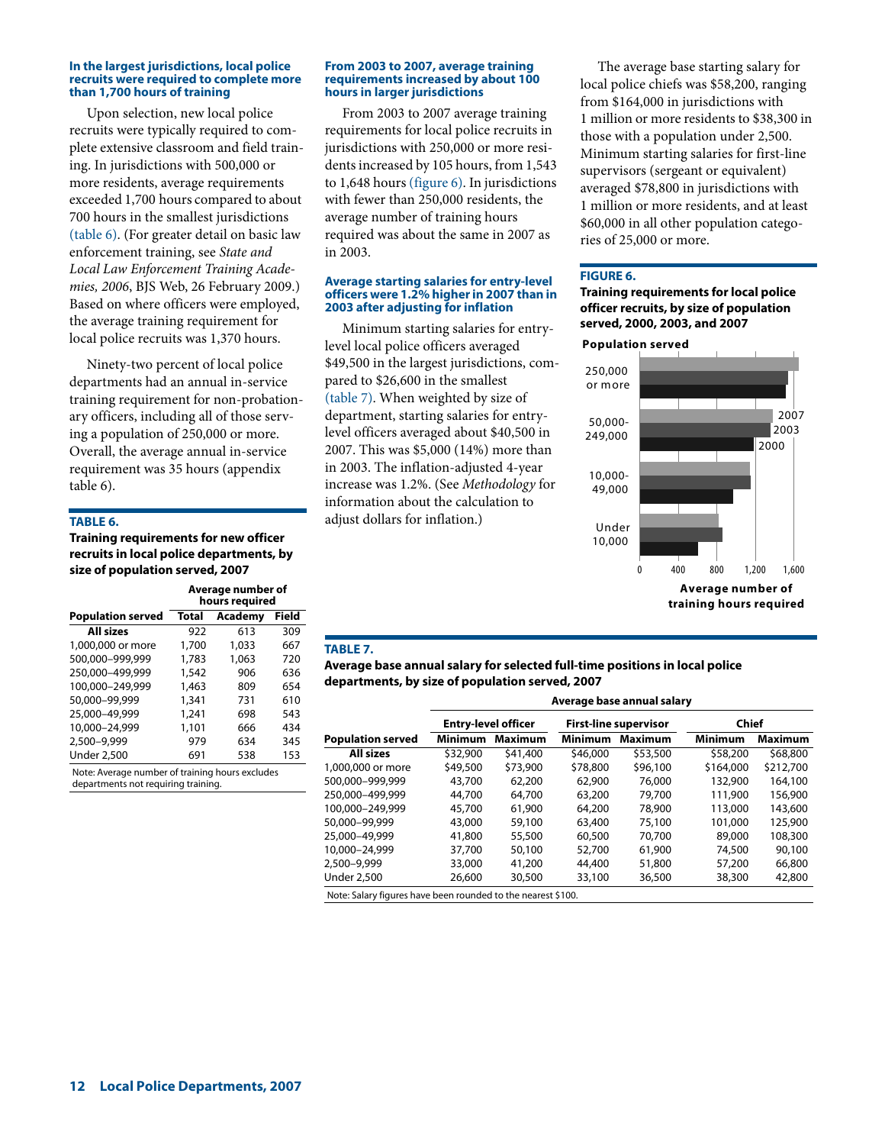#### **In the largest jurisdictions, local police recruits were required to complete more than 1,700 hours of training**

Upon selection, new local police recruits were typically required to complete extensive classroom and field training. In jurisdictions with 500,000 or more residents, average requirements exceeded 1,700 hours compared to about 700 hours in the smallest jurisdictions (table 6). (For greater detail on basic law enforcement training, see *State and Local Law Enforcement Training Academies, 2006*, BJS Web, 26 February 2009.) Based on where officers were employed, the average training requirement for local police recruits was 1,370 hours.

Ninety-two percent of local police departments had an annual in-service training requirement for non-probationary officers, including all of those serving a population of 250,000 or more. Overall, the average annual in-service requirement was 35 hours (appendix table 6).

## **TABLE 6.**

**Training requirements for new officer recruits in local police departments, by size of population served, 2007**

|                          | Average number of<br>hours required |         |       |  |  |
|--------------------------|-------------------------------------|---------|-------|--|--|
| <b>Population served</b> | Total                               | Academy | Field |  |  |
| All sizes                | 922                                 | 613     | 309   |  |  |
| 1,000,000 or more        | 1,700                               | 1,033   | 667   |  |  |
| 500,000-999,999          | 1,783                               | 1,063   | 720   |  |  |
| 250,000-499,999          | 1,542                               | 906     | 636   |  |  |
| 100,000-249,999          | 1,463                               | 809     | 654   |  |  |
| 50,000-99,999            | 1,341                               | 731     | 610   |  |  |
| 25,000-49,999            | 1,241                               | 698     | 543   |  |  |
| 10,000-24,999            | 1,101                               | 666     | 434   |  |  |
| 2,500-9,999              | 979                                 | 634     | 345   |  |  |
| <b>Under 2,500</b>       | 691                                 | 538     | 153   |  |  |

Note: Average number of training hours excludes departments not requiring training.

#### **From 2003 to 2007, average training requirements increased by about 100 hours in larger jurisdictions**

From 2003 to 2007 average training requirements for local police recruits in jurisdictions with 250,000 or more residents increased by 105 hours, from 1,543 to 1,648 hours (figure 6). In jurisdictions with fewer than 250,000 residents, the average number of training hours required was about the same in 2007 as in 2003.

#### **Average starting salaries for entry-level officers were 1.2% higher in 2007 than in 2003 after adjusting for inflation**

Minimum starting salaries for entrylevel local police officers averaged \$49,500 in the largest jurisdictions, compared to \$26,600 in the smallest (table 7). When weighted by size of department, starting salaries for entrylevel officers averaged about \$40,500 in 2007. This was \$5,000 (14%) more than in 2003. The inflation-adjusted 4-year increase was 1.2%. (See *Methodology* for information about the calculation to adjust dollars for inflation.)

The average base starting salary for local police chiefs was \$58,200, ranging from \$164,000 in jurisdictions with 1 million or more residents to \$38,300 in those with a population under 2,500. Minimum starting salaries for first-line supervisors (sergeant or equivalent) averaged \$78,800 in jurisdictions with 1 million or more residents, and at least \$60,000 in all other population categories of 25,000 or more.

#### **FIGURE 6.**

**Training requirements for local police officer recruits, by size of population served, 2000, 2003, and 2007**



## **TABLE 7.**

## **Average base annual salary for selected full-time positions in local police departments, by size of population served, 2007**

|                                                              | Average base annual salary |                |                |                              |           |                |  |  |  |
|--------------------------------------------------------------|----------------------------|----------------|----------------|------------------------------|-----------|----------------|--|--|--|
|                                                              | <b>Entry-level officer</b> |                |                | <b>First-line supervisor</b> |           | Chief          |  |  |  |
| <b>Population served</b>                                     | Minimum                    | <b>Maximum</b> | <b>Minimum</b> | <b>Maximum</b>               | Minimum   | <b>Maximum</b> |  |  |  |
| <b>All sizes</b>                                             | \$32,900                   | \$41,400       | \$46,000       | \$53,500                     | \$58,200  | \$68,800       |  |  |  |
| 1,000,000 or more                                            | \$49,500                   | \$73,900       | \$78,800       | \$96,100                     | \$164,000 | \$212,700      |  |  |  |
| 500.000-999.999                                              | 43,700                     | 62,200         | 62,900         | 76,000                       | 132,900   | 164,100        |  |  |  |
| 250.000-499.999                                              | 44,700                     | 64,700         | 63,200         | 79,700                       | 111,900   | 156,900        |  |  |  |
| 100.000-249.999                                              | 45,700                     | 61,900         | 64,200         | 78,900                       | 113,000   | 143,600        |  |  |  |
| 50,000-99,999                                                | 43,000                     | 59,100         | 63,400         | 75,100                       | 101,000   | 125,900        |  |  |  |
| 25,000-49,999                                                | 41,800                     | 55,500         | 60,500         | 70,700                       | 89,000    | 108,300        |  |  |  |
| 10.000-24.999                                                | 37,700                     | 50,100         | 52,700         | 61,900                       | 74,500    | 90,100         |  |  |  |
| 2,500-9,999                                                  | 33,000                     | 41,200         | 44,400         | 51,800                       | 57,200    | 66,800         |  |  |  |
| <b>Under 2,500</b>                                           | 26,600                     | 30,500         | 33,100         | 36,500                       | 38,300    | 42,800         |  |  |  |
| Note: Salary figures have been rounded to the nearest \$100. |                            |                |                |                              |           |                |  |  |  |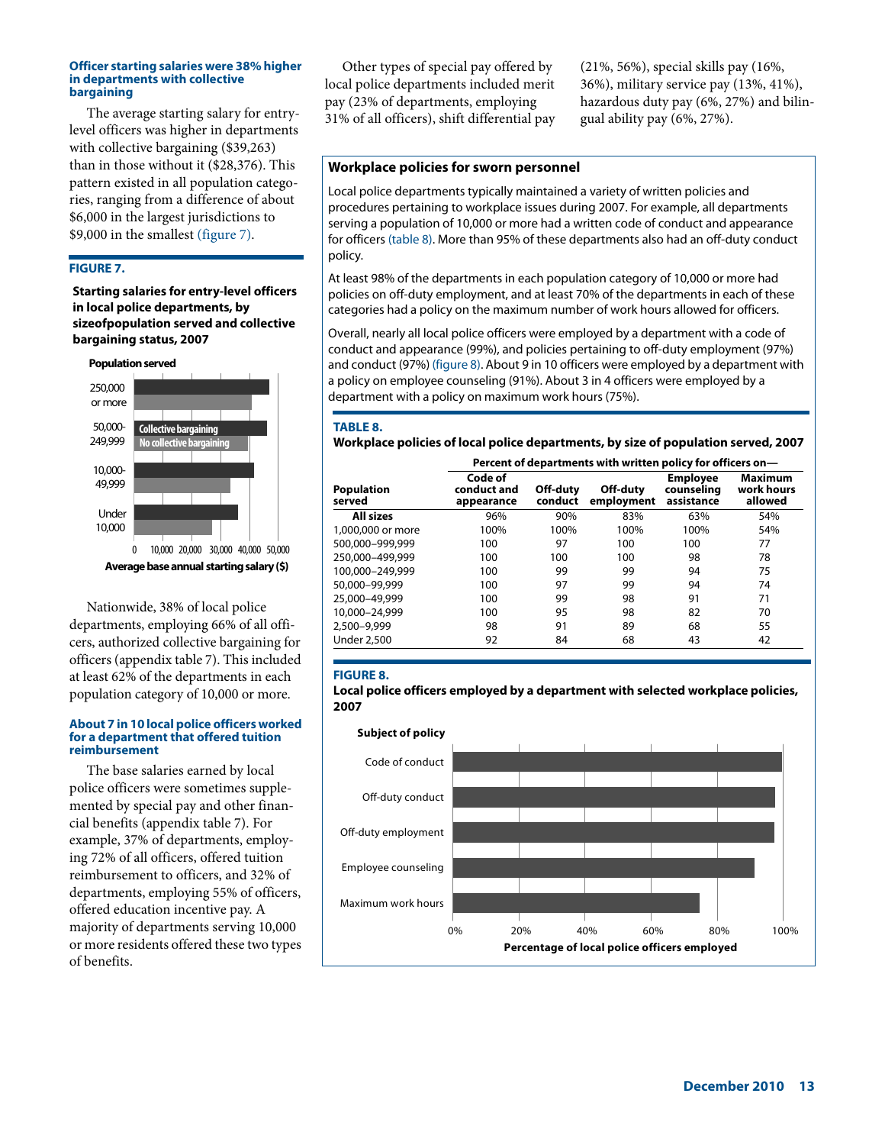#### **Officer starting salaries were 38% higher in departments with collective bargaining**

The average starting salary for entrylevel officers was higher in departments with collective bargaining (\$39,263) than in those without it (\$28,376). This pattern existed in all population categories, ranging from a difference of about \$6,000 in the largest jurisdictions to \$9,000 in the smallest (figure 7).

## **FIGURE 7.**

## **Starting salaries for entry-level officers in local police departments, by sizeofpopulation served and collective bargaining status, 2007**



Nationwide, 38% of local police departments, employing 66% of all officers, authorized collective bargaining for officers (appendix table 7). This included at least 62% of the departments in each population category of 10,000 or more.

#### **About 7 in 10 local police officers worked for a department that offered tuition reimbursement**

The base salaries earned by local police officers were sometimes supplemented by special pay and other financial benefits (appendix table 7). For example, 37% of departments, employing 72% of all officers, offered tuition reimbursement to officers, and 32% of departments, employing 55% of officers, offered education incentive pay. A majority of departments serving 10,000 or more residents offered these two types of benefits.

Other types of special pay offered by local police departments included merit pay (23% of departments, employing 31% of all officers), shift differential pay

(21%, 56%), special skills pay (16%, 36%), military service pay (13%, 41%), hazardous duty pay (6%, 27%) and bilingual ability pay (6%, 27%).

## **Workplace policies for sworn personnel**

Local police departments typically maintained a variety of written policies and procedures pertaining to workplace issues during 2007. For example, all departments serving a population of 10,000 or more had a written code of conduct and appearance for officers (table 8). More than 95% of these departments also had an off-duty conduct policy.

At least 98% of the departments in each population category of 10,000 or more had policies on off-duty employment, and at least 70% of the departments in each of these categories had a policy on the maximum number of work hours allowed for officers.

Overall, nearly all local police officers were employed by a department with a code of conduct and appearance (99%), and policies pertaining to off-duty employment (97%) and conduct (97%) (figure 8). About 9 in 10 officers were employed by a department with a policy on employee counseling (91%). About 3 in 4 officers were employed by a department with a policy on maximum work hours (75%).

#### **TABLE 8.**

**Workplace policies of local police departments, by size of population served, 2007**

|                      | Percent of departments with written policy for officers on- |                     |                        |                                             |                                         |  |  |  |  |
|----------------------|-------------------------------------------------------------|---------------------|------------------------|---------------------------------------------|-----------------------------------------|--|--|--|--|
| Population<br>served | Code of<br>conduct and<br>appearance                        | Off-duty<br>conduct | Off-duty<br>employment | <b>Employee</b><br>counseling<br>assistance | <b>Maximum</b><br>work hours<br>allowed |  |  |  |  |
| <b>All sizes</b>     | 96%                                                         | 90%                 | 83%                    | 63%                                         | 54%                                     |  |  |  |  |
| 1,000,000 or more    | 100%                                                        | 100%                | 100%                   | 100%                                        | 54%                                     |  |  |  |  |
| 500.000-999.999      | 100                                                         | 97                  | 100                    | 100                                         | 77                                      |  |  |  |  |
| 250.000-499.999      | 100                                                         | 100                 | 100                    | 98                                          | 78                                      |  |  |  |  |
| 100.000-249.999      | 100                                                         | 99                  | 99                     | 94                                          | 75                                      |  |  |  |  |
| 50.000-99.999        | 100                                                         | 97                  | 99                     | 94                                          | 74                                      |  |  |  |  |
| 25.000-49.999        | 100                                                         | 99                  | 98                     | 91                                          | 71                                      |  |  |  |  |
| 10,000-24,999        | 100                                                         | 95                  | 98                     | 82                                          | 70                                      |  |  |  |  |
| 2,500–9,999          | 98                                                          | 91                  | 89                     | 68                                          | 55                                      |  |  |  |  |
| Under 2.500          | 92                                                          | 84                  | 68                     | 43                                          | 42                                      |  |  |  |  |
|                      |                                                             |                     |                        |                                             |                                         |  |  |  |  |

#### **FIGURE 8.**

**Local police officers employed by a department with selected workplace policies, 2007**

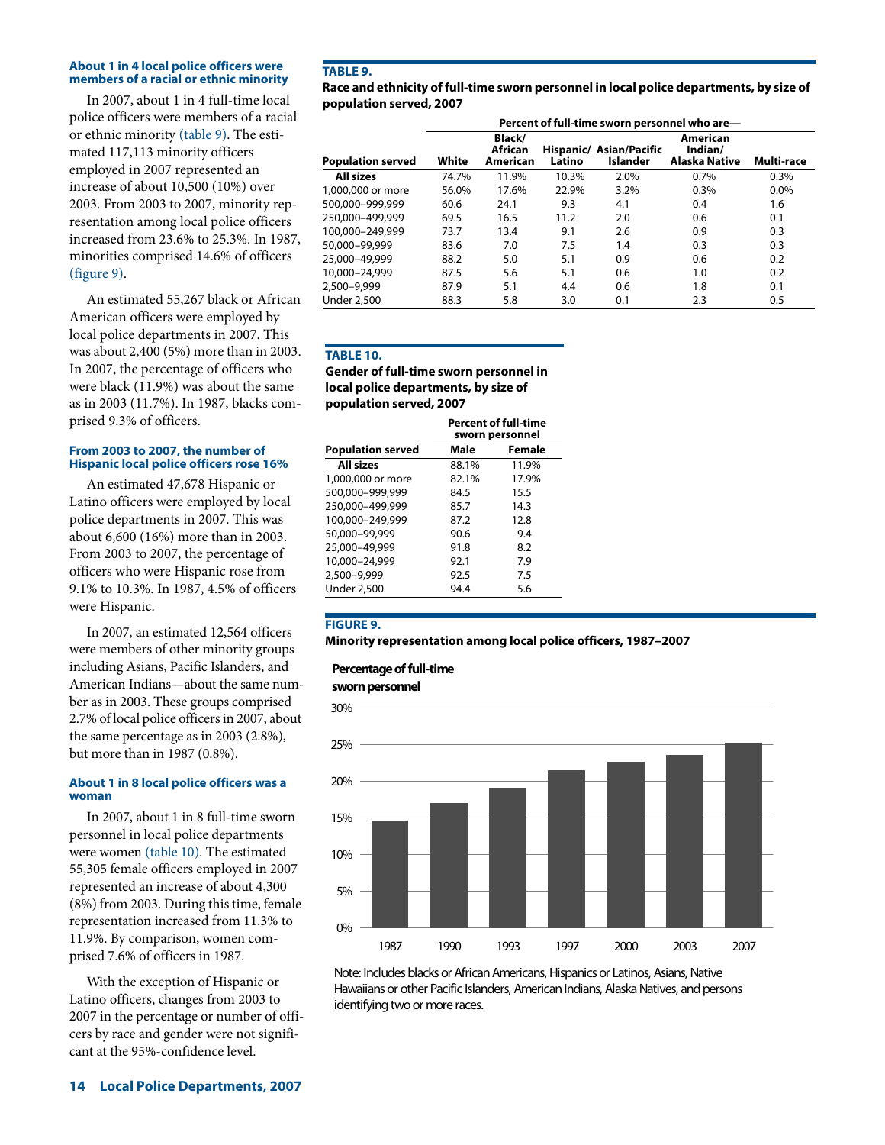## **About 1 in 4 local police officers were members of a racial or ethnic minority**

In 2007, about 1 in 4 full-time local police officers were members of a racial or ethnic minority (table 9). The estimated 117,113 minority officers employed in 2007 represented an increase of about 10,500 (10%) over 2003. From 2003 to 2007, minority representation among local police officers increased from 23.6% to 25.3%. In 1987, minorities comprised 14.6% of officers (figure 9).

An estimated 55,267 black or African American officers were employed by local police departments in 2007. This was about 2,400 (5%) more than in 2003. In 2007, the percentage of officers who were black (11.9%) was about the same as in 2003 (11.7%). In 1987, blacks comprised 9.3% of officers.

## **From 2003 to 2007, the number of Hispanic local police officers rose 16%**

An estimated 47,678 Hispanic or Latino officers were employed by local police departments in 2007. This was about 6,600 (16%) more than in 2003. From 2003 to 2007, the percentage of officers who were Hispanic rose from 9.1% to 10.3%. In 1987, 4.5% of officers were Hispanic.

In 2007, an estimated 12,564 officers were members of other minority groups including Asians, Pacific Islanders, and American Indians—about the same number as in 2003. These groups comprised 2.7% of local police officers in 2007, about the same percentage as in 2003 (2.8%), but more than in 1987 (0.8%).

## **About 1 in 8 local police officers was a woman**

In 2007, about 1 in 8 full-time sworn personnel in local police departments were women (table 10). The estimated 55,305 female officers employed in 2007 represented an increase of about 4,300 (8%) from 2003. During this time, female representation increased from 11.3% to 11.9%. By comparison, women comprised 7.6% of officers in 1987.

With the exception of Hispanic or Latino officers, changes from 2003 to 2007 in the percentage or number of officers by race and gender were not significant at the 95%-confidence level.

## **TABLE 9.**

**Race and ethnicity of full-time sworn personnel in local police departments, by size of population served, 2007**

|                          | Percent of full-time sworn personnel who are- |                               |        |                                     |                                      |            |  |
|--------------------------|-----------------------------------------------|-------------------------------|--------|-------------------------------------|--------------------------------------|------------|--|
| <b>Population served</b> | White                                         | Black/<br>African<br>American | Latino | Hispanic/ Asian/Pacific<br>Islander | American<br>Indian/<br>Alaska Native | Multi-race |  |
| <b>All sizes</b>         | 74.7%                                         | 11.9%                         | 10.3%  | 2.0%                                | 0.7%                                 | 0.3%       |  |
| 1,000,000 or more        | 56.0%                                         | 17.6%                         | 22.9%  | 3.2%                                | 0.3%                                 | 0.0%       |  |
| 500.000-999.999          | 60.6                                          | 24.1                          | 9.3    | 4.1                                 | 0.4                                  | 1.6        |  |
| 250.000-499.999          | 69.5                                          | 16.5                          | 11.2   | 2.0                                 | 0.6                                  | 0.1        |  |
| 100.000-249.999          | 73.7                                          | 13.4                          | 9.1    | 2.6                                 | 0.9                                  | 0.3        |  |
| 50,000-99,999            | 83.6                                          | 7.0                           | 7.5    | 1.4                                 | 0.3                                  | 0.3        |  |
| 25,000-49,999            | 88.2                                          | 5.0                           | 5.1    | 0.9                                 | 0.6                                  | 0.2        |  |
| 10,000-24,999            | 87.5                                          | 5.6                           | 5.1    | 0.6                                 | 1.0                                  | 0.2        |  |
| 2,500-9,999              | 87.9                                          | 5.1                           | 4.4    | 0.6                                 | 1.8                                  | 0.1        |  |
| <b>Under 2.500</b>       | 88.3                                          | 5.8                           | 3.0    | 0.1                                 | 2.3                                  | 0.5        |  |

# **TABLE 10.**

**Gender of full-time sworn personnel in local police departments, by size of population served, 2007**

|                          | <b>Percent of full-time</b><br>sworn personnel |               |  |  |
|--------------------------|------------------------------------------------|---------------|--|--|
| <b>Population served</b> | Male                                           | <b>Female</b> |  |  |
| All sizes                | 88.1%                                          | 11.9%         |  |  |
| 1,000,000 or more        | 82.1%                                          | 17.9%         |  |  |
| 500,000-999,999          | 84.5                                           | 15.5          |  |  |
| 250,000-499,999          | 85.7                                           | 14.3          |  |  |
| 100,000-249,999          | 87.2                                           | 12.8          |  |  |
| 50,000-99,999            | 90.6                                           | 9.4           |  |  |
| 25,000-49,999            | 91.8                                           | 8.2           |  |  |
| 10,000-24,999            | 92.1                                           | 7.9           |  |  |
| 2,500-9,999              | 92.5                                           | 7.5           |  |  |
| <b>Under 2,500</b>       | 94.4                                           | 5.6           |  |  |

## **FIGURE 9.**

**Minority representation among local police officers, 1987–2007**

# **Percentage of full-time**

**sworn personnel**



Note: Includes blacks or African Americans, Hispanics or Latinos, Asians, Native Hawaiians or other Pacific Islanders, American Indians, Alaska Natives, and persons identifying two or more races.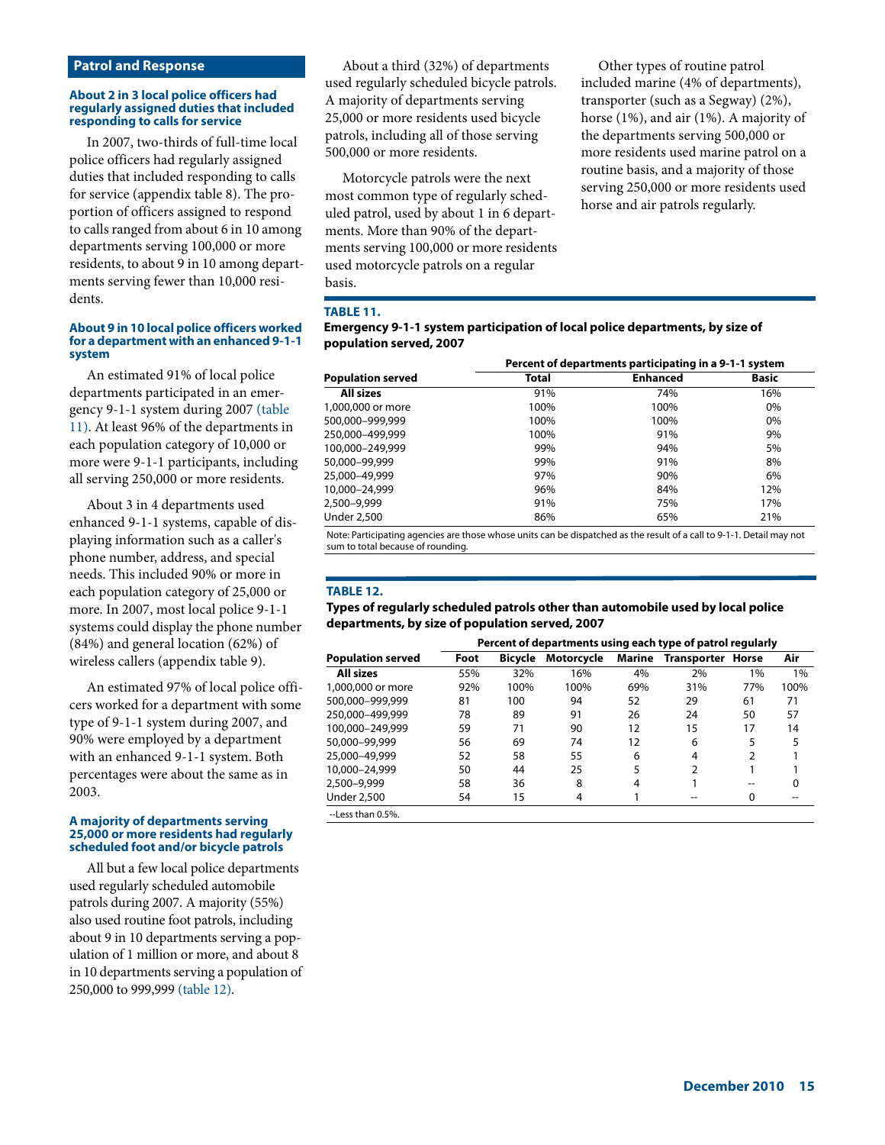## **Patrol and Response**

#### **About 2 in 3 local police officers had regularly assigned duties that included responding to calls for service**

In 2007, two-thirds of full-time local police officers had regularly assigned duties that included responding to calls for service (appendix table 8). The proportion of officers assigned to respond to calls ranged from about 6 in 10 among departments serving 100,000 or more residents, to about 9 in 10 among departments serving fewer than 10,000 residents.

#### **About 9 in 10 local police officers worked for a department with an enhanced 9-1-1 system**

An estimated 91% of local police departments participated in an emergency 9-1-1 system during 2007 (table 11). At least 96% of the departments in each population category of 10,000 or more were 9-1-1 participants, including all serving 250,000 or more residents.

About 3 in 4 departments used enhanced 9-1-1 systems, capable of displaying information such as a caller's phone number, address, and special needs. This included 90% or more in each population category of 25,000 or more. In 2007, most local police 9-1-1 systems could display the phone number (84%) and general location (62%) of wireless callers (appendix table 9).

An estimated 97% of local police officers worked for a department with some type of 9-1-1 system during 2007, and 90% were employed by a department with an enhanced 9-1-1 system. Both percentages were about the same as in 2003.

#### **A majority of departments serving 25,000 or more residents had regularly scheduled foot and/or bicycle patrols**

All but a few local police departments used regularly scheduled automobile patrols during 2007. A majority (55%) also used routine foot patrols, including about 9 in 10 departments serving a population of 1 million or more, and about 8 in 10 departments serving a population of 250,000 to 999,999 (table 12).

About a third (32%) of departments used regularly scheduled bicycle patrols. A majority of departments serving 25,000 or more residents used bicycle patrols, including all of those serving 500,000 or more residents.

Motorcycle patrols were the next most common type of regularly scheduled patrol, used by about 1 in 6 departments. More than 90% of the departments serving 100,000 or more residents used motorcycle patrols on a regular basis.

Other types of routine patrol included marine (4% of departments), transporter (such as a Segway) (2%), horse (1%), and air (1%). A majority of the departments serving 500,000 or more residents used marine patrol on a routine basis, and a majority of those serving 250,000 or more residents used horse and air patrols regularly.

## **TABLE 11.**

| Emergency 9-1-1 system participation of local police departments, by size of |  |
|------------------------------------------------------------------------------|--|
| population served, 2007                                                      |  |

|                          | Percent of departments participating in a 9-1-1 system |                 |              |  |  |  |  |
|--------------------------|--------------------------------------------------------|-----------------|--------------|--|--|--|--|
| <b>Population served</b> | Total                                                  | <b>Enhanced</b> | <b>Basic</b> |  |  |  |  |
| All sizes                | 91%                                                    | 74%             | 16%          |  |  |  |  |
| 1,000,000 or more        | 100%                                                   | 100%            | $0\%$        |  |  |  |  |
| 500.000-999.999          | 100%                                                   | 100%            | 0%           |  |  |  |  |
| 250.000-499.999          | 100%                                                   | 91%             | 9%           |  |  |  |  |
| 100.000-249.999          | 99%                                                    | 94%             | 5%           |  |  |  |  |
| 50,000-99,999            | 99%                                                    | 91%             | 8%           |  |  |  |  |
| 25,000-49,999            | 97%                                                    | 90%             | 6%           |  |  |  |  |
| 10,000-24,999            | 96%                                                    | 84%             | 12%          |  |  |  |  |
| 2,500-9,999              | 91%                                                    | 75%             | 17%          |  |  |  |  |
| <b>Under 2,500</b>       | 86%                                                    | 65%             | 21%          |  |  |  |  |

Note: Participating agencies are those whose units can be dispatched as the result of a call to 9-1-1. Detail may not sum to total because of rounding.

#### **TABLE 12.**

**Types of regularly scheduled patrols other than automobile used by local police departments, by size of population served, 2007**

|                          | Percent of departments using each type of patrol regularly |                |                   |     |                          |     |      |  |  |
|--------------------------|------------------------------------------------------------|----------------|-------------------|-----|--------------------------|-----|------|--|--|
| <b>Population served</b> | Foot                                                       | <b>Bicycle</b> | <b>Motorcycle</b> |     | Marine Transporter Horse |     | Air  |  |  |
| <b>All sizes</b>         | 55%                                                        | 32%            | 16%               | 4%  | 2%                       | 1%  | 1%   |  |  |
| 1,000,000 or more        | 92%                                                        | 100%           | 100%              | 69% | 31%                      | 77% | 100% |  |  |
| 500.000-999.999          | 81                                                         | 100            | 94                | 52  | 29                       | 61  | 71   |  |  |
| 250,000-499,999          | 78                                                         | 89             | 91                | 26  | 24                       | 50  | 57   |  |  |
| 100.000-249.999          | 59                                                         | 71             | 90                | 12  | 15                       | 17  | 14   |  |  |
| 50,000-99,999            | 56                                                         | 69             | 74                | 12  | 6                        | 5   | 5    |  |  |
| 25,000-49,999            | 52                                                         | 58             | 55                | 6   | 4                        |     |      |  |  |
| 10.000-24.999            | 50                                                         | 44             | 25                | 5   | 2                        |     |      |  |  |
| 2,500-9,999              | 58                                                         | 36             | 8                 | 4   |                          |     | 0    |  |  |
| <b>Under 2,500</b>       | 54                                                         | 15             | 4                 |     |                          | 0   |      |  |  |
| $1$ occ than 0.504       |                                                            |                |                   |     |                          |     |      |  |  |

--Less than 0.5%.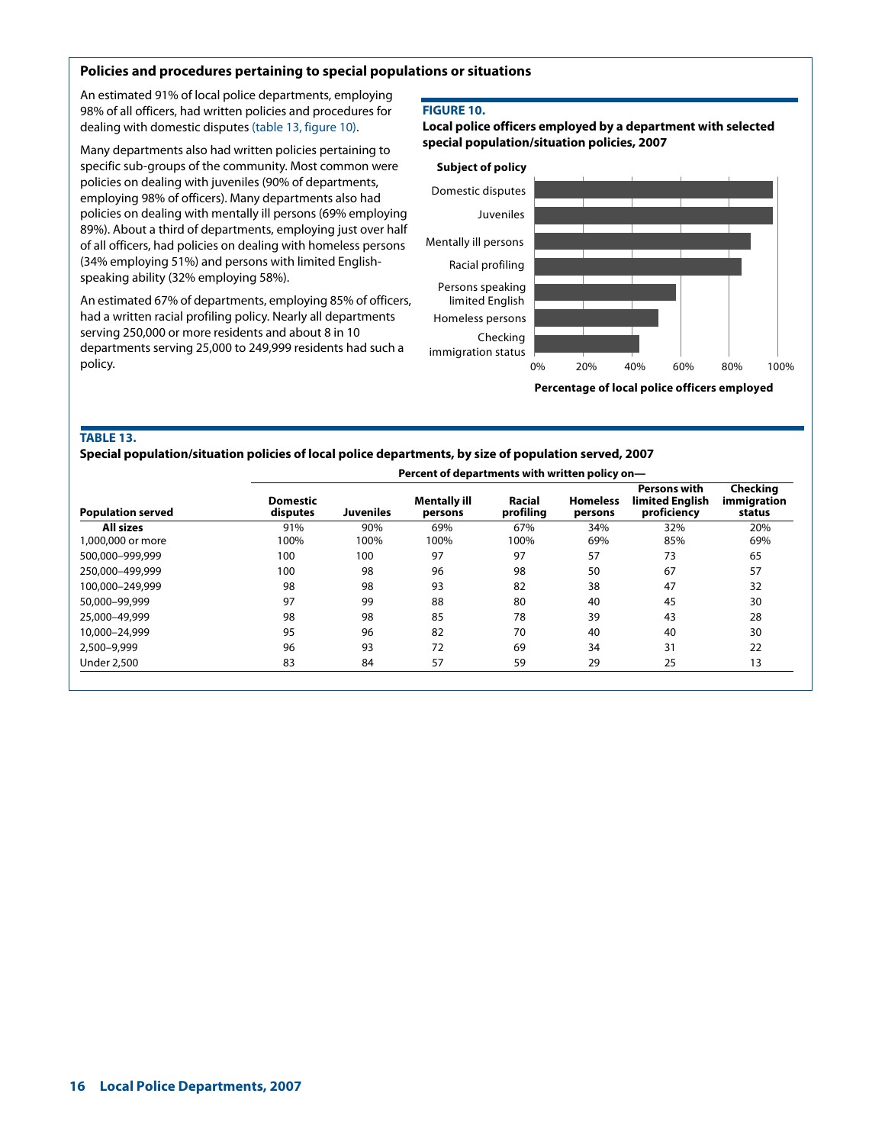## **Policies and procedures pertaining to special populations or situations**

An estimated 91% of local police departments, employing 98% of all officers, had written policies and procedures for dealing with domestic disputes (table 13, figure 10).

Many departments also had written policies pertaining to specific sub-groups of the community. Most common were policies on dealing with juveniles (90% of departments, employing 98% of officers). Many departments also had policies on dealing with mentally ill persons (69% employing 89%). About a third of departments, employing just over half of all officers, had policies on dealing with homeless persons (34% employing 51%) and persons with limited Englishspeaking ability (32% employing 58%).

An estimated 67% of departments, employing 85% of officers, had a written racial profiling policy. Nearly all departments serving 250,000 or more residents and about 8 in 10 departments serving 25,000 to 249,999 residents had such a policy.

#### **FIGURE 10.**

**Local police officers employed by a department with selected special population/situation policies, 2007**



## **TABLE 13.**

**Special population/situation policies of local police departments, by size of population served, 2007** 

|                          | Percent of departments with written policy on- |                  |                         |                     |                            |                                                |                                   |
|--------------------------|------------------------------------------------|------------------|-------------------------|---------------------|----------------------------|------------------------------------------------|-----------------------------------|
| <b>Population served</b> | <b>Domestic</b><br>disputes                    | <b>Juveniles</b> | Mentally ill<br>persons | Racial<br>profiling | <b>Homeless</b><br>persons | Persons with<br>limited Enalish<br>proficiency | Checkina<br>immigration<br>status |
| All sizes                | 91%                                            | 90%              | 69%                     | 67%                 | 34%                        | 32%                                            | 20%                               |
| 1,000,000 or more        | 100%                                           | 100%             | 100%                    | 100%                | 69%                        | 85%                                            | 69%                               |
| 500.000-999.999          | 100                                            | 100              | 97                      | 97                  | 57                         | 73                                             | 65                                |
| 250.000-499.999          | 100                                            | 98               | 96                      | 98                  | 50                         | 67                                             | 57                                |
| 100.000-249.999          | 98                                             | 98               | 93                      | 82                  | 38                         | 47                                             | 32                                |
| 50,000-99,999            | 97                                             | 99               | 88                      | 80                  | 40                         | 45                                             | 30                                |
| 25,000-49,999            | 98                                             | 98               | 85                      | 78                  | 39                         | 43                                             | 28                                |
| 10,000-24,999            | 95                                             | 96               | 82                      | 70                  | 40                         | 40                                             | 30                                |
| 2,500-9,999              | 96                                             | 93               | 72                      | 69                  | 34                         | 31                                             | 22                                |
| <b>Under 2,500</b>       | 83                                             | 84               | 57                      | 59                  | 29                         | 25                                             | 13                                |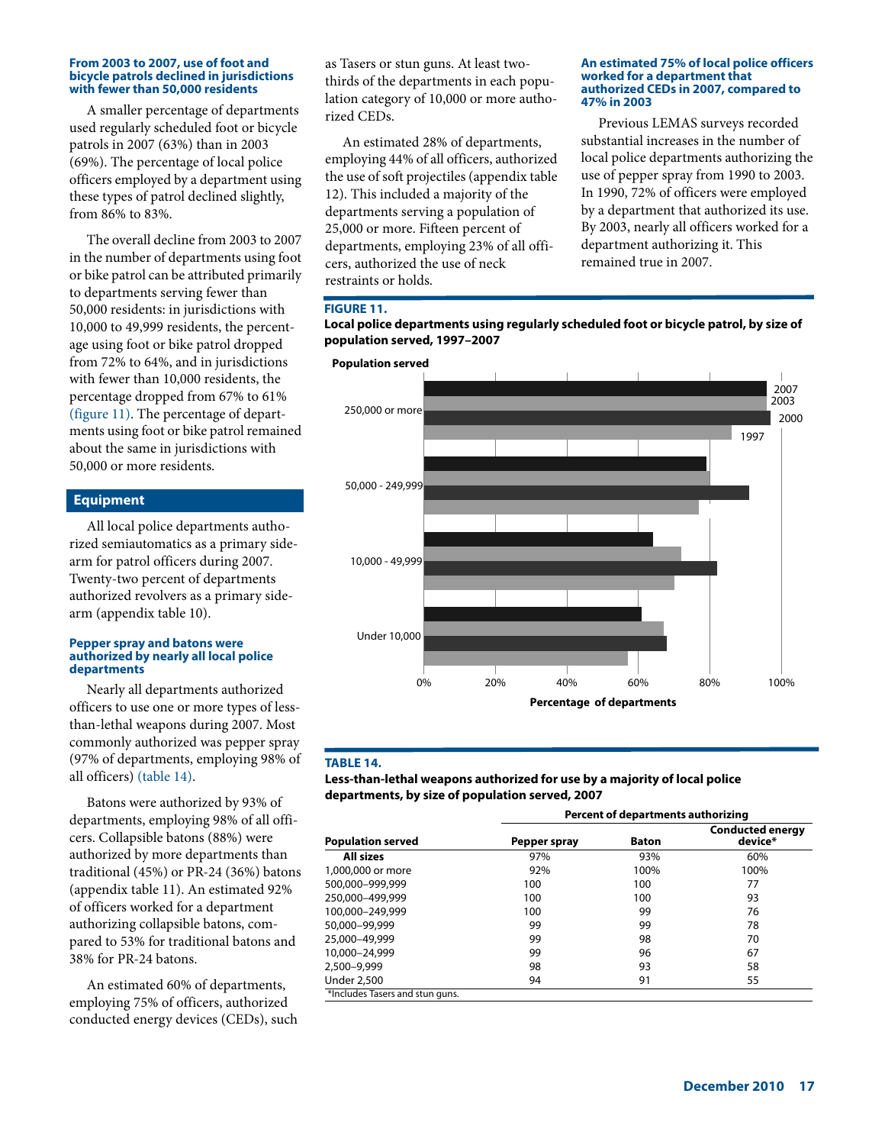#### **From 2003 to 2007, use of foot and bicycle patrols declined in jurisdictions with fewer than 50,000 residents**

A smaller percentage of departments used regularly scheduled foot or bicycle patrols in 2007 (63%) than in 2003 (69%). The percentage of local police officers employed by a department using these types of patrol declined slightly, from 86% to 83%.

The overall decline from 2003 to 2007 in the number of departments using foot or bike patrol can be attributed primarily to departments serving fewer than 50,000 residents: in jurisdictions with 10,000 to 49,999 residents, the percentage using foot or bike patrol dropped from 72% to 64%, and in jurisdictions with fewer than 10,000 residents, the percentage dropped from 67% to 61% (figure 11). The percentage of departments using foot or bike patrol remained about the same in jurisdictions with 50,000 or more residents.

## **Equipment**

All local police departments authorized semiautomatics as a primary sidearm for patrol officers during 2007. Twenty-two percent of departments authorized revolvers as a primary sidearm (appendix table 10).

#### **Pepper spray and batons were authorized by nearly all local police departments**

Nearly all departments authorized officers to use one or more types of lessthan-lethal weapons during 2007. Most commonly authorized was pepper spray (97% of departments, employing 98% of all officers) (table 14).

Batons were authorized by 93% of departments, employing 98% of all officers. Collapsible batons (88%) were authorized by more departments than traditional (45%) or PR-24 (36%) batons (appendix table 11). An estimated 92% of officers worked for a department authorizing collapsible batons, compared to 53% for traditional batons and 38% for PR-24 batons.

An estimated 60% of departments, employing 75% of officers, authorized conducted energy devices (CEDs), such as Tasers or stun guns. At least twothirds of the departments in each population category of 10,000 or more authorized CEDs.

An estimated 28% of departments, employing 44% of all officers, authorized the use of soft projectiles (appendix table 12). This included a majority of the departments serving a population of 25,000 or more. Fifteen percent of departments, employing 23% of all officers, authorized the use of neck restraints or holds.

#### **An estimated 75% of local police officers worked for a department that authorized CEDs in 2007, compared to 47% in 2003**

Previous LEMAS surveys recorded substantial increases in the number of local police departments authorizing the use of pepper spray from 1990 to 2003. In 1990, 72% of officers were employed by a department that authorized its use. By 2003, nearly all officers worked for a department authorizing it. This remained true in 2007.

#### **FIGURE 11.**

**Local police departments using regularly scheduled foot or bicycle patrol, by size of population served, 1997–2007**



#### **TABLE 14.**

**Less-than-lethal weapons authorized for use by a majority of local police departments, by size of population served, 2007**

|                                 | Percent of departments authorizing |              |                                    |  |  |  |  |
|---------------------------------|------------------------------------|--------------|------------------------------------|--|--|--|--|
| <b>Population served</b>        | Pepper spray                       | <b>Baton</b> | <b>Conducted energy</b><br>device* |  |  |  |  |
| <b>All sizes</b>                | 97%                                | 93%          | 60%                                |  |  |  |  |
| 1,000,000 or more               | 92%                                | 100%         | 100%                               |  |  |  |  |
| 500.000-999.999                 | 100                                | 100          | 77                                 |  |  |  |  |
| 250.000-499.999                 | 100                                | 100          | 93                                 |  |  |  |  |
| 100.000-249.999                 | 100                                | 99           | 76                                 |  |  |  |  |
| 50,000-99,999                   | 99                                 | 99           | 78                                 |  |  |  |  |
| 25,000-49,999                   | 99                                 | 98           | 70                                 |  |  |  |  |
| 10,000-24,999                   | 99                                 | 96           | 67                                 |  |  |  |  |
| 2.500-9.999                     | 98                                 | 93           | 58                                 |  |  |  |  |
| <b>Under 2,500</b>              | 94                                 | 91           | 55                                 |  |  |  |  |
| *Includes Tasers and stun guns. |                                    |              |                                    |  |  |  |  |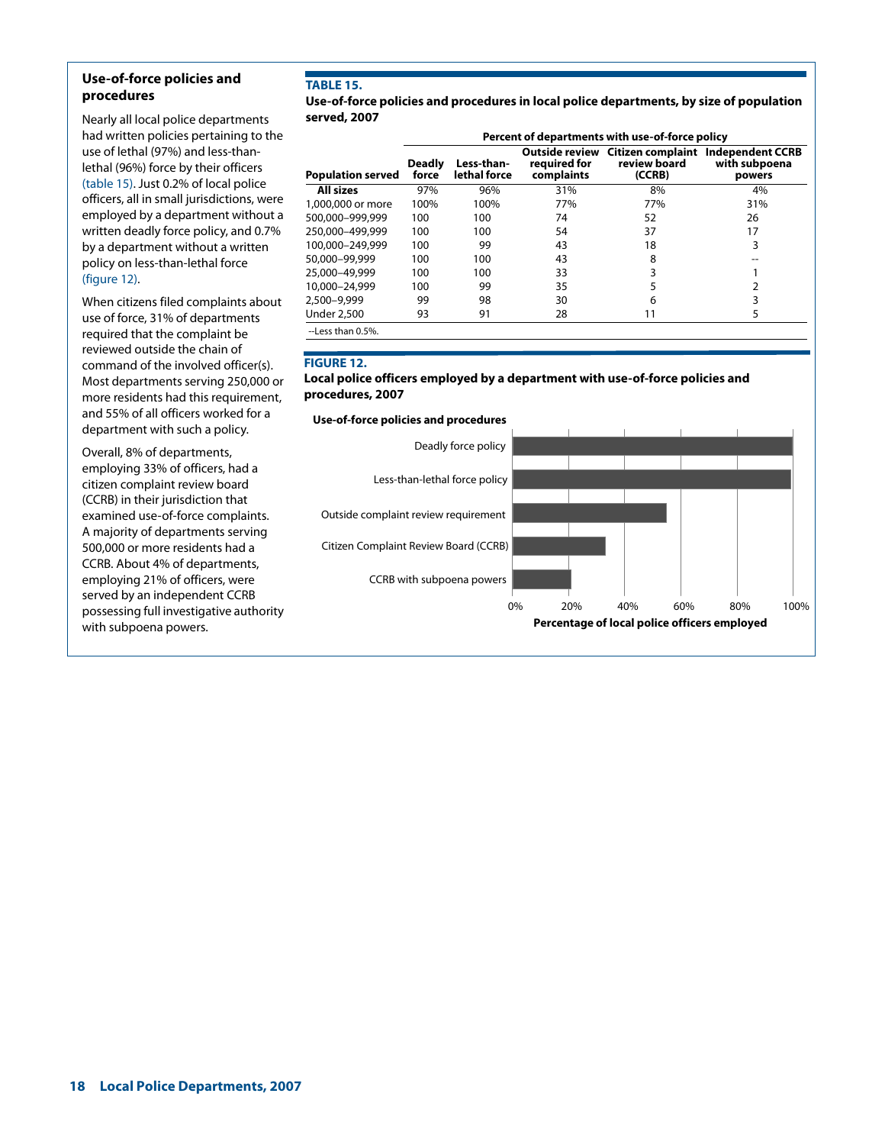## **Use-of-force policies and procedures**

Nearly all local police departments had written policies pertaining to the use of lethal (97%) and less-thanlethal (96%) force by their officers (table 15). Just 0.2% of local police officers, all in small jurisdictions, were employed by a department without a written deadly force policy, and 0.7% by a department without a written policy on less-than-lethal force (figure 12).

When citizens filed complaints about use of force, 31% of departments required that the complaint be reviewed outside the chain of command of the involved officer(s). Most departments serving 250,000 or more residents had this requirement, and 55% of all officers worked for a department with such a policy.

Overall, 8% of departments, employing 33% of officers, had a citizen complaint review board (CCRB) in their jurisdiction that examined use-of-force complaints. A majority of departments serving 500,000 or more residents had a CCRB. About 4% of departments, employing 21% of officers, were served by an independent CCRB possessing full investigative authority with subpoena powers.

# **TABLE 15.**

**Use-of-force policies and procedures in local police departments, by size of population served, 2007**

|                          | Percent of departments with use-of-force policy |                            |                            |                        |                                                                              |  |  |  |
|--------------------------|-------------------------------------------------|----------------------------|----------------------------|------------------------|------------------------------------------------------------------------------|--|--|--|
| <b>Population served</b> | <b>Deadly</b><br>force                          | Less-than-<br>lethal force | reauired for<br>complaints | review board<br>(CCRB) | Outside review Citizen complaint Independent CCRB<br>with subpoena<br>powers |  |  |  |
| All sizes                | 97%                                             | 96%                        | 31%                        | 8%                     | 4%                                                                           |  |  |  |
| 1,000,000 or more        | 100%                                            | 100%                       | 77%                        | 77%                    | 31%                                                                          |  |  |  |
| 500,000-999,999          | 100                                             | 100                        | 74                         | 52                     | 26                                                                           |  |  |  |
| 250.000-499.999          | 100                                             | 100                        | 54                         | 37                     | 17                                                                           |  |  |  |
| 100.000-249.999          | 100                                             | 99                         | 43                         | 18                     | 3                                                                            |  |  |  |
| 50,000-99,999            | 100                                             | 100                        | 43                         | 8                      |                                                                              |  |  |  |
| 25,000-49,999            | 100                                             | 100                        | 33                         |                        |                                                                              |  |  |  |
| 10,000-24,999            | 100                                             | 99                         | 35                         |                        |                                                                              |  |  |  |
| 2,500-9,999              | 99                                              | 98                         | 30                         | 6                      | 3                                                                            |  |  |  |
| <b>Under 2,500</b>       | 93                                              | 91                         | 28                         | 11                     | 5                                                                            |  |  |  |
| --Less than 0.5%.        |                                                 |                            |                            |                        |                                                                              |  |  |  |

## **FIGURE 12.**

## **Local police officers employed by a department with use-of-force policies and procedures, 2007**

**Use-of-force policies and procedures**

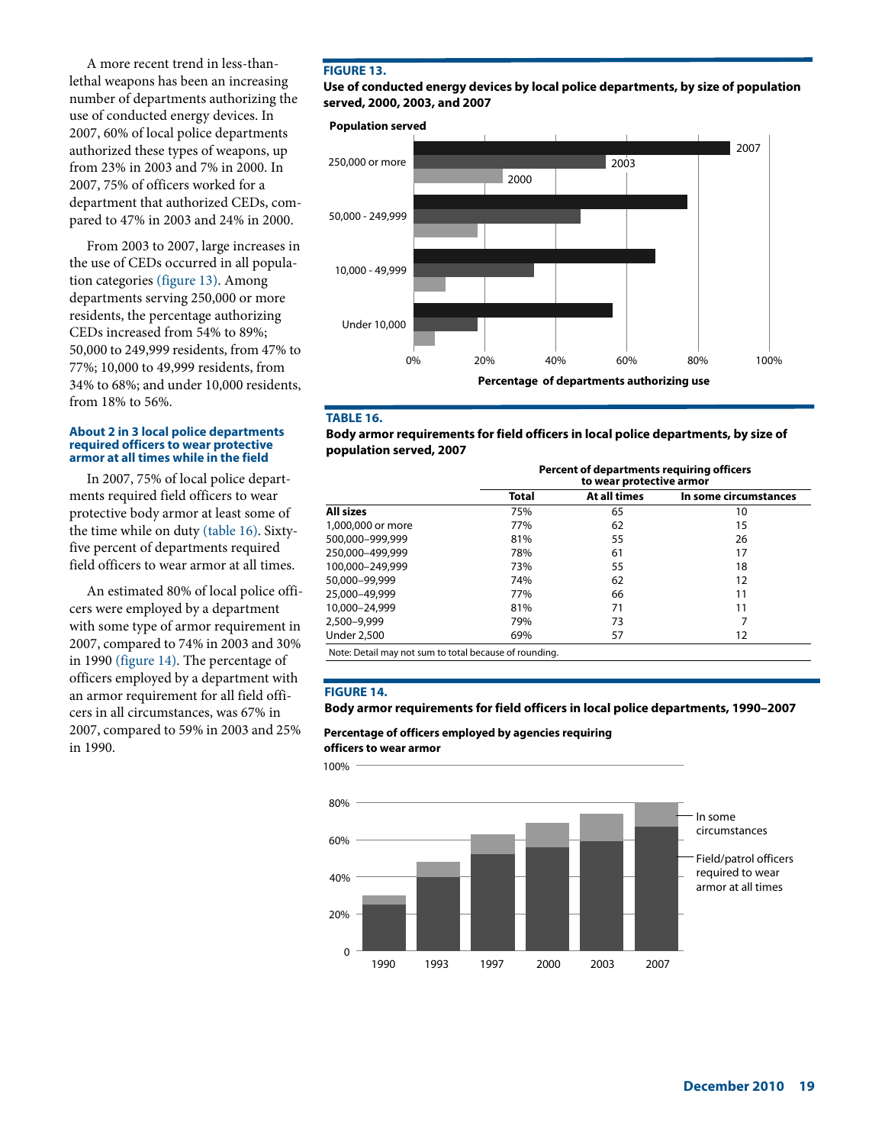A more recent trend in less-thanlethal weapons has been an increasing number of departments authorizing the use of conducted energy devices. In 2007, 60% of local police departments authorized these types of weapons, up from 23% in 2003 and 7% in 2000. In 2007, 75% of officers worked for a department that authorized CEDs, compared to 47% in 2003 and 24% in 2000.

From 2003 to 2007, large increases in the use of CEDs occurred in all population categories (figure 13). Among departments serving 250,000 or more residents, the percentage authorizing CEDs increased from 54% to 89%; 50,000 to 249,999 residents, from 47% to 77%; 10,000 to 49,999 residents, from 34% to 68%; and under 10,000 residents, from 18% to 56%.

#### **About 2 in 3 local police departments required officers to wear protective armor at all times while in the field**

In 2007, 75% of local police departments required field officers to wear protective body armor at least some of the time while on duty (table 16). Sixtyfive percent of departments required field officers to wear armor at all times.

An estimated 80% of local police officers were employed by a department with some type of armor requirement in 2007, compared to 74% in 2003 and 30% in 1990 (figure 14). The percentage of officers employed by a department with an armor requirement for all field officers in all circumstances, was 67% in 2007, compared to 59% in 2003 and 25% in 1990.

## **FIGURE 13.**

**Use of conducted energy devices by local police departments, by size of population served, 2000, 2003, and 2007**

**Population served**



#### **TABLE 16.**

**Body armor requirements for field officers in local police departments, by size of population served, 2007**

|                                                        | Percent of departments requiring officers<br>to wear protective armor |              |                       |  |  |  |  |
|--------------------------------------------------------|-----------------------------------------------------------------------|--------------|-----------------------|--|--|--|--|
|                                                        | Total                                                                 | At all times | In some circumstances |  |  |  |  |
| <b>All sizes</b>                                       | 75%                                                                   | 65           | 10                    |  |  |  |  |
| 1,000,000 or more                                      | 77%                                                                   | 62           | 15                    |  |  |  |  |
| 500.000-999.999                                        | 81%                                                                   | 55           | 26                    |  |  |  |  |
| 250.000-499.999                                        | 78%                                                                   | 61           | 17                    |  |  |  |  |
| 100.000-249.999                                        | 73%                                                                   | 55           | 18                    |  |  |  |  |
| 50,000-99,999                                          | 74%                                                                   | 62           | 12                    |  |  |  |  |
| 25,000-49,999                                          | 77%                                                                   | 66           | 11                    |  |  |  |  |
| 10,000-24,999                                          | 81%                                                                   | 71           | 11                    |  |  |  |  |
| 2,500-9,999                                            | 79%                                                                   | 73           |                       |  |  |  |  |
| <b>Under 2,500</b>                                     | 69%                                                                   | 57           | 12                    |  |  |  |  |
| Note: Detail may not sum to total because of rounding. |                                                                       |              |                       |  |  |  |  |

#### **FIGURE 14.**

**Body armor requirements for field officers in local police departments, 1990–2007**

**Percentage of officers employed by agencies requiring**

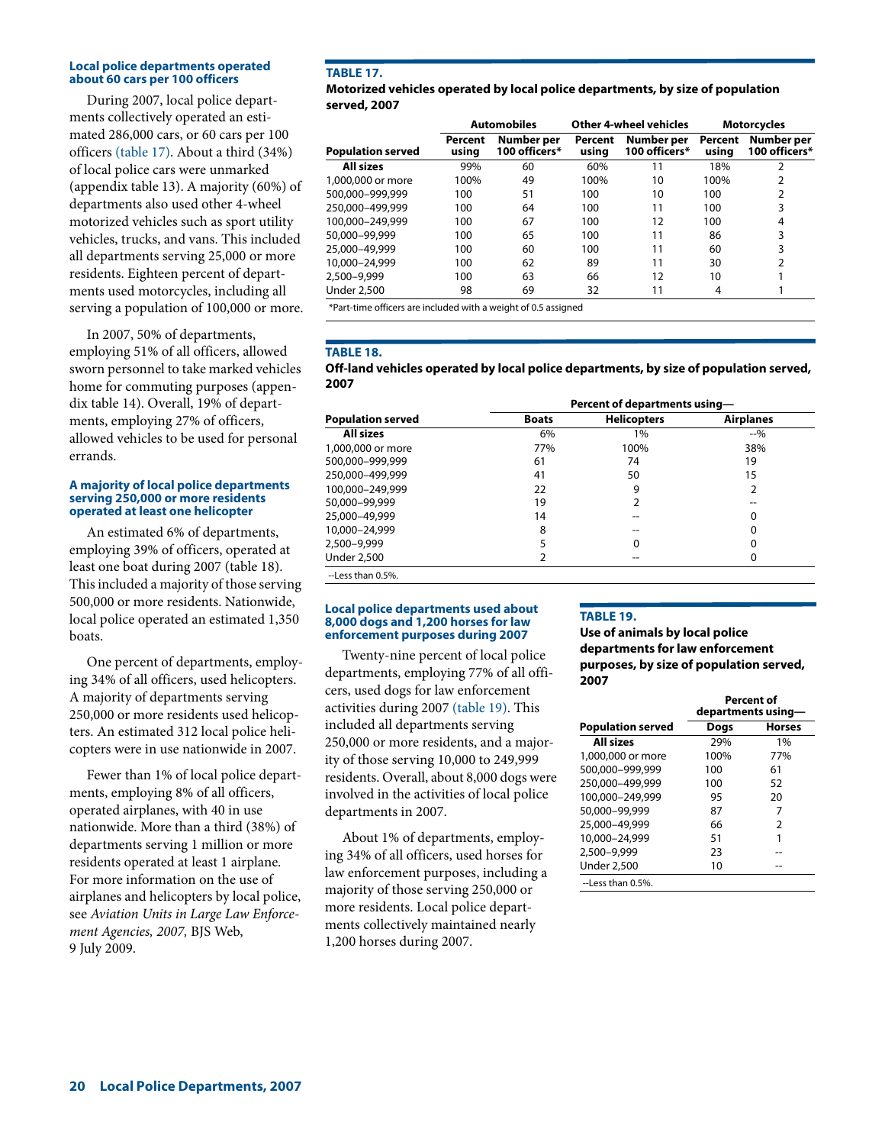#### **Local police departments operated about 60 cars per 100 officers**

During 2007, local police departments collectively operated an estimated 286,000 cars, or 60 cars per 100 officers (table 17). About a third (34%) of local police cars were unmarked (appendix table 13). A majority (60%) of departments also used other 4-wheel motorized vehicles such as sport utility vehicles, trucks, and vans. This included all departments serving 25,000 or more residents. Eighteen percent of departments used motorcycles, including all serving a population of 100,000 or more.

In 2007, 50% of departments, employing 51% of all officers, allowed sworn personnel to take marked vehicles home for commuting purposes (appendix table 14). Overall, 19% of departments, employing 27% of officers, allowed vehicles to be used for personal errands.

#### **A majority of local police departments serving 250,000 or more residents operated at least one helicopter**

An estimated 6% of departments, employing 39% of officers, operated at least one boat during 2007 (table 18). This included a majority of those serving 500,000 or more residents. Nationwide, local police operated an estimated 1,350 boats.

One percent of departments, employing 34% of all officers, used helicopters. A majority of departments serving 250,000 or more residents used helicopters. An estimated 312 local police helicopters were in use nationwide in 2007.

Fewer than 1% of local police departments, employing 8% of all officers, operated airplanes, with 40 in use nationwide. More than a third (38%) of departments serving 1 million or more residents operated at least 1 airplane. For more information on the use of airplanes and helicopters by local police, see *Aviation Units in Large Law Enforcement Agencies, 2007,* BJS Web, 9 July 2009.

## **TABLE 17.**

## **Motorized vehicles operated by local police departments, by size of population served, 2007**

|                          | <b>Automobiles</b> |                             |                  | <b>Other 4-wheel vehicles</b> | <b>Motorcycles</b> |                             |  |
|--------------------------|--------------------|-----------------------------|------------------|-------------------------------|--------------------|-----------------------------|--|
| <b>Population served</b> | Percent<br>usina   | Number per<br>100 officers* | Percent<br>usina | Number per<br>100 officers*   | Percent<br>usina   | Number per<br>100 officers* |  |
| <b>All sizes</b>         | 99%                | 60                          | 60%              | 11                            | 18%                | 2                           |  |
| 1,000,000 or more        | 100%               | 49                          | 100%             | 10                            | 100%               | 2                           |  |
| 500.000-999.999          | 100                | 51                          | 100              | 10                            | 100                | 2                           |  |
| 250.000-499.999          | 100                | 64                          | 100              | 11                            | 100                | 3                           |  |
| 100,000-249,999          | 100                | 67                          | 100              | 12                            | 100                | 4                           |  |
| 50,000-99,999            | 100                | 65                          | 100              | 11                            | 86                 | 3                           |  |
| 25,000-49,999            | 100                | 60                          | 100              | 11                            | 60                 | 3                           |  |
| 10,000-24,999            | 100                | 62                          | 89               | 11                            | 30                 | 2                           |  |
| 2.500-9.999              | 100                | 63                          | 66               | 12                            | 10                 |                             |  |
| <b>Under 2,500</b>       | 98                 | 69                          | 32               | 11                            | 4                  |                             |  |

\*Part-time officers are included with a weight of 0.5 assigned

## **TABLE 18.**

**Off-land vehicles operated by local police departments, by size of population served, 2007**

|                          | Percent of departments using- |                    |                  |  |  |  |  |
|--------------------------|-------------------------------|--------------------|------------------|--|--|--|--|
| <b>Population served</b> | <b>Boats</b>                  | <b>Helicopters</b> | <b>Airplanes</b> |  |  |  |  |
| <b>All sizes</b>         | 6%                            | $1\%$              | $-9/0$           |  |  |  |  |
| 1,000,000 or more        | 77%                           | 100%               | 38%              |  |  |  |  |
| 500,000-999,999          | 61                            | 74                 | 19               |  |  |  |  |
| 250,000-499,999          | 41                            | 50                 | 15               |  |  |  |  |
| 100,000-249,999          | 22                            | 9                  |                  |  |  |  |  |
| 50,000-99,999            | 19                            | 2                  |                  |  |  |  |  |
| 25,000-49,999            | 14                            |                    | 0                |  |  |  |  |
| 10,000-24,999            | 8                             |                    | 0                |  |  |  |  |
| 2,500-9,999              |                               | 0                  | 0                |  |  |  |  |
| <b>Under 2,500</b>       |                               |                    | 0                |  |  |  |  |
| --Less than 0.5%.        |                               |                    |                  |  |  |  |  |

#### **Local police departments used about 8,000 dogs and 1,200 horses for law enforcement purposes during 2007**

Twenty-nine percent of local police departments, employing 77% of all officers, used dogs for law enforcement activities during 2007 (table 19). This included all departments serving 250,000 or more residents, and a majority of those serving 10,000 to 249,999 residents. Overall, about 8,000 dogs were involved in the activities of local police departments in 2007.

About 1% of departments, employing 34% of all officers, used horses for law enforcement purposes, including a majority of those serving 250,000 or more residents. Local police departments collectively maintained nearly 1,200 horses during 2007.

## **TABLE 19.**

**Use of animals by local police departments for law enforcement purposes, by size of population served, 2007**

|                          | <b>Percent of</b><br>departments using— |        |  |  |  |
|--------------------------|-----------------------------------------|--------|--|--|--|
| <b>Population served</b> | Dogs                                    | Horses |  |  |  |
| All sizes                | 29%                                     | 1%     |  |  |  |
| 1,000,000 or more        | 100%                                    | 77%    |  |  |  |
| 500.000-999.999          | 100                                     | 61     |  |  |  |
| 250.000-499.999          | 100                                     | 52     |  |  |  |
| 100,000-249,999          | 95                                      | 20     |  |  |  |
| 50,000-99,999            | 87                                      | 7      |  |  |  |
| 25,000-49,999            | 66                                      | 2      |  |  |  |
| 10.000-24.999            | 51                                      | 1      |  |  |  |
| 2,500-9,999              | 23                                      |        |  |  |  |
| <b>Under 2.500</b>       | 10                                      |        |  |  |  |
| $-L$ ess than 0.5%.      |                                         |        |  |  |  |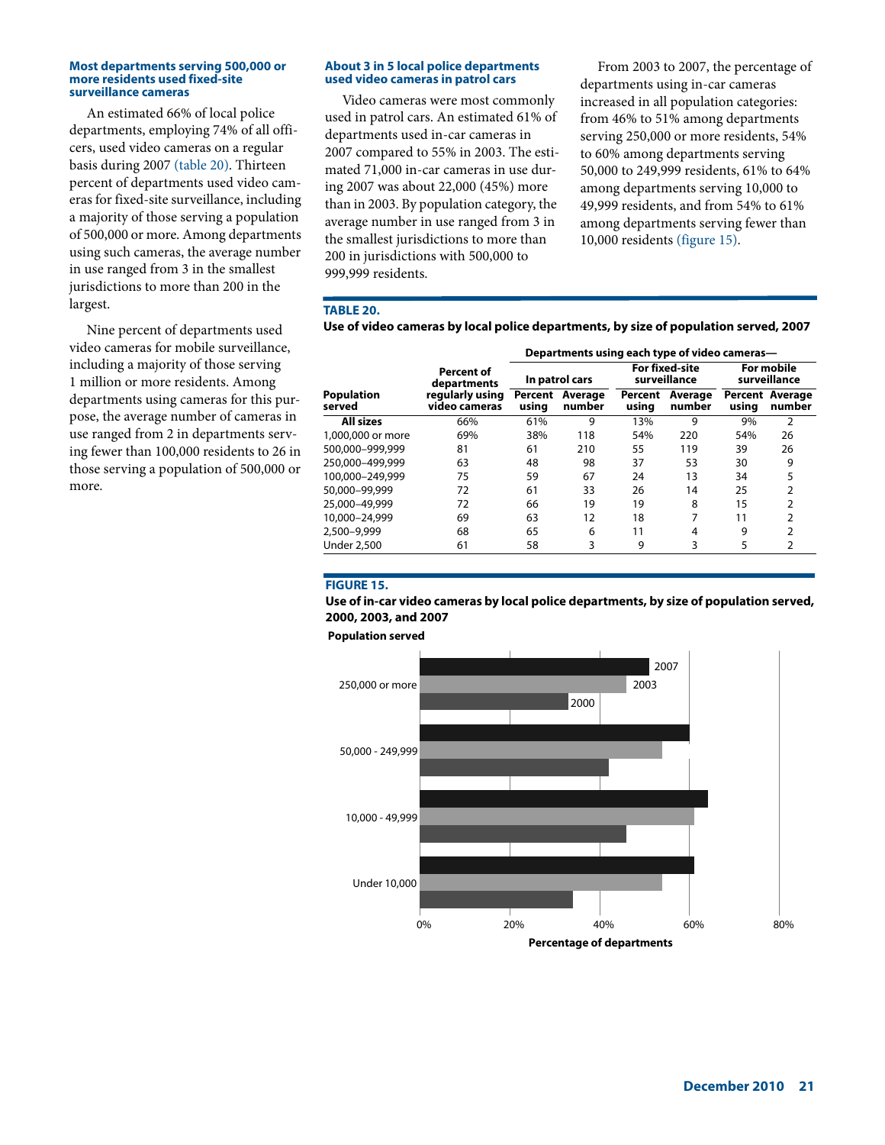#### **Most departments serving 500,000 or more residents used fixed-site surveillance cameras**

An estimated 66% of local police departments, employing 74% of all officers, used video cameras on a regular basis during 2007 (table 20). Thirteen percent of departments used video cameras for fixed-site surveillance, including a majority of those serving a population of 500,000 or more. Among departments using such cameras, the average number in use ranged from 3 in the smallest jurisdictions to more than 200 in the largest.

Nine percent of departments used video cameras for mobile surveillance, including a majority of those serving 1 million or more residents. Among departments using cameras for this purpose, the average number of cameras in use ranged from 2 in departments serving fewer than 100,000 residents to 26 in those serving a population of 500,000 or more.

#### **About 3 in 5 local police departments used video cameras in patrol cars**

Video cameras were most commonly used in patrol cars. An estimated 61% of departments used in-car cameras in 2007 compared to 55% in 2003. The estimated 71,000 in-car cameras in use during 2007 was about 22,000 (45%) more than in 2003. By population category, the average number in use ranged from 3 in the smallest jurisdictions to more than 200 in jurisdictions with 500,000 to 999,999 residents.

From 2003 to 2007, the percentage of departments using in-car cameras increased in all population categories: from 46% to 51% among departments serving 250,000 or more residents, 54% to 60% among departments serving 50,000 to 249,999 residents, 61% to 64% among departments serving 10,000 to 49,999 residents, and from 54% to 61% among departments serving fewer than 10,000 residents (figure 15).

## **TABLE 20.**

| Use of video cameras by local police departments, by size of population served, 2007 |  |  |  |  |
|--------------------------------------------------------------------------------------|--|--|--|--|
|                                                                                      |  |  |  |  |

|                             |                                  | Departments using each type of video cameras— |                   |                  |                                       |                            |                                  |  |  |
|-----------------------------|----------------------------------|-----------------------------------------------|-------------------|------------------|---------------------------------------|----------------------------|----------------------------------|--|--|
|                             | Percent of<br>departments        |                                               | In patrol cars    |                  | <b>For fixed-site</b><br>surveillance | For mobile<br>surveillance |                                  |  |  |
| <b>Population</b><br>served | regularly using<br>video cameras | Percent<br>using                              | Average<br>number | Percent<br>using | Average<br>number                     | usina                      | <b>Percent Average</b><br>number |  |  |
| <b>All sizes</b>            | 66%                              | 61%                                           | 9                 | 13%              | 9                                     | 9%                         | 2                                |  |  |
| 1,000,000 or more           | 69%                              | 38%                                           | 118               | 54%              | 220                                   | 54%                        | 26                               |  |  |
| 500.000-999.999             | 81                               | 61                                            | 210               | 55               | 119                                   | 39                         | 26                               |  |  |
| 250.000-499.999             | 63                               | 48                                            | 98                | 37               | 53                                    | 30                         | 9                                |  |  |
| 100.000-249.999             | 75                               | 59                                            | 67                | 24               | 13                                    | 34                         | 5                                |  |  |
| 50,000-99,999               | 72                               | 61                                            | 33                | 26               | 14                                    | 25                         | ς                                |  |  |
| 25,000-49,999               | 72                               | 66                                            | 19                | 19               | 8                                     | 15                         | 2                                |  |  |
| 10,000-24,999               | 69                               | 63                                            | 12                | 18               | 7                                     | 11                         |                                  |  |  |
| 2,500-9,999                 | 68                               | 65                                            | 6                 | 11               | 4                                     | 9                          | 2                                |  |  |
| <b>Under 2,500</b>          | 61                               | 58                                            | 3                 | 9                | 3                                     | 5                          | 2                                |  |  |

## **FIGURE 15.**

## **Use of in-car video cameras by local police departments, by size of population served, 2000, 2003, and 2007**

**Population served**

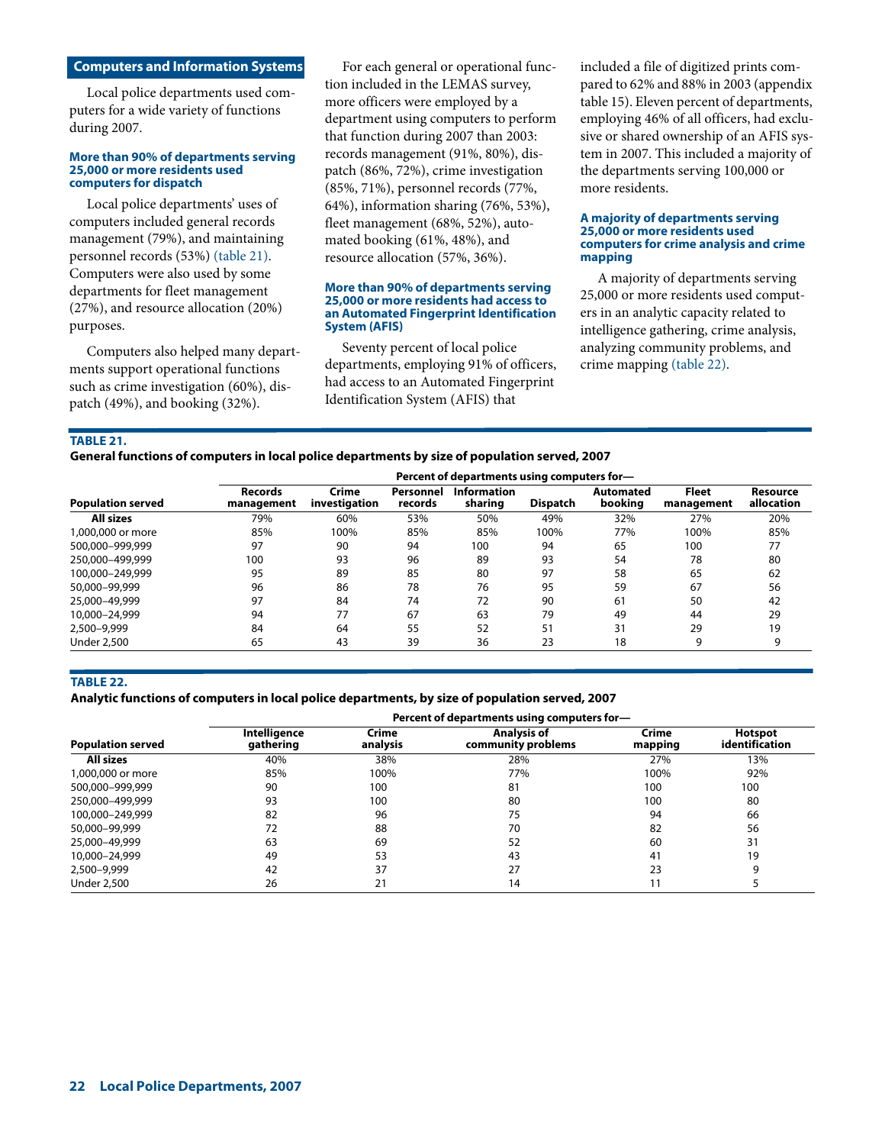## **Computers and Information Systems**

Local police departments used computers for a wide variety of functions during 2007.

#### **More than 90% of departments serving 25,000 or more residents used computers for dispatch**

Local police departments' uses of computers included general records management (79%), and maintaining personnel records (53%) (table 21). Computers were also used by some departments for fleet management (27%), and resource allocation (20%) purposes.

Computers also helped many departments support operational functions such as crime investigation (60%), dispatch (49%), and booking (32%).

For each general or operational function included in the LEMAS survey, more officers were employed by a department using computers to perform that function during 2007 than 2003: records management (91%, 80%), dispatch (86%, 72%), crime investigation (85%, 71%), personnel records (77%, 64%), information sharing (76%, 53%), fleet management (68%, 52%), automated booking (61%, 48%), and resource allocation (57%, 36%).

#### **More than 90% of departments serving 25,000 or more residents had access to an Automated Fingerprint Identification System (AFIS)**

Seventy percent of local police departments, employing 91% of officers, had access to an Automated Fingerprint Identification System (AFIS) that

included a file of digitized prints compared to 62% and 88% in 2003 (appendix table 15). Eleven percent of departments, employing 46% of all officers, had exclusive or shared ownership of an AFIS system in 2007. This included a majority of the departments serving 100,000 or more residents.

#### **A majority of departments serving 25,000 or more residents used computers for crime analysis and crime mapping**

A majority of departments serving 25,000 or more residents used computers in an analytic capacity related to intelligence gathering, crime analysis, analyzing community problems, and crime mapping (table 22).

**TABLE 21.** 

|                          | Percent of departments using computers for- |                        |                      |                               |                 |                      |                            |                        |  |  |
|--------------------------|---------------------------------------------|------------------------|----------------------|-------------------------------|-----------------|----------------------|----------------------------|------------------------|--|--|
| <b>Population served</b> | <b>Records</b><br>management                | Crime<br>investigation | Personnel<br>records | <b>Information</b><br>sharing | <b>Dispatch</b> | Automated<br>booking | <b>Fleet</b><br>management | Resource<br>allocation |  |  |
| All sizes                | 79%                                         | 60%                    | 53%                  | 50%                           | 49%             | 32%                  | 27%                        | 20%                    |  |  |
| 1,000,000 or more        | 85%                                         | 100%                   | 85%                  | 85%                           | 100%            | 77%                  | 100%                       | 85%                    |  |  |
| 500.000-999.999          | 97                                          | 90                     | 94                   | 100                           | 94              | 65                   | 100                        | 77                     |  |  |
| 250,000-499,999          | 100                                         | 93                     | 96                   | 89                            | 93              | 54                   | 78                         | 80                     |  |  |
| 100.000-249.999          | 95                                          | 89                     | 85                   | 80                            | 97              | 58                   | 65                         | 62                     |  |  |
| 50,000-99,999            | 96                                          | 86                     | 78                   | 76                            | 95              | 59                   | 67                         | 56                     |  |  |
| 25,000-49,999            | 97                                          | 84                     | 74                   | 72                            | 90              | 61                   | 50                         | 42                     |  |  |
| 10,000-24,999            | 94                                          | 77                     | 67                   | 63                            | 79              | 49                   | 44                         | 29                     |  |  |
| 2.500-9.999              | 84                                          | 64                     | 55                   | 52                            | 51              | 31                   | 29                         | 19                     |  |  |
| <b>Under 2,500</b>       | 65                                          | 43                     | 39                   | 36                            | 23              | 18                   | 9                          | 9                      |  |  |

#### **TABLE 22.**

#### **Analytic functions of computers in local police departments, by size of population served, 2007**

**Percent of departments using computers for— Population served Intelligence gathering Crime analysis Analysis of community problems Crime mapping Hotspot identification All sizes** 40% 38% 28% 27% 13% 1,000,000 or more 85% 100% 77% 100% 92% 500,000–999,999 90 100 81 100 100 250,000–499,999 93 100 80 100 80 100,000–249,999 82 96 75 94 66 50,000–99,999 72 88 70 82 56 25,000–49,999 63 69 52 60 31 10,000–24,999 49 53 43 41 19 2,500–9,999 42 37 27 23 9 Under 2,500 26 21 14 11 5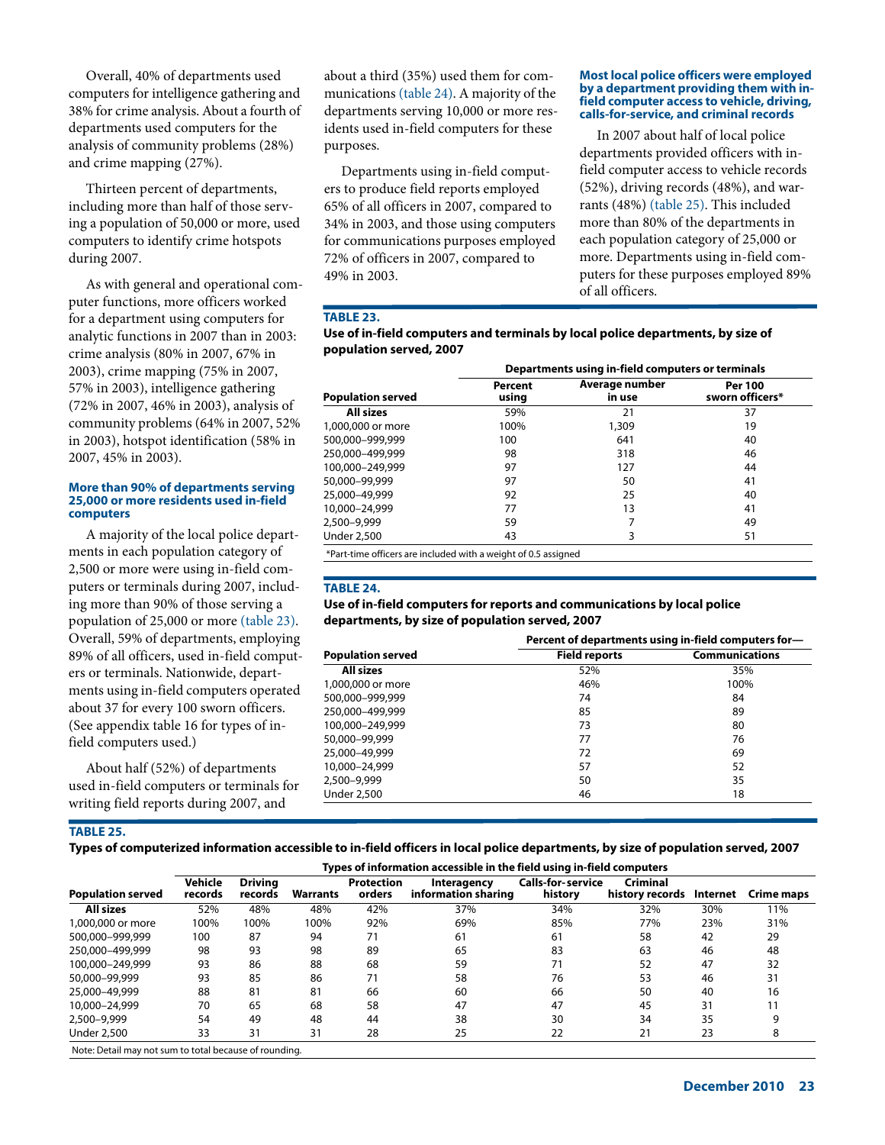Overall, 40% of departments used computers for intelligence gathering and 38% for crime analysis. About a fourth of departments used computers for the analysis of community problems (28%) and crime mapping (27%).

Thirteen percent of departments, including more than half of those serving a population of 50,000 or more, used computers to identify crime hotspots during 2007.

As with general and operational computer functions, more officers worked for a department using computers for analytic functions in 2007 than in 2003: crime analysis (80% in 2007, 67% in 2003), crime mapping (75% in 2007, 57% in 2003), intelligence gathering (72% in 2007, 46% in 2003), analysis of community problems (64% in 2007, 52% in 2003), hotspot identification (58% in 2007, 45% in 2003).

#### **More than 90% of departments serving 25,000 or more residents used in-field computers**

A majority of the local police departments in each population category of 2,500 or more were using in-field computers or terminals during 2007, including more than 90% of those serving a population of 25,000 or more (table 23). Overall, 59% of departments, employing 89% of all officers, used in-field computers or terminals. Nationwide, departments using in-field computers operated about 37 for every 100 sworn officers. (See appendix table 16 for types of infield computers used.)

About half (52%) of departments used in-field computers or terminals for writing field reports during 2007, and

about a third (35%) used them for communications (table 24). A majority of the departments serving 10,000 or more residents used in-field computers for these purposes.

Departments using in-field computers to produce field reports employed 65% of all officers in 2007, compared to 34% in 2003, and those using computers for communications purposes employed 72% of officers in 2007, compared to 49% in 2003.

#### **Most local police officers were employed by a department providing them with infield computer access to vehicle, driving, calls-for-service, and criminal records**

In 2007 about half of local police departments provided officers with infield computer access to vehicle records (52%), driving records (48%), and warrants (48%) (table 25). This included more than 80% of the departments in each population category of 25,000 or more. Departments using in-field computers for these purposes employed 89% of all officers.

# **TABLE 23.**

## **Use of in-field computers and terminals by local police departments, by size of population served, 2007**

|                                                                | Departments using in-field computers or terminals |                          |                                   |  |  |  |  |  |
|----------------------------------------------------------------|---------------------------------------------------|--------------------------|-----------------------------------|--|--|--|--|--|
| <b>Population served</b>                                       | <b>Percent</b><br>using                           | Average number<br>in use | <b>Per 100</b><br>sworn officers* |  |  |  |  |  |
| <b>All sizes</b>                                               | 59%                                               | 21                       | 37                                |  |  |  |  |  |
| 1,000,000 or more                                              | 100%                                              | 1,309                    | 19                                |  |  |  |  |  |
| 500.000-999.999                                                | 100                                               | 641                      | 40                                |  |  |  |  |  |
| 250.000-499.999                                                | 98                                                | 318                      | 46                                |  |  |  |  |  |
| 100.000-249.999                                                | 97                                                | 127                      | 44                                |  |  |  |  |  |
| 50,000-99,999                                                  | 97                                                | 50                       | 41                                |  |  |  |  |  |
| 25,000-49,999                                                  | 92                                                | 25                       | 40                                |  |  |  |  |  |
| 10,000-24,999                                                  | 77                                                | 13                       | 41                                |  |  |  |  |  |
| 2,500-9,999                                                    | 59                                                |                          | 49                                |  |  |  |  |  |
| <b>Under 2,500</b>                                             | 43                                                | 3                        | 51                                |  |  |  |  |  |
| *Part-time officers are included with a weight of 0.5 assigned |                                                   |                          |                                   |  |  |  |  |  |

## **TABLE 24.**

#### **Use of in-field computers for reports and communications by local police departments, by size of population served, 2007**

|                          | Percent of departments using in-field computers for- |                       |  |  |  |  |
|--------------------------|------------------------------------------------------|-----------------------|--|--|--|--|
| <b>Population served</b> | <b>Field reports</b>                                 | <b>Communications</b> |  |  |  |  |
| <b>All sizes</b>         | 52%                                                  | 35%                   |  |  |  |  |
| 1,000,000 or more        | 46%                                                  | 100%                  |  |  |  |  |
| 500,000-999,999          | 74                                                   | 84                    |  |  |  |  |
| 250,000-499,999          | 85                                                   | 89                    |  |  |  |  |
| 100,000-249,999          | 73                                                   | 80                    |  |  |  |  |
| 50,000-99,999            | 77                                                   | 76                    |  |  |  |  |
| 25,000-49,999            | 72                                                   | 69                    |  |  |  |  |
| 10,000-24,999            | 57                                                   | 52                    |  |  |  |  |
| 2,500-9,999              | 50                                                   | 35                    |  |  |  |  |
| <b>Under 2,500</b>       | 46                                                   | 18                    |  |  |  |  |

## **TABLE 25.**

**Types of computerized information accessible to in-field officers in local police departments, by size of population served, 2007**

| <b>Population served</b>                                                                                    | Types of information accessible in the field using in-field computers |                           |          |                             |                                    |                                     |                             |          |            |  |
|-------------------------------------------------------------------------------------------------------------|-----------------------------------------------------------------------|---------------------------|----------|-----------------------------|------------------------------------|-------------------------------------|-----------------------------|----------|------------|--|
|                                                                                                             | Vehicle<br>records                                                    | <b>Drivina</b><br>records | Warrants | <b>Protection</b><br>orders | Interagency<br>information sharing | <b>Calls-for-service</b><br>history | Criminal<br>history records | Internet | Crime maps |  |
| <b>All sizes</b>                                                                                            | 52%                                                                   | 48%                       | 48%      | 42%                         | 37%                                | 34%                                 | 32%                         | 30%      | 11%        |  |
| 1,000,000 or more                                                                                           | 100%                                                                  | 100%                      | 100%     | 92%                         | 69%                                | 85%                                 | 77%                         | 23%      | 31%        |  |
| 500.000-999.999                                                                                             | 100                                                                   | 87                        | 94       | 71                          | 61                                 | 61                                  | 58                          | 42       | 29         |  |
| 250,000-499,999                                                                                             | 98                                                                    | 93                        | 98       | 89                          | 65                                 | 83                                  | 63                          | 46       | 48         |  |
| 100.000-249.999                                                                                             | 93                                                                    | 86                        | 88       | 68                          | 59                                 | 71                                  | 52                          | 47       | 32         |  |
| 50,000-99,999                                                                                               | 93                                                                    | 85                        | 86       | 71                          | 58                                 | 76                                  | 53                          | 46       | 31         |  |
| 25,000-49,999                                                                                               | 88                                                                    | 81                        | 81       | 66                          | 60                                 | 66                                  | 50                          | 40       | 16         |  |
| 10,000-24,999                                                                                               | 70                                                                    | 65                        | 68       | 58                          | 47                                 | 47                                  | 45                          | 31       | 11         |  |
| 2.500-9.999                                                                                                 | 54                                                                    | 49                        | 48       | 44                          | 38                                 | 30                                  | 34                          | 35       |            |  |
| <b>Under 2,500</b>                                                                                          | 33                                                                    | 31                        | 31       | 28                          | 25                                 | 22                                  | 21                          | 23       | 8          |  |
| $\mathbf{r}$ , and $\mathbf{r}$ , and $\mathbf{r}$ , and $\mathbf{r}$ , and $\mathbf{r}$ , and $\mathbf{r}$ |                                                                       |                           |          |                             |                                    |                                     |                             |          |            |  |

Note: Detail may not sum to total because of rounding.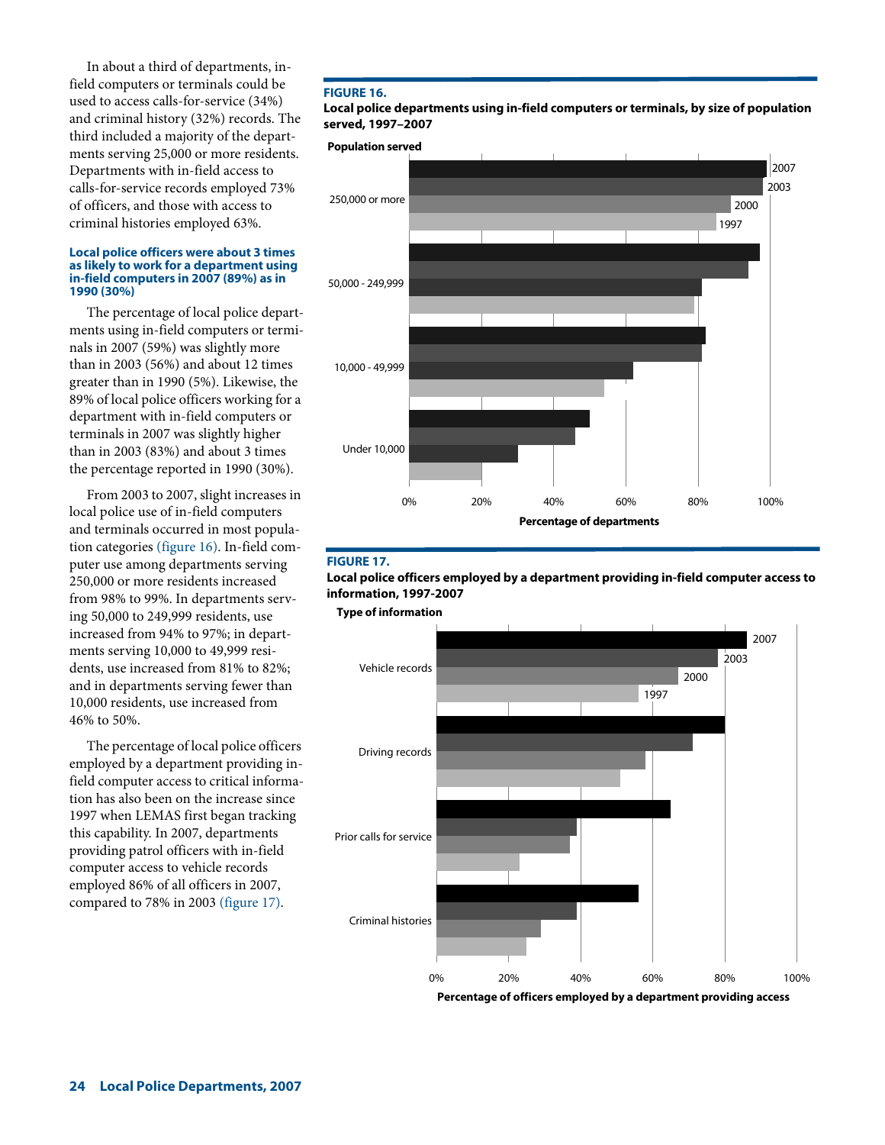In about a third of departments, infield computers or terminals could be used to access calls-for-service (34%) and criminal history (32%) records. The third included a majority of the departments serving 25,000 or more residents. Departments with in-field access to calls-for-service records employed 73% of officers, and those with access to criminal histories employed 63%.

#### **Local police officers were about 3 times as likely to work for a department using in-field computers in 2007 (89%) as in 1990 (30%)**

The percentage of local police departments using in-field computers or terminals in 2007 (59%) was slightly more than in 2003 (56%) and about 12 times greater than in 1990 (5%). Likewise, the 89% of local police officers working for a department with in-field computers or terminals in 2007 was slightly higher than in 2003 (83%) and about 3 times the percentage reported in 1990 (30%).

From 2003 to 2007, slight increases in local police use of in-field computers and terminals occurred in most population categories (figure 16). In-field computer use among departments serving 250,000 or more residents increased from 98% to 99%. In departments serving 50,000 to 249,999 residents, use increased from 94% to 97%; in departments serving 10,000 to 49,999 residents, use increased from 81% to 82%; and in departments serving fewer than 10,000 residents, use increased from 46% to 50%.

The percentage of local police officers employed by a department providing infield computer access to critical information has also been on the increase since 1997 when LEMAS first began tracking this capability. In 2007, departments providing patrol officers with in-field computer access to vehicle records employed 86% of all officers in 2007, compared to 78% in 2003 (figure 17).

## **FIGURE 16.**

**Local police departments using in-field computers or terminals, by size of population served, 1997–2007**





#### **FIGURE 17.**

**Local police officers employed by a department providing in-field computer access to information, 1997-2007**



**Percentage of officers employed by a department providing access**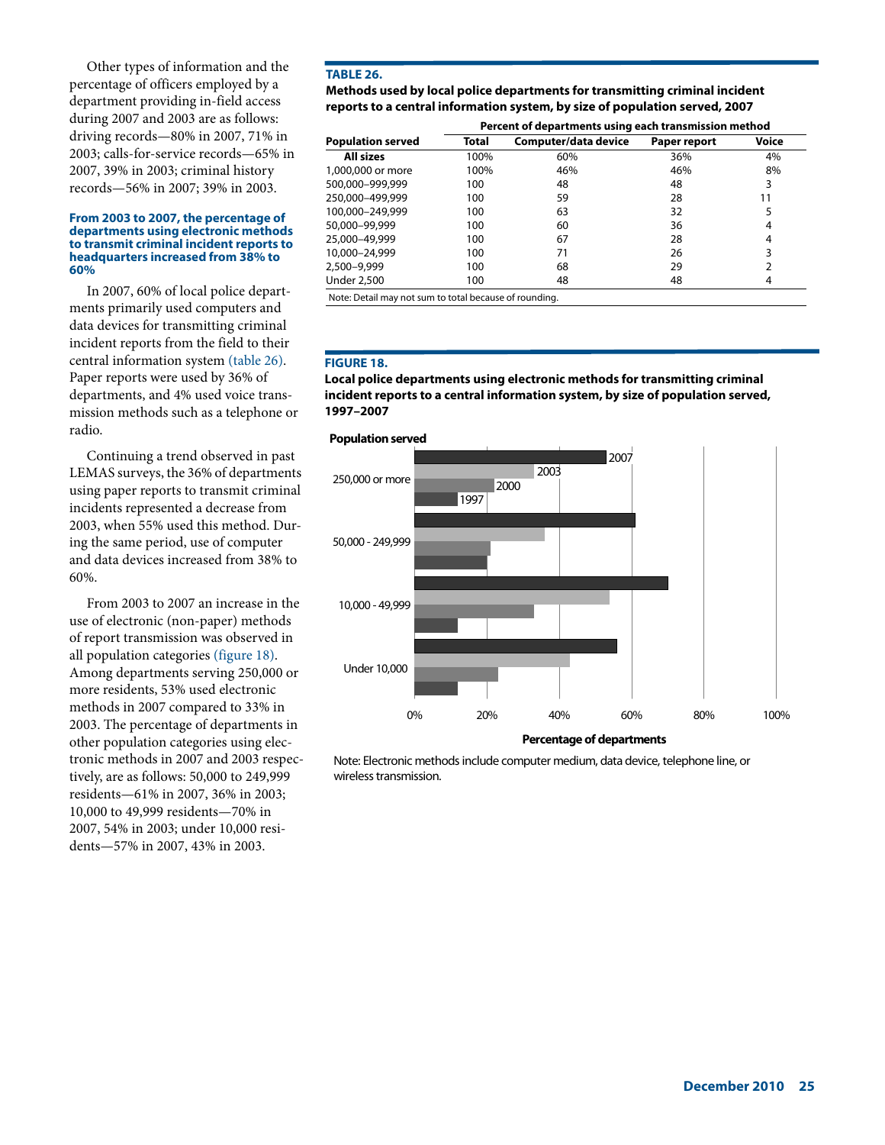Other types of information and the percentage of officers employed by a department providing in-field access during 2007 and 2003 are as follows: driving records—80% in 2007, 71% in 2003; calls-for-service records—65% in 2007, 39% in 2003; criminal history records—56% in 2007; 39% in 2003.

#### **From 2003 to 2007, the percentage of departments using electronic methods to transmit criminal incident reports to headquarters increased from 38% to 60%**

In 2007, 60% of local police departments primarily used computers and data devices for transmitting criminal incident reports from the field to their central information system (table 26). Paper reports were used by 36% of departments, and 4% used voice transmission methods such as a telephone or radio.

Continuing a trend observed in past LEMAS surveys, the 36% of departments using paper reports to transmit criminal incidents represented a decrease from 2003, when 55% used this method. During the same period, use of computer and data devices increased from 38% to 60%.

From 2003 to 2007 an increase in the use of electronic (non-paper) methods of report transmission was observed in all population categories (figure 18). Among departments serving 250,000 or more residents, 53% used electronic methods in 2007 compared to 33% in 2003. The percentage of departments in other population categories using electronic methods in 2007 and 2003 respectively, are as follows: 50,000 to 249,999 residents—61% in 2007, 36% in 2003; 10,000 to 49,999 residents—70% in 2007, 54% in 2003; under 10,000 residents—57% in 2007, 43% in 2003.

## **TABLE 26.**

**Methods used by local police departments for transmitting criminal incident reports to a central information system, by size of population served, 2007**

|                          |       | Percent of departments using each transmission method |              |       |
|--------------------------|-------|-------------------------------------------------------|--------------|-------|
| <b>Population served</b> | Total | Computer/data device                                  | Paper report | Voice |
| <b>All sizes</b>         | 100%  | 60%                                                   | 36%          | 4%    |
| 1,000,000 or more        | 100%  | 46%                                                   | 46%          | 8%    |
| 500.000-999.999          | 100   | 48                                                    | 48           | 3     |
| 250.000-499.999          | 100   | 59                                                    | 28           | 11    |
| 100.000-249.999          | 100   | 63                                                    | 32           | 5     |
| 50,000-99,999            | 100   | 60                                                    | 36           | 4     |
| 25,000-49,999            | 100   | 67                                                    | 28           | 4     |
| 10,000-24,999            | 100   | 71                                                    | 26           | 3     |
| 2,500-9,999              | 100   | 68                                                    | 29           |       |
| <b>Under 2,500</b>       | 100   | 48                                                    | 48           | 4     |

#### **FIGURE 18.**

**Local police departments using electronic methods for transmitting criminal incident reports to a central information system, by size of population served, 1997–2007**

## **Population served**



Note: Electronic methods include computer medium, data device, telephone line, or wireless transmission.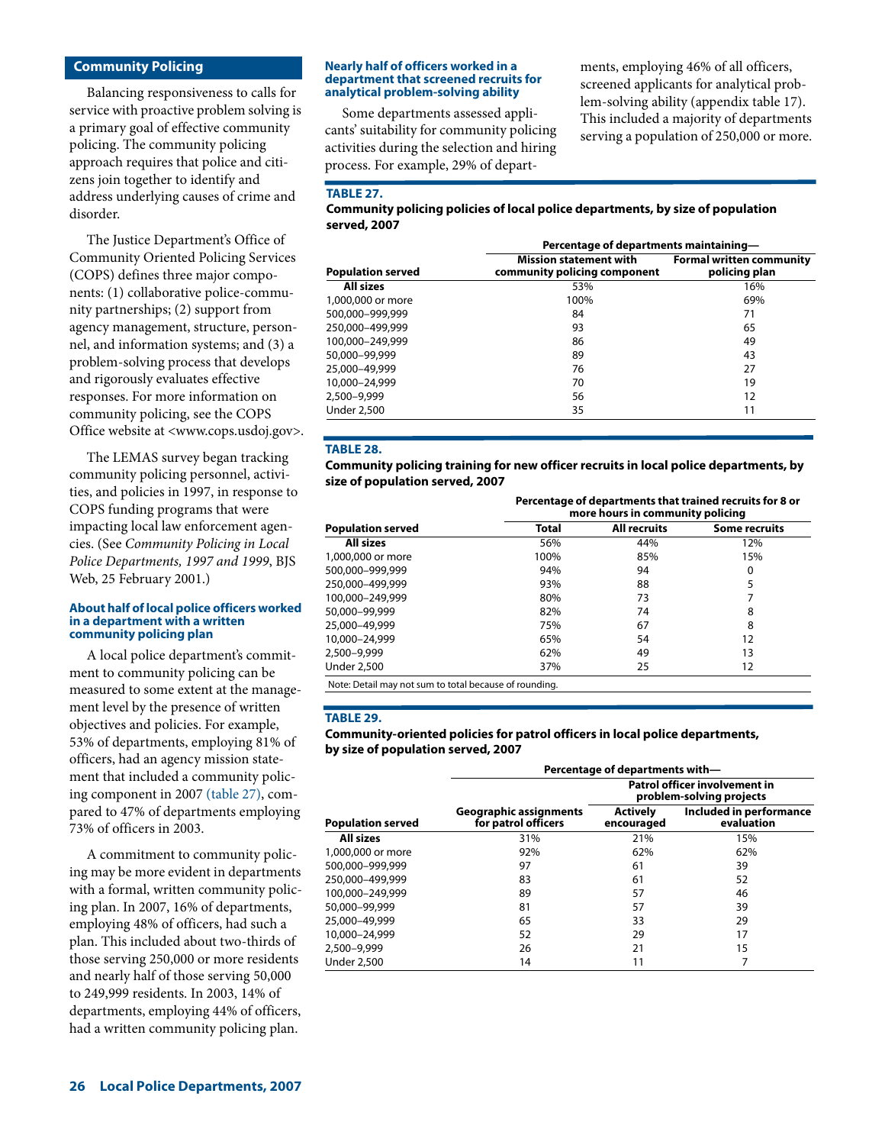## **Community Policing**

Balancing responsiveness to calls for service with proactive problem solving is a primary goal of effective community policing. The community policing approach requires that police and citizens join together to identify and address underlying causes of crime and disorder.

The Justice Department's Office of Community Oriented Policing Services (COPS) defines three major components: (1) collaborative police-community partnerships; (2) support from agency management, structure, personnel, and information systems; and (3) a problem-solving process that develops and rigorously evaluates effective responses. For more information on community policing, see the COPS Office website at <www.cops.usdoj.gov>.

The LEMAS survey began tracking community policing personnel, activities, and policies in 1997, in response to COPS funding programs that were impacting local law enforcement agencies. (See *Community Policing in Local Police Departments, 1997 and 1999*, BJS Web, 25 February 2001.)

#### **About half of local police officers worked in a department with a written community policing plan**

A local police department's commitment to community policing can be measured to some extent at the management level by the presence of written objectives and policies. For example, 53% of departments, employing 81% of officers, had an agency mission statement that included a community policing component in 2007 (table 27), compared to 47% of departments employing 73% of officers in 2003.

A commitment to community policing may be more evident in departments with a formal, written community policing plan. In 2007, 16% of departments, employing 48% of officers, had such a plan. This included about two-thirds of those serving 250,000 or more residents and nearly half of those serving 50,000 to 249,999 residents. In 2003, 14% of departments, employing 44% of officers, had a written community policing plan.

#### **Nearly half of officers worked in a department that screened recruits for analytical problem-solving ability**

Some departments assessed applicants' suitability for community policing activities during the selection and hiring process. For example, 29% of departments, employing 46% of all officers, screened applicants for analytical problem-solving ability (appendix table 17). This included a majority of departments serving a population of 250,000 or more.

## **TABLE 27.**

**Community policing policies of local police departments, by size of population served, 2007**

|                          | Percentage of departments maintaining-                        |                                                  |  |  |
|--------------------------|---------------------------------------------------------------|--------------------------------------------------|--|--|
| <b>Population served</b> | <b>Mission statement with</b><br>community policing component | <b>Formal written community</b><br>policing plan |  |  |
| All sizes                | 53%                                                           | 16%                                              |  |  |
| 1,000,000 or more        | 100%                                                          | 69%                                              |  |  |
| 500.000-999.999          | 84                                                            | 71                                               |  |  |
| 250.000-499.999          | 93                                                            | 65                                               |  |  |
| 100.000-249.999          | 86                                                            | 49                                               |  |  |
| 50,000-99,999            | 89                                                            | 43                                               |  |  |
| 25,000-49,999            | 76                                                            | 27                                               |  |  |
| 10,000-24,999            | 70                                                            | 19                                               |  |  |
| 2,500-9,999              | 56                                                            | 12                                               |  |  |
| <b>Under 2,500</b>       | 35                                                            | 11                                               |  |  |

## **TABLE 28.**

**Community policing training for new officer recruits in local police departments, by size of population served, 2007**

**Percentage of departments that trained recruits for 8 or** 

|                          |              | more hours in community policing | , crecinage of acparements that trained recrams for o or |  |
|--------------------------|--------------|----------------------------------|----------------------------------------------------------|--|
| <b>Population served</b> | <b>Total</b> | <b>All recruits</b>              | <b>Some recruits</b>                                     |  |
| All sizes                | 56%          | 44%                              | 12%                                                      |  |
| 1,000,000 or more        | 100%         | 85%                              | 15%                                                      |  |
| 500,000-999,999          | 94%          | 94                               | 0                                                        |  |
| 250,000-499,999          | 93%          | 88                               | 5                                                        |  |
| 100.000-249.999          | 80%          | 73                               |                                                          |  |
| 50,000-99,999            | 82%          | 74                               | 8                                                        |  |
| 25,000-49,999            | 75%          | 67                               | 8                                                        |  |
| 10.000-24.999            | 65%          | 54                               | 12                                                       |  |
| 2,500–9,999              | 62%          | 49                               | 13                                                       |  |
| Under 2,500              | 37%          | 25                               | 12                                                       |  |

Note: Detail may not sum to total because of rounding.

#### **TABLE 29.**

#### **Community-oriented policies for patrol officers in local police departments, by size of population served, 2007**

|                          |                                                      | Percentage of departments with-                           |                                       |  |
|--------------------------|------------------------------------------------------|-----------------------------------------------------------|---------------------------------------|--|
|                          |                                                      | Patrol officer involvement in<br>problem-solving projects |                                       |  |
| <b>Population served</b> | <b>Geographic assignments</b><br>for patrol officers | <b>Actively</b><br>encouraged                             | Included in performance<br>evaluation |  |
| <b>All sizes</b>         | 31%                                                  | 21%                                                       | 15%                                   |  |
| 1,000,000 or more        | 92%                                                  | 62%                                                       | 62%                                   |  |
| 500.000-999.999          | 97                                                   | 61                                                        | 39                                    |  |
| 250.000-499.999          | 83                                                   | 61                                                        | 52                                    |  |
| 100.000-249.999          | 89                                                   | 57                                                        | 46                                    |  |
| 50.000-99.999            | 81                                                   | 57                                                        | 39                                    |  |
| 25.000-49.999            | 65                                                   | 33                                                        | 29                                    |  |
| 10.000-24.999            | 52                                                   | 29                                                        | 17                                    |  |
| 2,500–9,999              | 26                                                   | 21                                                        | 15                                    |  |
| Under 2,500              | 14                                                   | 11                                                        | 7                                     |  |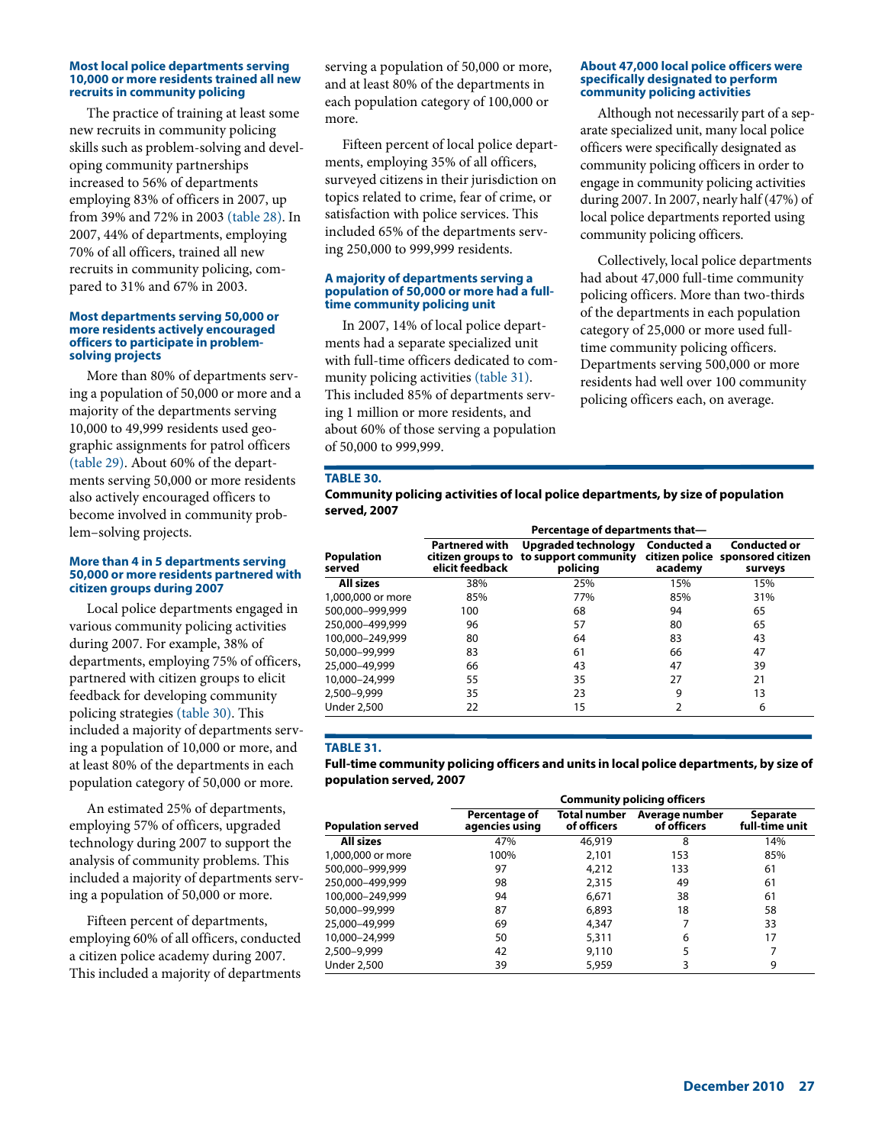#### **Most local police departments serving 10,000 or more residents trained all new recruits in community policing**

The practice of training at least some new recruits in community policing skills such as problem-solving and developing community partnerships increased to 56% of departments employing 83% of officers in 2007, up from 39% and 72% in 2003 (table 28). In 2007, 44% of departments, employing 70% of all officers, trained all new recruits in community policing, compared to 31% and 67% in 2003.

#### **Most departments serving 50,000 or more residents actively encouraged officers to participate in problemsolving projects**

More than 80% of departments serving a population of 50,000 or more and a majority of the departments serving 10,000 to 49,999 residents used geographic assignments for patrol officers (table 29). About 60% of the departments serving 50,000 or more residents also actively encouraged officers to become involved in community problem–solving projects.

#### **More than 4 in 5 departments serving 50,000 or more residents partnered with citizen groups during 2007**

Local police departments engaged in various community policing activities during 2007. For example, 38% of departments, employing 75% of officers, partnered with citizen groups to elicit feedback for developing community policing strategies (table 30). This included a majority of departments serving a population of 10,000 or more, and at least 80% of the departments in each population category of 50,000 or more.

An estimated 25% of departments, employing 57% of officers, upgraded technology during 2007 to support the analysis of community problems. This included a majority of departments serving a population of 50,000 or more.

Fifteen percent of departments, employing 60% of all officers, conducted a citizen police academy during 2007. This included a majority of departments serving a population of 50,000 or more, and at least 80% of the departments in each population category of 100,000 or more.

Fifteen percent of local police departments, employing 35% of all officers, surveyed citizens in their jurisdiction on topics related to crime, fear of crime, or satisfaction with police services. This included 65% of the departments serving 250,000 to 999,999 residents.

#### **A majority of departments serving a population of 50,000 or more had a fulltime community policing unit**

In 2007, 14% of local police departments had a separate specialized unit with full-time officers dedicated to community policing activities (table 31). This included 85% of departments serving 1 million or more residents, and about 60% of those serving a population of 50,000 to 999,999.

#### **About 47,000 local police officers were specifically designated to perform community policing activities**

Although not necessarily part of a separate specialized unit, many local police officers were specifically designated as community policing officers in order to engage in community policing activities during 2007. In 2007, nearly half (47%) of local police departments reported using community policing officers.

Collectively, local police departments had about 47,000 full-time community policing officers. More than two-thirds of the departments in each population category of 25,000 or more used fulltime community policing officers. Departments serving 500,000 or more residents had well over 100 community policing officers each, on average.

## **TABLE 30.**

**Community policing activities of local police departments, by size of population served, 2007**

|                             |                                                               | Percentage of departments that-                         |                        |                                                                    |  |  |
|-----------------------------|---------------------------------------------------------------|---------------------------------------------------------|------------------------|--------------------------------------------------------------------|--|--|
| <b>Population</b><br>served | <b>Partnered with</b><br>citizen groups to<br>elicit feedback | Upgraded technology<br>to support community<br>policing | Conducted a<br>academy | <b>Conducted or</b><br>citizen police sponsored citizen<br>surveys |  |  |
| <b>All sizes</b>            | 38%                                                           | 25%                                                     | 15%                    | 15%                                                                |  |  |
| 1,000,000 or more           | 85%                                                           | 77%                                                     | 85%                    | 31%                                                                |  |  |
| 500.000-999.999             | 100                                                           | 68                                                      | 94                     | 65                                                                 |  |  |
| 250.000-499.999             | 96                                                            | 57                                                      | 80                     | 65                                                                 |  |  |
| 100,000-249,999             | 80                                                            | 64                                                      | 83                     | 43                                                                 |  |  |
| 50,000-99,999               | 83                                                            | 61                                                      | 66                     | 47                                                                 |  |  |
| 25,000-49,999               | 66                                                            | 43                                                      | 47                     | 39                                                                 |  |  |
| 10,000-24,999               | 55                                                            | 35                                                      | 27                     | 21                                                                 |  |  |
| 2,500-9,999                 | 35                                                            | 23                                                      | 9                      | 13                                                                 |  |  |
| <b>Under 2,500</b>          | 22                                                            | 15                                                      | 2                      | 6                                                                  |  |  |

## **TABLE 31.**

**Full-time community policing officers and units in local police departments, by size of population served, 2007**

|                          |                                 |                             | <b>Community policing officers</b> |                            |
|--------------------------|---------------------------------|-----------------------------|------------------------------------|----------------------------|
| <b>Population served</b> | Percentage of<br>agencies using | Total number<br>of officers | Average number<br>of officers      | Separate<br>full-time unit |
| <b>All sizes</b>         | 47%                             | 46,919                      | 8                                  | 14%                        |
| 1,000,000 or more        | 100%                            | 2.101                       | 153                                | 85%                        |
| 500,000-999,999          | 97                              | 4,212                       | 133                                | 61                         |
| 250,000-499,999          | 98                              | 2.315                       | 49                                 | 61                         |
| 100,000-249,999          | 94                              | 6,671                       | 38                                 | 61                         |
| 50,000-99,999            | 87                              | 6,893                       | 18                                 | 58                         |
| 25,000-49,999            | 69                              | 4,347                       |                                    | 33                         |
| 10,000-24,999            | 50                              | 5,311                       | 6                                  | 17                         |
| 2,500-9,999              | 42                              | 9,110                       | 5                                  |                            |
| <b>Under 2,500</b>       | 39                              | 5,959                       | 3                                  | 9                          |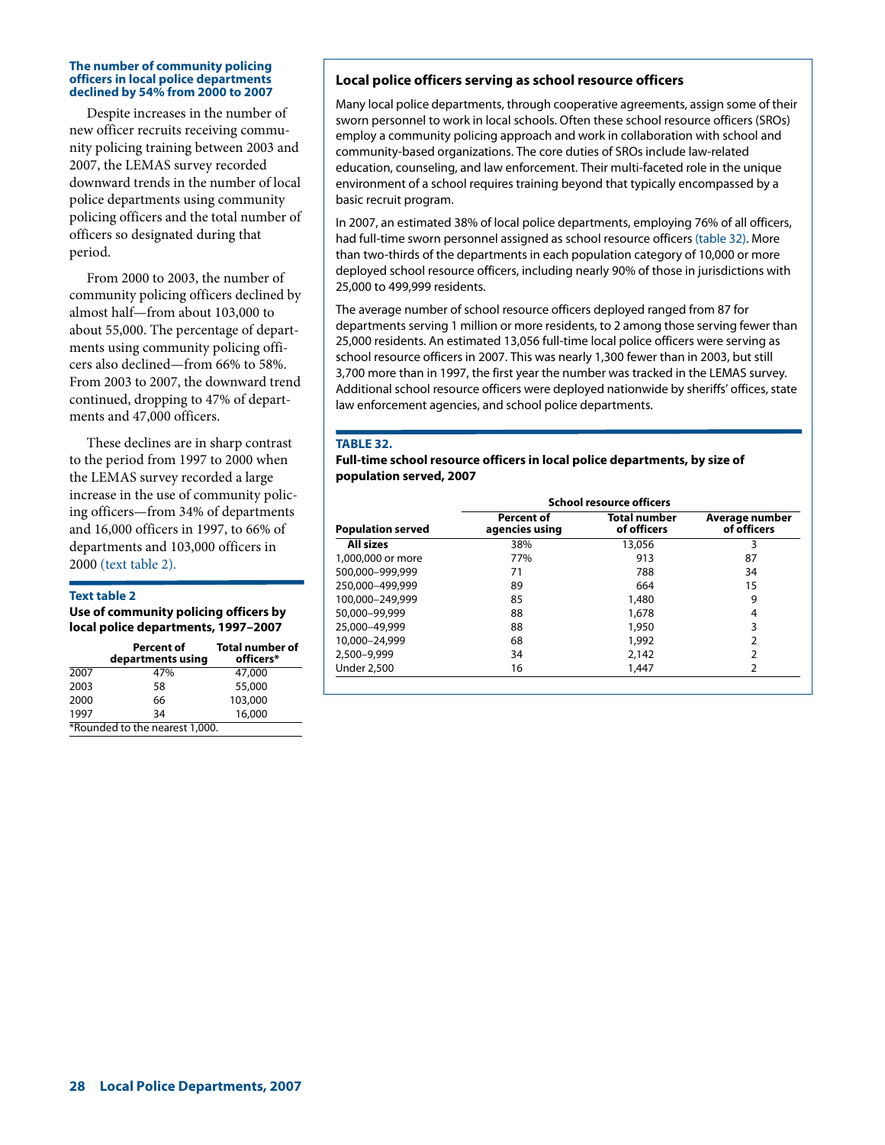#### **The number of community policing officers in local police departments declined by 54% from 2000 to 2007**

Despite increases in the number of new officer recruits receiving community policing training between 2003 and 2007, the LEMAS survey recorded downward trends in the number of local police departments using community policing officers and the total number of officers so designated during that period.

From 2000 to 2003, the number of community policing officers declined by almost half—from about 103,000 to about 55,000. The percentage of departments using community policing officers also declined—from 66% to 58%. From 2003 to 2007, the downward trend continued, dropping to 47% of departments and 47,000 officers.

These declines are in sharp contrast to the period from 1997 to 2000 when the LEMAS survey recorded a large increase in the use of community policing officers—from 34% of departments and 16,000 officers in 1997, to 66% of departments and 103,000 officers in 2000 (text table 2).

#### **Text table 2**

**Use of community policing officers by local police departments, 1997–2007**

|      | <b>Percent of</b><br>departments using | <b>Total number of</b><br>officers* |
|------|----------------------------------------|-------------------------------------|
| 2007 | 47%                                    | 47,000                              |
| 2003 | 58                                     | 55,000                              |
| 2000 | 66                                     | 103,000                             |
| 1997 | 34                                     | 16,000                              |
|      | *Rounded to the nearest 1,000.         |                                     |

## **Local police officers serving as school resource officers**

Many local police departments, through cooperative agreements, assign some of their sworn personnel to work in local schools. Often these school resource officers (SROs) employ a community policing approach and work in collaboration with school and community-based organizations. The core duties of SROs include law-related education, counseling, and law enforcement. Their multi-faceted role in the unique environment of a school requires training beyond that typically encompassed by a basic recruit program.

In 2007, an estimated 38% of local police departments, employing 76% of all officers, had full-time sworn personnel assigned as school resource officers (table 32). More than two-thirds of the departments in each population category of 10,000 or more deployed school resource officers, including nearly 90% of those in jurisdictions with 25,000 to 499,999 residents.

The average number of school resource officers deployed ranged from 87 for departments serving 1 million or more residents, to 2 among those serving fewer than 25,000 residents. An estimated 13,056 full-time local police officers were serving as school resource officers in 2007. This was nearly 1,300 fewer than in 2003, but still 3,700 more than in 1997, the first year the number was tracked in the LEMAS survey. Additional school resource officers were deployed nationwide by sheriffs' offices, state law enforcement agencies, and school police departments.

## **TABLE 32.**

**Full-time school resource officers in local police departments, by size of population served, 2007**

|                          | <b>School resource officers</b>     |                                    |                               |  |
|--------------------------|-------------------------------------|------------------------------------|-------------------------------|--|
| <b>Population served</b> | <b>Percent of</b><br>agencies using | <b>Total number</b><br>of officers | Average number<br>of officers |  |
| All sizes                | 38%                                 | 13,056                             | 3                             |  |
| 1,000,000 or more        | 77%                                 | 913                                | 87                            |  |
| 500.000-999.999          | 71                                  | 788                                | 34                            |  |
| 250,000-499,999          | 89                                  | 664                                | 15                            |  |
| 100.000-249.999          | 85                                  | 1,480                              | 9                             |  |
| 50,000-99,999            | 88                                  | 1,678                              | 4                             |  |
| 25,000-49,999            | 88                                  | 1,950                              | 3                             |  |
| 10,000-24,999            | 68                                  | 1,992                              | 2                             |  |
| 2.500-9.999              | 34                                  | 2,142                              |                               |  |
| <b>Under 2,500</b>       | 16                                  | 1,447                              | 2                             |  |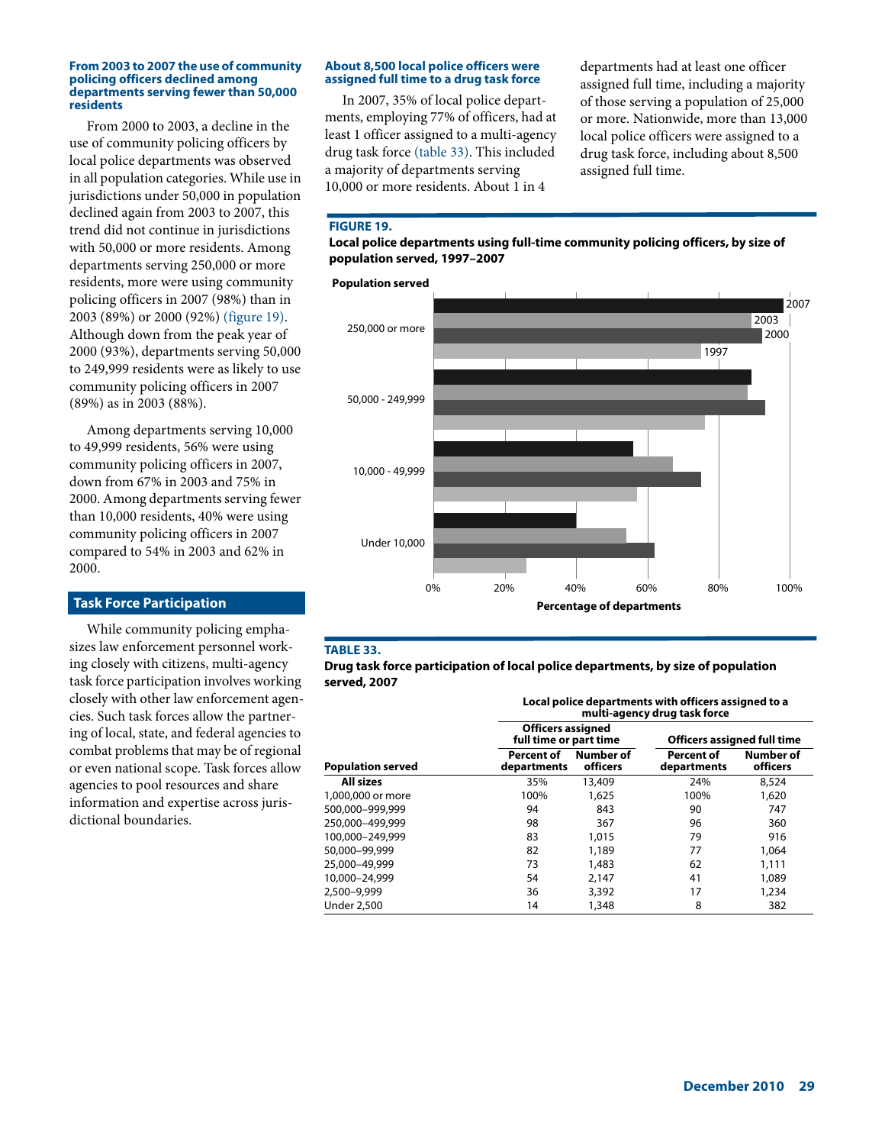#### **From 2003 to 2007 the use of community policing officers declined among departments serving fewer than 50,000 residents**

From 2000 to 2003, a decline in the use of community policing officers by local police departments was observed in all population categories. While use in jurisdictions under 50,000 in population declined again from 2003 to 2007, this trend did not continue in jurisdictions with 50,000 or more residents. Among departments serving 250,000 or more residents, more were using community policing officers in 2007 (98%) than in 2003 (89%) or 2000 (92%) (figure 19). Although down from the peak year of 2000 (93%), departments serving 50,000 to 249,999 residents were as likely to use community policing officers in 2007 (89%) as in 2003 (88%).

Among departments serving 10,000 to 49,999 residents, 56% were using community policing officers in 2007, down from 67% in 2003 and 75% in 2000. Among departments serving fewer than 10,000 residents, 40% were using community policing officers in 2007 compared to 54% in 2003 and 62% in 2000.

## **Task Force Participation**

While community policing emphasizes law enforcement personnel working closely with citizens, multi-agency task force participation involves working closely with other law enforcement agencies. Such task forces allow the partnering of local, state, and federal agencies to combat problems that may be of regional or even national scope. Task forces allow agencies to pool resources and share information and expertise across jurisdictional boundaries.

## **About 8,500 local police officers were assigned full time to a drug task force**

In 2007, 35% of local police departments, employing 77% of officers, had at least 1 officer assigned to a multi-agency drug task force (table 33). This included a majority of departments serving 10,000 or more residents. About 1 in 4

departments had at least one officer assigned full time, including a majority of those serving a population of 25,000 or more. Nationwide, more than 13,000 local police officers were assigned to a drug task force, including about 8,500 assigned full time.

## **FIGURE 19.**

**Local police departments using full-time community policing officers, by size of population served, 1997–2007**



## **TABLE 33.**

**Drug task force participation of local police departments, by size of population served, 2007**

|                          |                                                    |                       | multi-agency drug task force       | Local police departments with officers assigned to a |  |  |  |
|--------------------------|----------------------------------------------------|-----------------------|------------------------------------|------------------------------------------------------|--|--|--|
|                          | <b>Officers assigned</b><br>full time or part time |                       | <b>Officers assigned full time</b> |                                                      |  |  |  |
| <b>Population served</b> | <b>Percent of</b><br>departments                   | Number of<br>officers | <b>Percent of</b><br>departments   | Number of<br>officers                                |  |  |  |
| <b>All sizes</b>         | 35%                                                | 13,409                | 24%                                | 8,524                                                |  |  |  |
| 1,000,000 or more        | 100%                                               | 1,625                 | 100%                               | 1,620                                                |  |  |  |
| 500.000-999.999          | 94                                                 | 843                   | 90                                 | 747                                                  |  |  |  |
| 250,000-499,999          | 98                                                 | 367                   | 96                                 | 360                                                  |  |  |  |
| 100.000-249.999          | 83                                                 | 1,015                 | 79                                 | 916                                                  |  |  |  |
| 50,000-99,999            | 82                                                 | 1,189                 | 77                                 | 1,064                                                |  |  |  |
| 25,000-49,999            | 73                                                 | 1,483                 | 62                                 | 1,111                                                |  |  |  |
| 10.000-24.999            | 54                                                 | 2,147                 | 41                                 | 1,089                                                |  |  |  |
| 2.500-9.999              | 36                                                 | 3,392                 | 17                                 | 1,234                                                |  |  |  |
| Under 2,500              | 14                                                 | 1,348                 | 8                                  | 382                                                  |  |  |  |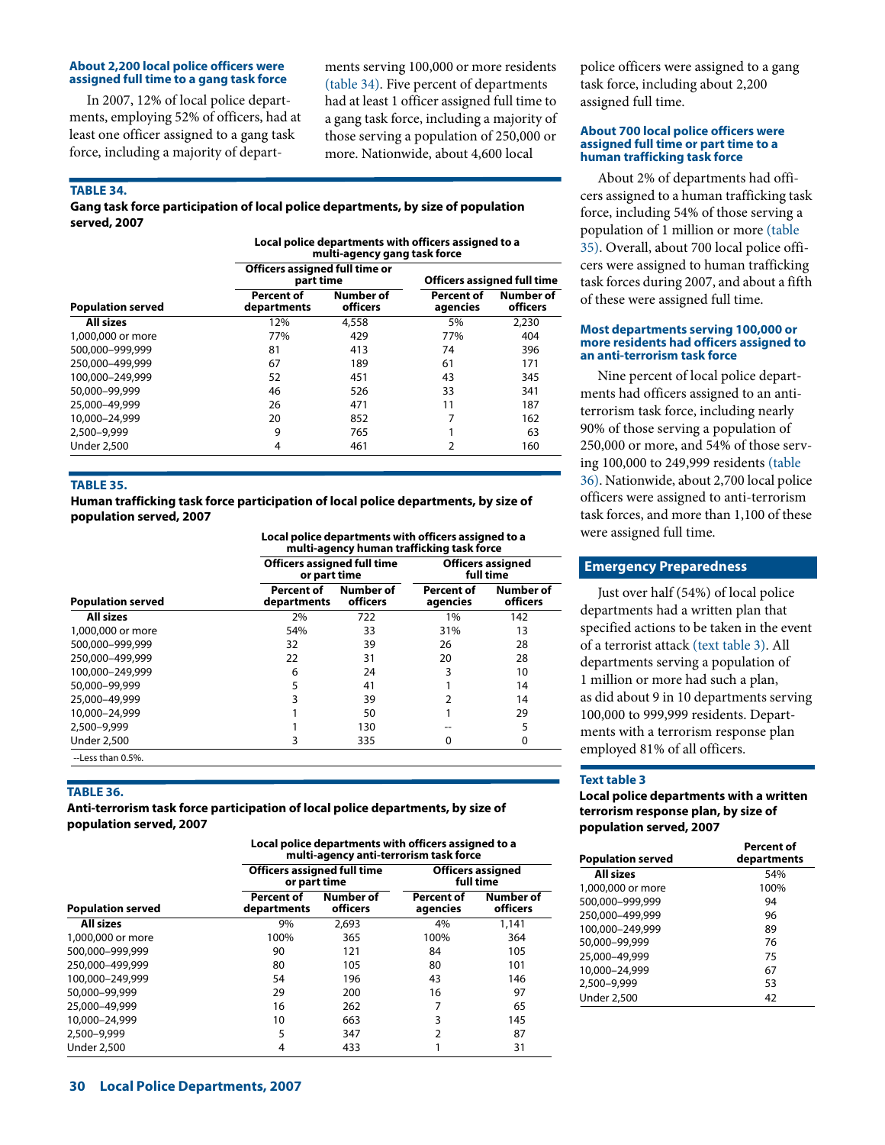#### **About 2,200 local police officers were assigned full time to a gang task force**

In 2007, 12% of local police departments, employing 52% of officers, had at least one officer assigned to a gang task force, including a majority of departments serving 100,000 or more residents (table 34). Five percent of departments had at least 1 officer assigned full time to a gang task force, including a majority of those serving a population of 250,000 or more. Nationwide, about 4,600 local

#### **TABLE 34.**

## **Gang task force participation of local police departments, by size of population served, 2007**

**Local police departments with officers assigned to a multi-agency gang task force**

|                          | Officers assigned full time or<br>part time |                       | <b>Officers assigned full time</b> |                       |
|--------------------------|---------------------------------------------|-----------------------|------------------------------------|-----------------------|
| <b>Population served</b> | <b>Percent of</b><br>departments            | Number of<br>officers | <b>Percent of</b><br>agencies      | Number of<br>officers |
| <b>All sizes</b>         | 12%                                         | 4,558                 | 5%                                 | 2.230                 |
| 1,000,000 or more        | 77%                                         | 429                   | 77%                                | 404                   |
| 500.000-999.999          | 81                                          | 413                   | 74                                 | 396                   |
| 250,000-499,999          | 67                                          | 189                   | 61                                 | 171                   |
| 100.000-249.999          | 52                                          | 451                   | 43                                 | 345                   |
| 50,000-99,999            | 46                                          | 526                   | 33                                 | 341                   |
| 25,000-49,999            | 26                                          | 471                   | 11                                 | 187                   |
| 10,000-24,999            | 20                                          | 852                   | 7                                  | 162                   |
| 2.500-9.999              | 9                                           | 765                   |                                    | 63                    |
| <b>Under 2,500</b>       | 4                                           | 461                   | 2                                  | 160                   |

#### **TABLE 35.**

**Human trafficking task force participation of local police departments, by size of population served, 2007**

**Local police departments with officers assigned to a**  <u>.</u><br>mafficking task f

|                          | mand-agency numan damicking task force             |                       |                               |                                       |  |
|--------------------------|----------------------------------------------------|-----------------------|-------------------------------|---------------------------------------|--|
|                          | <b>Officers assigned full time</b><br>or part time |                       |                               | <b>Officers assigned</b><br>full time |  |
| <b>Population served</b> | Percent of<br>departments                          | Number of<br>officers | <b>Percent of</b><br>agencies | Number of<br>officers                 |  |
| <b>All sizes</b>         | 2%                                                 | 722                   | 1%                            | 142                                   |  |
| 1,000,000 or more        | 54%                                                | 33                    | 31%                           | 13                                    |  |
| 500.000-999.999          | 32                                                 | 39                    | 26                            | 28                                    |  |
| 250.000-499.999          | 22                                                 | 31                    | 20                            | 28                                    |  |
| 100.000-249.999          | 6                                                  | 24                    |                               | 10                                    |  |
| 50,000-99,999            | 5                                                  | 41                    |                               | 14                                    |  |
| 25,000-49,999            | 3                                                  | 39                    |                               | 14                                    |  |
| 10,000-24,999            |                                                    | 50                    |                               | 29                                    |  |
| 2,500-9,999              |                                                    | 130                   |                               | 5                                     |  |
| <b>Under 2,500</b>       | 3                                                  | 335                   | 0                             | 0                                     |  |
| --Less than 0.5%.        |                                                    |                       |                               |                                       |  |

#### **TABLE 36.**

**Anti-terrorism task force participation of local police departments, by size of population served, 2007**

**Local police departments with officers assigned to a multi-agency anti-terrorism task force**

|                          |                                  | <b>Officers assigned full time</b><br>or part time | <b>Officers assigned</b><br>full time |                       |
|--------------------------|----------------------------------|----------------------------------------------------|---------------------------------------|-----------------------|
| <b>Population served</b> | <b>Percent of</b><br>departments | Number of<br>officers                              | <b>Percent of</b><br>agencies         | Number of<br>officers |
| <b>All sizes</b>         | 9%                               | 2.693                                              | 4%                                    | 1.141                 |
| 1,000,000 or more        | 100%                             | 365                                                | 100%                                  | 364                   |
| 500.000-999.999          | 90                               | 121                                                | 84                                    | 105                   |
| 250.000-499.999          | 80                               | 105                                                | 80                                    | 101                   |
| 100.000-249.999          | 54                               | 196                                                | 43                                    | 146                   |
| 50,000-99,999            | 29                               | 200                                                | 16                                    | 97                    |
| 25,000-49,999            | 16                               | 262                                                | 7                                     | 65                    |
| 10,000-24,999            | 10                               | 663                                                | 3                                     | 145                   |
| 2.500-9.999              | 5                                | 347                                                | 2                                     | 87                    |
| <b>Under 2,500</b>       | 4                                | 433                                                |                                       | 31                    |

#### **About 700 local police officers were assigned full time or part time to a human trafficking task force**

About 2% of departments had officers assigned to a human trafficking task force, including 54% of those serving a population of 1 million or more (table 35). Overall, about 700 local police officers were assigned to human trafficking task forces during 2007, and about a fifth of these were assigned full time.

#### **Most departments serving 100,000 or more residents had officers assigned to an anti-terrorism task force**

Nine percent of local police departments had officers assigned to an antiterrorism task force, including nearly 90% of those serving a population of 250,000 or more, and 54% of those serving 100,000 to 249,999 residents (table 36). Nationwide, about 2,700 local police officers were assigned to anti-terrorism task forces, and more than 1,100 of these were assigned full time.

## **Emergency Preparedness**

Just over half (54%) of local police departments had a written plan that specified actions to be taken in the event of a terrorist attack (text table 3). All departments serving a population of 1 million or more had such a plan, as did about 9 in 10 departments serving 100,000 to 999,999 residents. Departments with a terrorism response plan employed 81% of all officers.

#### **Text table 3**

**Local police departments with a written terrorism response plan, by size of population served, 2007**

| <b>Population served</b> | Percent of<br>departments |
|--------------------------|---------------------------|
| All sizes                | 54%                       |
| 1,000,000 or more        | 100%                      |
| 500.000-999.999          | 94                        |
| 250,000-499,999          | 96                        |
| 100,000-249,999          | 89                        |
| 50,000-99,999            | 76                        |
| 25,000-49,999            | 75                        |
| 10,000-24,999            | 67                        |
| 2,500-9,999              | 53                        |
| <b>Under 2,500</b>       | 42                        |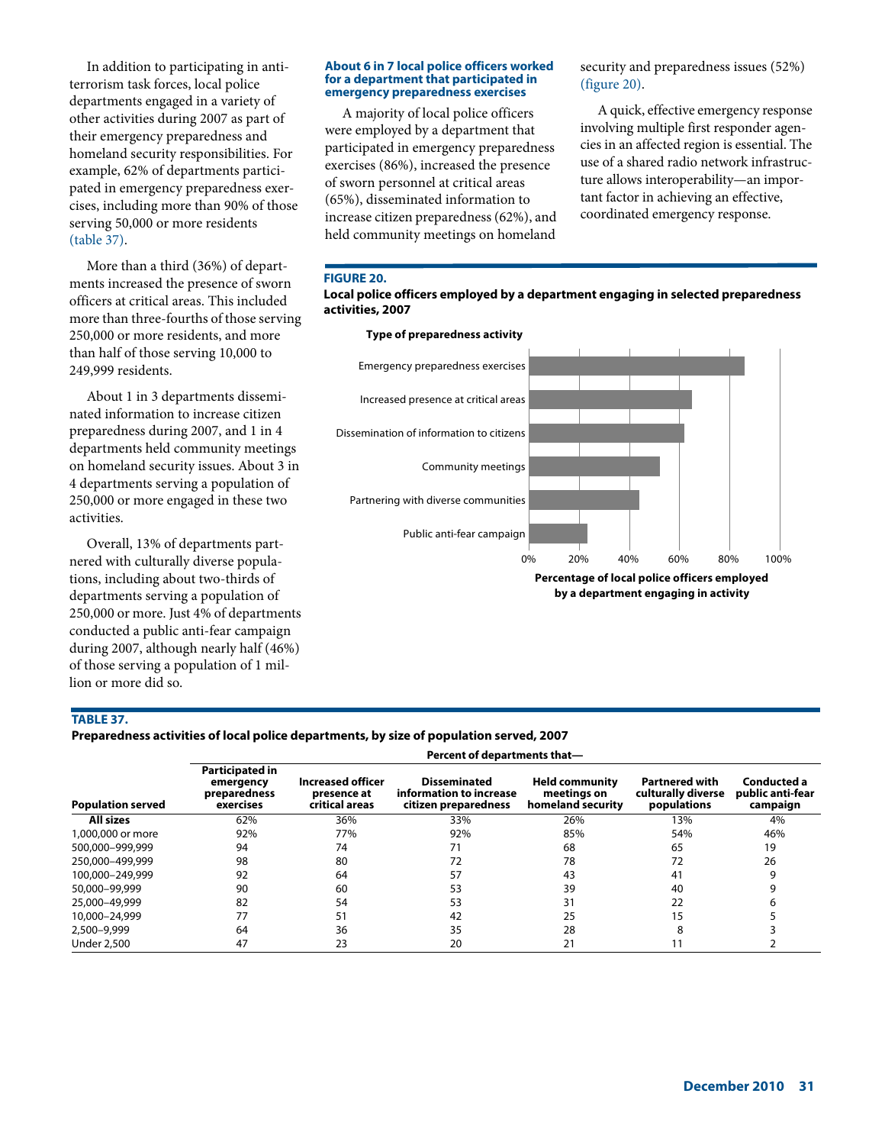In addition to participating in antiterrorism task forces, local police departments engaged in a variety of other activities during 2007 as part of their emergency preparedness and homeland security responsibilities. For example, 62% of departments participated in emergency preparedness exercises, including more than 90% of those serving 50,000 or more residents (table 37).

More than a third (36%) of departments increased the presence of sworn officers at critical areas. This included more than three-fourths of those serving 250,000 or more residents, and more than half of those serving 10,000 to 249,999 residents.

About 1 in 3 departments disseminated information to increase citizen preparedness during 2007, and 1 in 4 departments held community meetings on homeland security issues. About 3 in 4 departments serving a population of 250,000 or more engaged in these two activities.

Overall, 13% of departments partnered with culturally diverse populations, including about two-thirds of departments serving a population of 250,000 or more. Just 4% of departments conducted a public anti-fear campaign during 2007, although nearly half (46%) of those serving a population of 1 million or more did so.

#### **About 6 in 7 local police officers worked for a department that participated in emergency preparedness exercises**

A majority of local police officers were employed by a department that participated in emergency preparedness exercises (86%), increased the presence of sworn personnel at critical areas (65%), disseminated information to increase citizen preparedness (62%), and held community meetings on homeland security and preparedness issues (52%) (figure 20).

A quick, effective emergency response involving multiple first responder agencies in an affected region is essential. The use of a shared radio network infrastructure allows interoperability—an important factor in achieving an effective, coordinated emergency response.

## **FIGURE 20.**





## **TABLE 37.**

## **Preparedness activities of local police departments, by size of population served, 2007**

**Percent of departments that—**

| <b>Population served</b> | Participated in<br>emergency<br>preparedness<br>exercises | Increased officer<br>presence at<br>critical areas | <b>Disseminated</b><br>information to increase<br>citizen preparedness | <b>Held community</b><br>meetings on<br>homeland security | <b>Partnered with</b><br>culturally diverse<br>populations | Conducted a<br>public anti-fear<br>campaign |
|--------------------------|-----------------------------------------------------------|----------------------------------------------------|------------------------------------------------------------------------|-----------------------------------------------------------|------------------------------------------------------------|---------------------------------------------|
| <b>All sizes</b>         | 62%                                                       | 36%                                                | 33%                                                                    | 26%                                                       | 13%                                                        | 4%                                          |
| 1,000,000 or more        | 92%                                                       | 77%                                                | 92%                                                                    | 85%                                                       | 54%                                                        | 46%                                         |
| 500,000-999,999          | 94                                                        | 74                                                 | 71                                                                     | 68                                                        | 65                                                         | 19                                          |
| 250,000-499,999          | 98                                                        | 80                                                 | 72                                                                     | 78                                                        | 72                                                         | 26                                          |
| 100.000-249.999          | 92                                                        | 64                                                 | 57                                                                     | 43                                                        | 41                                                         |                                             |
| 50,000-99,999            | 90                                                        | 60                                                 | 53                                                                     | 39                                                        | 40                                                         |                                             |
| 25,000-49,999            | 82                                                        | 54                                                 | 53                                                                     | 31                                                        | 22                                                         |                                             |
| 10,000-24,999            |                                                           | 51                                                 | 42                                                                     | 25                                                        | 15                                                         |                                             |
| 2,500-9,999              | 64                                                        | 36                                                 | 35                                                                     | 28                                                        |                                                            |                                             |
| <b>Under 2,500</b>       | 47                                                        | 23                                                 | 20                                                                     | 21                                                        |                                                            |                                             |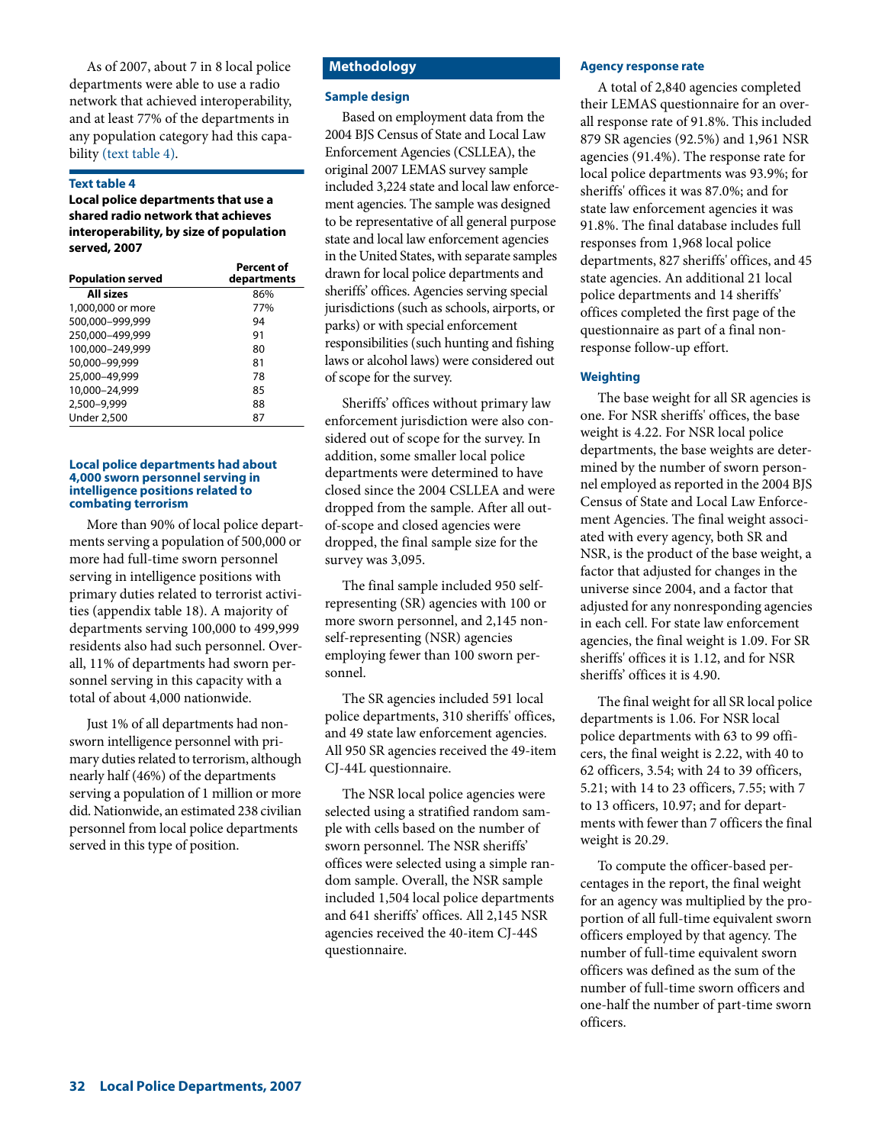As of 2007, about 7 in 8 local police departments were able to use a radio network that achieved interoperability, and at least 77% of the departments in any population category had this capability (text table 4).

## **Text table 4**

**Local police departments that use a shared radio network that achieves interoperability, by size of population served, 2007**

| <b>Population served</b> | <b>Percent of</b><br>departments |
|--------------------------|----------------------------------|
| All sizes                | 86%                              |
| 1,000,000 or more        | 77%                              |
| 500,000-999,999          | 94                               |
| 250,000-499,999          | 91                               |
| 100,000-249,999          | 80                               |
| 50,000-99,999            | 81                               |
| 25,000-49,999            | 78                               |
| 10,000-24,999            | 85                               |
| 2,500-9,999              | 88                               |
| <b>Under 2,500</b>       | 87                               |

#### **Local police departments had about 4,000 sworn personnel serving in intelligence positions related to combating terrorism**

More than 90% of local police departments serving a population of 500,000 or more had full-time sworn personnel serving in intelligence positions with primary duties related to terrorist activities (appendix table 18). A majority of departments serving 100,000 to 499,999 residents also had such personnel. Overall, 11% of departments had sworn personnel serving in this capacity with a total of about 4,000 nationwide.

Just 1% of all departments had nonsworn intelligence personnel with primary duties related to terrorism, although nearly half (46%) of the departments serving a population of 1 million or more did. Nationwide, an estimated 238 civilian personnel from local police departments served in this type of position.

# **Methodology**

## **Sample design**

Based on employment data from the 2004 BJS Census of State and Local Law Enforcement Agencies (CSLLEA), the original 2007 LEMAS survey sample included 3,224 state and local law enforcement agencies. The sample was designed to be representative of all general purpose state and local law enforcement agencies in the United States, with separate samples drawn for local police departments and sheriffs' offices. Agencies serving special jurisdictions (such as schools, airports, or parks) or with special enforcement responsibilities (such hunting and fishing laws or alcohol laws) were considered out of scope for the survey.

Sheriffs' offices without primary law enforcement jurisdiction were also considered out of scope for the survey. In addition, some smaller local police departments were determined to have closed since the 2004 CSLLEA and were dropped from the sample. After all outof-scope and closed agencies were dropped, the final sample size for the survey was 3,095.

The final sample included 950 selfrepresenting (SR) agencies with 100 or more sworn personnel, and 2,145 nonself-representing (NSR) agencies employing fewer than 100 sworn personnel.

The SR agencies included 591 local police departments, 310 sheriffs' offices, and 49 state law enforcement agencies. All 950 SR agencies received the 49-item CJ-44L questionnaire.

The NSR local police agencies were selected using a stratified random sample with cells based on the number of sworn personnel. The NSR sheriffs' offices were selected using a simple random sample. Overall, the NSR sample included 1,504 local police departments and 641 sheriffs' offices. All 2,145 NSR agencies received the 40-item CJ-44S questionnaire.

#### **Agency response rate**

A total of 2,840 agencies completed their LEMAS questionnaire for an overall response rate of 91.8%. This included 879 SR agencies (92.5%) and 1,961 NSR agencies (91.4%). The response rate for local police departments was 93.9%; for sheriffs' offices it was 87.0%; and for state law enforcement agencies it was 91.8%. The final database includes full responses from 1,968 local police departments, 827 sheriffs' offices, and 45 state agencies. An additional 21 local police departments and 14 sheriffs' offices completed the first page of the questionnaire as part of a final nonresponse follow-up effort.

## **Weighting**

The base weight for all SR agencies is one. For NSR sheriffs' offices, the base weight is 4.22. For NSR local police departments, the base weights are determined by the number of sworn personnel employed as reported in the 2004 BJS Census of State and Local Law Enforcement Agencies. The final weight associated with every agency, both SR and NSR, is the product of the base weight, a factor that adjusted for changes in the universe since 2004, and a factor that adjusted for any nonresponding agencies in each cell. For state law enforcement agencies, the final weight is 1.09. For SR sheriffs' offices it is 1.12, and for NSR sheriffs' offices it is 4.90.

The final weight for all SR local police departments is 1.06. For NSR local police departments with 63 to 99 officers, the final weight is 2.22, with 40 to 62 officers, 3.54; with 24 to 39 officers, 5.21; with 14 to 23 officers, 7.55; with 7 to 13 officers, 10.97; and for departments with fewer than 7 officers the final weight is 20.29.

To compute the officer-based percentages in the report, the final weight for an agency was multiplied by the proportion of all full-time equivalent sworn officers employed by that agency. The number of full-time equivalent sworn officers was defined as the sum of the number of full-time sworn officers and one-half the number of part-time sworn officers.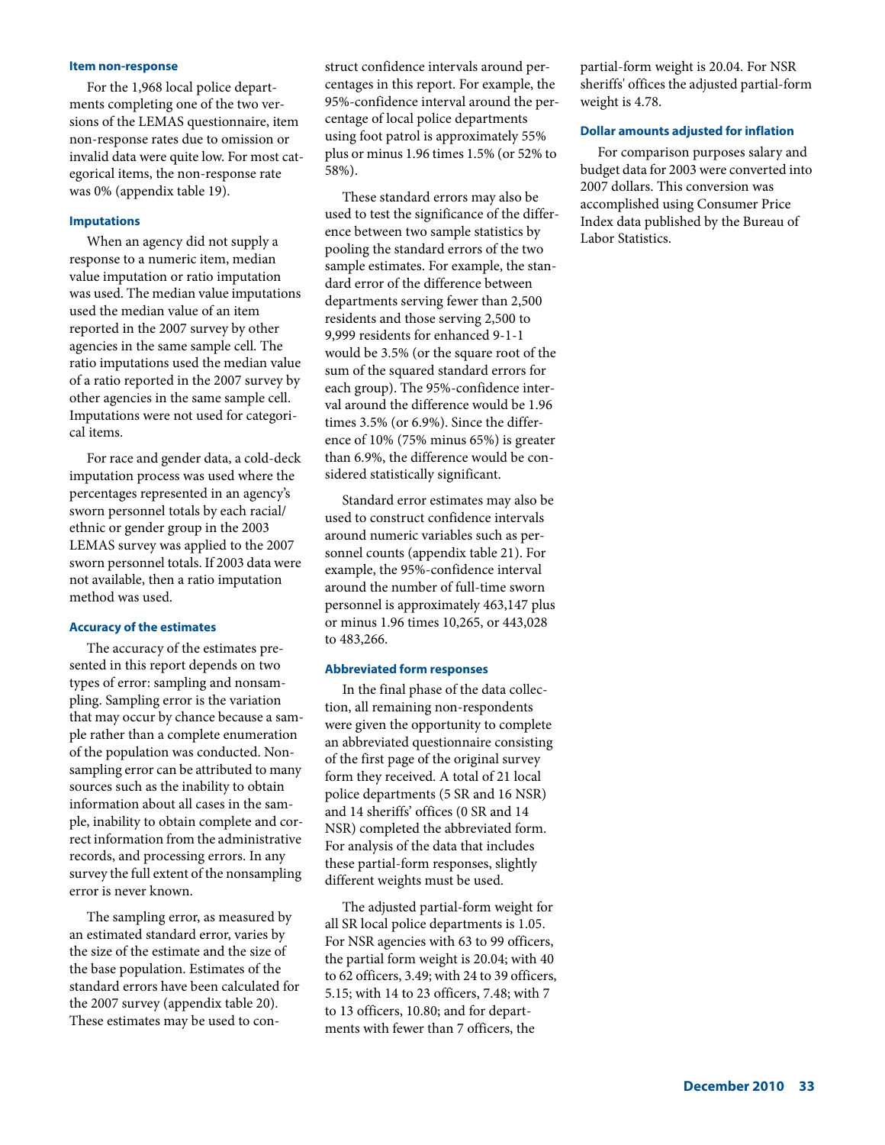#### **Item non-response**

For the 1,968 local police departments completing one of the two versions of the LEMAS questionnaire, item non-response rates due to omission or invalid data were quite low. For most categorical items, the non-response rate was 0% (appendix table 19).

## **Imputations**

When an agency did not supply a response to a numeric item, median value imputation or ratio imputation was used. The median value imputations used the median value of an item reported in the 2007 survey by other agencies in the same sample cell. The ratio imputations used the median value of a ratio reported in the 2007 survey by other agencies in the same sample cell. Imputations were not used for categorical items.

For race and gender data, a cold-deck imputation process was used where the percentages represented in an agency's sworn personnel totals by each racial/ ethnic or gender group in the 2003 LEMAS survey was applied to the 2007 sworn personnel totals. If 2003 data were not available, then a ratio imputation method was used.

## **Accuracy of the estimates**

The accuracy of the estimates presented in this report depends on two types of error: sampling and nonsampling. Sampling error is the variation that may occur by chance because a sample rather than a complete enumeration of the population was conducted. Nonsampling error can be attributed to many sources such as the inability to obtain information about all cases in the sample, inability to obtain complete and correct information from the administrative records, and processing errors. In any survey the full extent of the nonsampling error is never known.

The sampling error, as measured by an estimated standard error, varies by the size of the estimate and the size of the base population. Estimates of the standard errors have been calculated for the 2007 survey (appendix table 20). These estimates may be used to construct confidence intervals around percentages in this report. For example, the 95%-confidence interval around the percentage of local police departments using foot patrol is approximately 55% plus or minus 1.96 times 1.5% (or 52% to 58%).

These standard errors may also be used to test the significance of the difference between two sample statistics by pooling the standard errors of the two sample estimates. For example, the standard error of the difference between departments serving fewer than 2,500 residents and those serving 2,500 to 9,999 residents for enhanced 9-1-1 would be 3.5% (or the square root of the sum of the squared standard errors for each group). The 95%-confidence interval around the difference would be 1.96 times 3.5% (or 6.9%). Since the difference of 10% (75% minus 65%) is greater than 6.9%, the difference would be considered statistically significant.

Standard error estimates may also be used to construct confidence intervals around numeric variables such as personnel counts (appendix table 21). For example, the 95%-confidence interval around the number of full-time sworn personnel is approximately 463,147 plus or minus 1.96 times 10,265, or 443,028 to 483,266.

#### **Abbreviated form responses**

In the final phase of the data collection, all remaining non-respondents were given the opportunity to complete an abbreviated questionnaire consisting of the first page of the original survey form they received. A total of 21 local police departments (5 SR and 16 NSR) and 14 sheriffs' offices (0 SR and 14 NSR) completed the abbreviated form. For analysis of the data that includes these partial-form responses, slightly different weights must be used.

The adjusted partial-form weight for all SR local police departments is 1.05. For NSR agencies with 63 to 99 officers, the partial form weight is 20.04; with 40 to 62 officers, 3.49; with 24 to 39 officers, 5.15; with 14 to 23 officers, 7.48; with 7 to 13 officers, 10.80; and for departments with fewer than 7 officers, the

partial-form weight is 20.04. For NSR sheriffs' offices the adjusted partial-form weight is 4.78.

#### **Dollar amounts adjusted for inflation**

For comparison purposes salary and budget data for 2003 were converted into 2007 dollars. This conversion was accomplished using Consumer Price Index data published by the Bureau of Labor Statistics.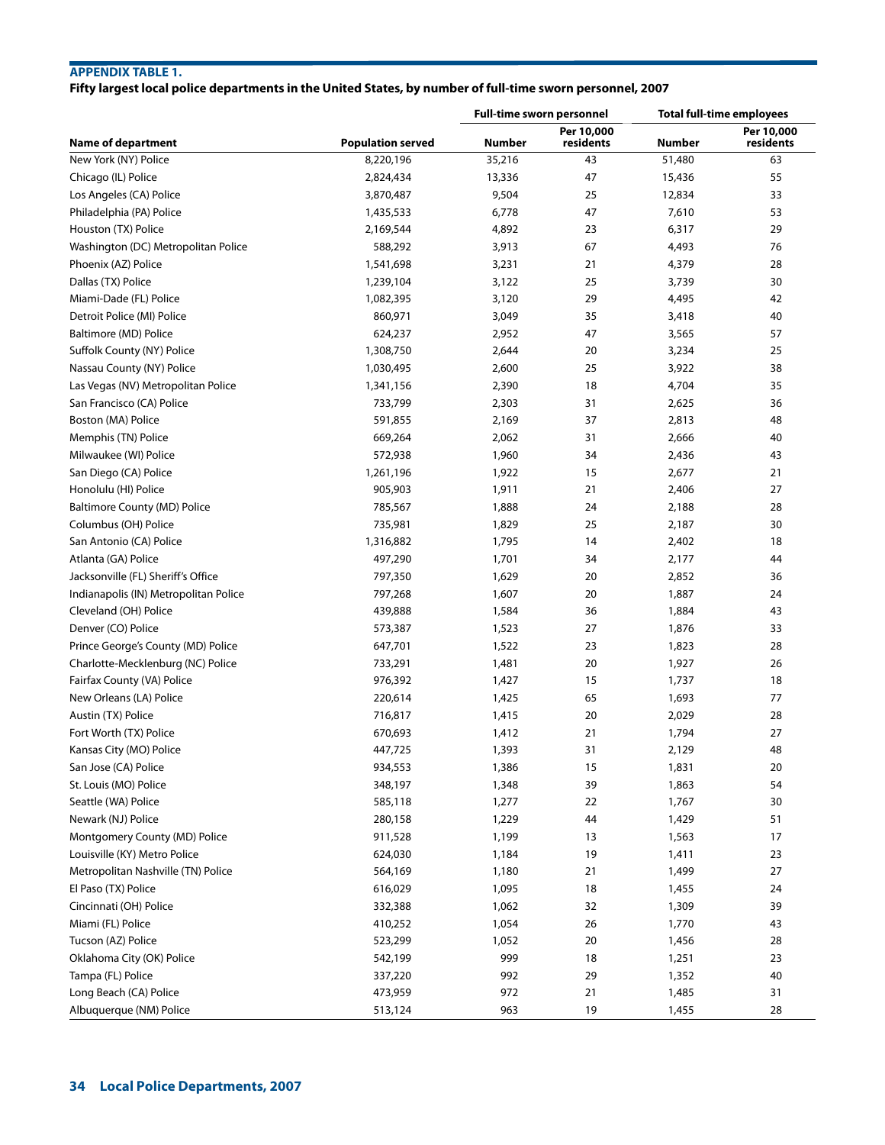# **APPENDIX TABLE 1.**

# **Fifty largest local police departments in the United States, by number of full-time sworn personnel, 2007**

|                                       |                          | <b>Full-time sworn personnel</b> |                         | <b>Total full-time employees</b> |                         |
|---------------------------------------|--------------------------|----------------------------------|-------------------------|----------------------------------|-------------------------|
| <b>Name of department</b>             | <b>Population served</b> | <b>Number</b>                    | Per 10,000<br>residents | <b>Number</b>                    | Per 10,000<br>residents |
| New York (NY) Police                  | 8,220,196                | 35,216                           | 43                      | 51,480                           | 63                      |
| Chicago (IL) Police                   | 2,824,434                | 13,336                           | 47                      | 15,436                           | 55                      |
| Los Angeles (CA) Police               | 3,870,487                | 9,504                            | 25                      | 12,834                           | 33                      |
| Philadelphia (PA) Police              | 1,435,533                | 6,778                            | 47                      | 7,610                            | 53                      |
| Houston (TX) Police                   | 2,169,544                | 4,892                            | 23                      | 6,317                            | 29                      |
| Washington (DC) Metropolitan Police   | 588,292                  | 3,913                            | 67                      | 4,493                            | 76                      |
| Phoenix (AZ) Police                   | 1,541,698                | 3,231                            | 21                      | 4,379                            | 28                      |
| Dallas (TX) Police                    | 1,239,104                | 3,122                            | 25                      | 3,739                            | 30                      |
| Miami-Dade (FL) Police                | 1,082,395                | 3,120                            | 29                      | 4,495                            | 42                      |
| Detroit Police (MI) Police            | 860,971                  | 3,049                            | 35                      | 3,418                            | 40                      |
| Baltimore (MD) Police                 | 624,237                  | 2,952                            | 47                      | 3,565                            | 57                      |
| Suffolk County (NY) Police            | 1,308,750                | 2,644                            | 20                      | 3,234                            | 25                      |
| Nassau County (NY) Police             | 1,030,495                | 2,600                            | 25                      | 3,922                            | 38                      |
| Las Vegas (NV) Metropolitan Police    | 1,341,156                | 2,390                            | 18                      | 4,704                            | 35                      |
| San Francisco (CA) Police             | 733,799                  | 2,303                            | 31                      | 2,625                            | 36                      |
| Boston (MA) Police                    | 591,855                  | 2,169                            | 37                      | 2,813                            | 48                      |
| Memphis (TN) Police                   | 669,264                  | 2,062                            | 31                      | 2,666                            | 40                      |
| Milwaukee (WI) Police                 | 572,938                  | 1,960                            | 34                      | 2,436                            | 43                      |
| San Diego (CA) Police                 | 1,261,196                | 1,922                            | 15                      | 2,677                            | 21                      |
| Honolulu (HI) Police                  | 905,903                  | 1,911                            | 21                      | 2,406                            | 27                      |
| Baltimore County (MD) Police          | 785,567                  | 1,888                            | 24                      | 2,188                            | 28                      |
| Columbus (OH) Police                  | 735,981                  | 1,829                            | 25                      | 2,187                            | 30                      |
| San Antonio (CA) Police               | 1,316,882                | 1,795                            | 14                      | 2,402                            | 18                      |
| Atlanta (GA) Police                   | 497,290                  | 1,701                            | 34                      | 2,177                            | 44                      |
| Jacksonville (FL) Sheriff's Office    | 797,350                  | 1,629                            | 20                      | 2,852                            | 36                      |
| Indianapolis (IN) Metropolitan Police | 797,268                  | 1,607                            | 20                      | 1,887                            | 24                      |
| Cleveland (OH) Police                 | 439,888                  | 1,584                            | 36                      | 1,884                            | 43                      |
| Denver (CO) Police                    | 573,387                  | 1,523                            | 27                      | 1,876                            | 33                      |
| Prince George's County (MD) Police    | 647,701                  | 1,522                            | 23                      | 1,823                            | 28                      |
| Charlotte-Mecklenburg (NC) Police     | 733,291                  | 1,481                            | 20                      | 1,927                            | 26                      |
| Fairfax County (VA) Police            | 976,392                  | 1,427                            | 15                      | 1,737                            | 18                      |
| New Orleans (LA) Police               | 220,614                  | 1,425                            | 65                      | 1,693                            | 77                      |
| Austin (TX) Police                    | 716,817                  | 1,415                            | 20                      | 2,029                            | 28                      |
| Fort Worth (TX) Police                | 670,693                  | 1,412                            | 21                      | 1,794                            | 27                      |
| Kansas City (MO) Police               | 447,725                  | 1,393                            | 31                      | 2,129                            | 48                      |
| San Jose (CA) Police                  | 934,553                  | 1,386                            | 15                      | 1,831                            | 20                      |
| St. Louis (MO) Police                 | 348,197                  | 1,348                            | 39                      | 1,863                            | 54                      |
| Seattle (WA) Police                   | 585,118                  | 1,277                            | 22                      | 1,767                            | 30                      |
| Newark (NJ) Police                    | 280,158                  | 1,229                            | 44                      | 1,429                            | 51                      |
| Montgomery County (MD) Police         | 911,528                  | 1,199                            | 13                      | 1,563                            | 17                      |
| Louisville (KY) Metro Police          | 624,030                  | 1,184                            | 19                      | 1,411                            | 23                      |
| Metropolitan Nashville (TN) Police    | 564,169                  | 1,180                            | 21                      | 1,499                            | 27                      |
| El Paso (TX) Police                   | 616,029                  | 1,095                            | 18                      | 1,455                            | 24                      |
| Cincinnati (OH) Police                | 332,388                  | 1,062                            | 32                      | 1,309                            | 39                      |
| Miami (FL) Police                     | 410,252                  | 1,054                            | 26                      | 1,770                            | 43                      |
| Tucson (AZ) Police                    | 523,299                  | 1,052                            | 20                      | 1,456                            | 28                      |
| Oklahoma City (OK) Police             | 542,199                  | 999                              | 18                      | 1,251                            | 23                      |
| Tampa (FL) Police                     | 337,220                  | 992                              | 29                      | 1,352                            | 40                      |
| Long Beach (CA) Police                | 473,959                  | 972                              | 21                      | 1,485                            | 31                      |
| Albuquerque (NM) Police               | 513,124                  | 963                              | 19                      | 1,455                            | 28                      |
|                                       |                          |                                  |                         |                                  |                         |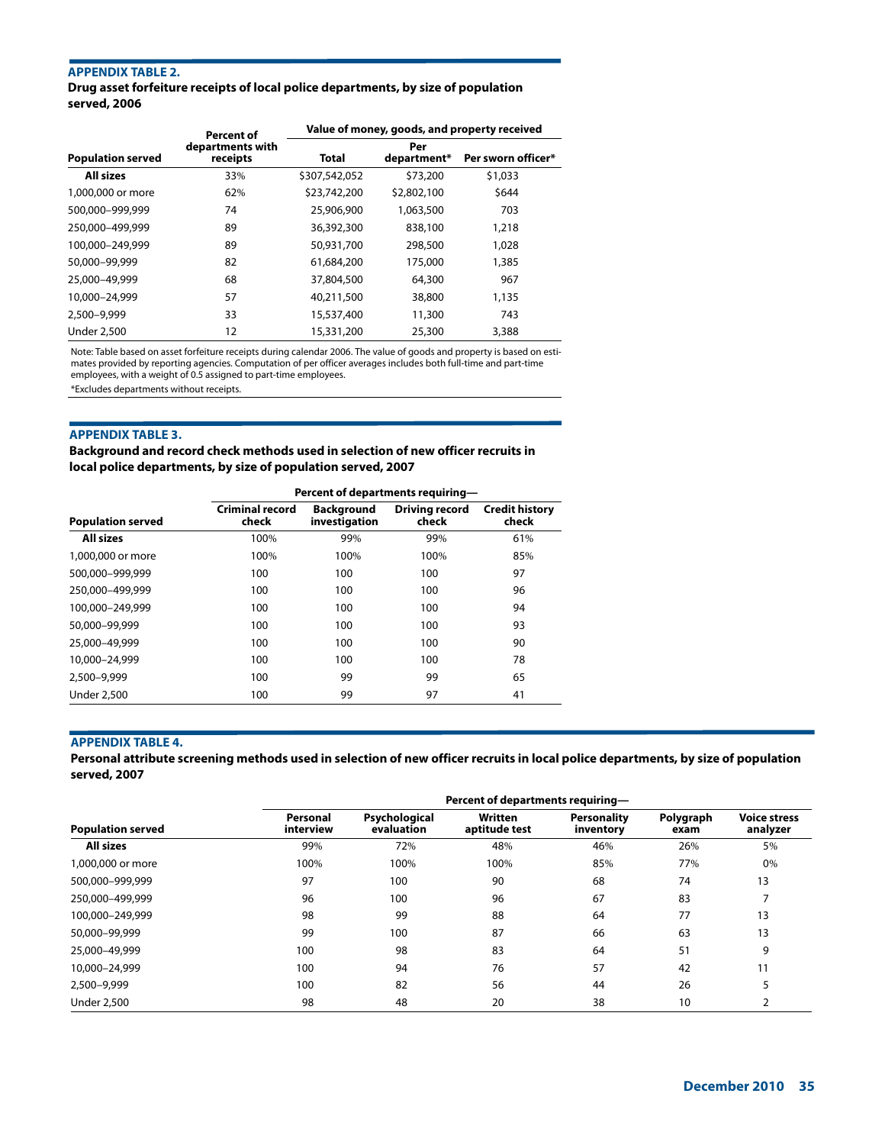# **APPENDIX TABLE 2.**

**Drug asset forfeiture receipts of local police departments, by size of population served, 2006**

|                          | <b>Percent of</b>            | Value of money, goods, and property received |                    |                    |  |
|--------------------------|------------------------------|----------------------------------------------|--------------------|--------------------|--|
| <b>Population served</b> | departments with<br>receipts | Total                                        | Per<br>department* | Per sworn officer* |  |
| All sizes                | 33%                          | \$307,542,052                                | \$73,200           | \$1,033            |  |
| 1,000,000 or more        | 62%                          | \$23,742,200                                 | \$2,802,100        | \$644              |  |
| 500,000-999,999          | 74                           | 25,906,900                                   | 1,063,500          | 703                |  |
| 250.000-499.999          | 89                           | 36,392,300                                   | 838,100            | 1,218              |  |
| 100.000-249.999          | 89                           | 50,931,700                                   | 298,500            | 1,028              |  |
| 50,000-99,999            | 82                           | 61,684,200                                   | 175,000            | 1,385              |  |
| 25,000-49,999            | 68                           | 37,804,500                                   | 64,300             | 967                |  |
| 10,000-24,999            | 57                           | 40,211,500                                   | 38,800             | 1,135              |  |
| 2.500-9.999              | 33                           | 15,537,400                                   | 11,300             | 743                |  |
| <b>Under 2,500</b>       | 12                           | 15,331,200                                   | 25,300             | 3,388              |  |

Note: Table based on asset forfeiture receipts during calendar 2006. The value of goods and property is based on estimates provided by reporting agencies. Computation of per officer averages includes both full-time and part-time employees, with a weight of 0.5 assigned to part-time employees.

\*Excludes departments without receipts.

#### **APPENDIX TABLE 3.**

**Background and record check methods used in selection of new officer recruits in local police departments, by size of population served, 2007**

|                          | Percent of departments requiring- |                                    |                                |                                |  |  |  |
|--------------------------|-----------------------------------|------------------------------------|--------------------------------|--------------------------------|--|--|--|
| <b>Population served</b> | <b>Criminal record</b><br>check   | <b>Background</b><br>investigation | <b>Driving record</b><br>check | <b>Credit history</b><br>check |  |  |  |
| <b>All sizes</b>         | 100%                              | 99%                                | 99%                            | 61%                            |  |  |  |
| 1,000,000 or more        | 100%                              | 100%                               | 100%                           | 85%                            |  |  |  |
| 500.000-999.999          | 100                               | 100                                | 100                            | 97                             |  |  |  |
| 250.000-499.999          | 100                               | 100                                | 100                            | 96                             |  |  |  |
| 100.000-249.999          | 100                               | 100                                | 100                            | 94                             |  |  |  |
| 50,000-99,999            | 100                               | 100                                | 100                            | 93                             |  |  |  |
| 25,000-49,999            | 100                               | 100                                | 100                            | 90                             |  |  |  |
| 10,000-24,999            | 100                               | 100                                | 100                            | 78                             |  |  |  |
| 2,500-9,999              | 100                               | 99                                 | 99                             | 65                             |  |  |  |
| <b>Under 2.500</b>       | 100                               | 99                                 | 97                             | 41                             |  |  |  |

## **APPENDIX TABLE 4.**

**Personal attribute screening methods used in selection of new officer recruits in local police departments, by size of population served, 2007**

|                          |                       | Percent of departments requiring- |                          |                                 |                   |                                 |  |  |  |
|--------------------------|-----------------------|-----------------------------------|--------------------------|---------------------------------|-------------------|---------------------------------|--|--|--|
| <b>Population served</b> | Personal<br>interview | Psychological<br>evaluation       | Written<br>aptitude test | <b>Personality</b><br>inventory | Polygraph<br>exam | <b>Voice stress</b><br>analyzer |  |  |  |
| <b>All sizes</b>         | 99%                   | 72%                               | 48%                      | 46%                             | 26%               | 5%                              |  |  |  |
| 1,000,000 or more        | 100%                  | 100%                              | 100%                     | 85%                             | 77%               | 0%                              |  |  |  |
| 500.000-999.999          | 97                    | 100                               | 90                       | 68                              | 74                | 13                              |  |  |  |
| 250.000-499.999          | 96                    | 100                               | 96                       | 67                              | 83                | 7                               |  |  |  |
| 100.000-249.999          | 98                    | 99                                | 88                       | 64                              | 77                | 13                              |  |  |  |
| 50,000-99,999            | 99                    | 100                               | 87                       | 66                              | 63                | 13                              |  |  |  |
| 25,000-49,999            | 100                   | 98                                | 83                       | 64                              | 51                | 9                               |  |  |  |
| 10.000-24.999            | 100                   | 94                                | 76                       | 57                              | 42                | 11                              |  |  |  |
| 2,500-9,999              | 100                   | 82                                | 56                       | 44                              | 26                | 5                               |  |  |  |
| <b>Under 2.500</b>       | 98                    | 48                                | 20                       | 38                              | 10                | 2                               |  |  |  |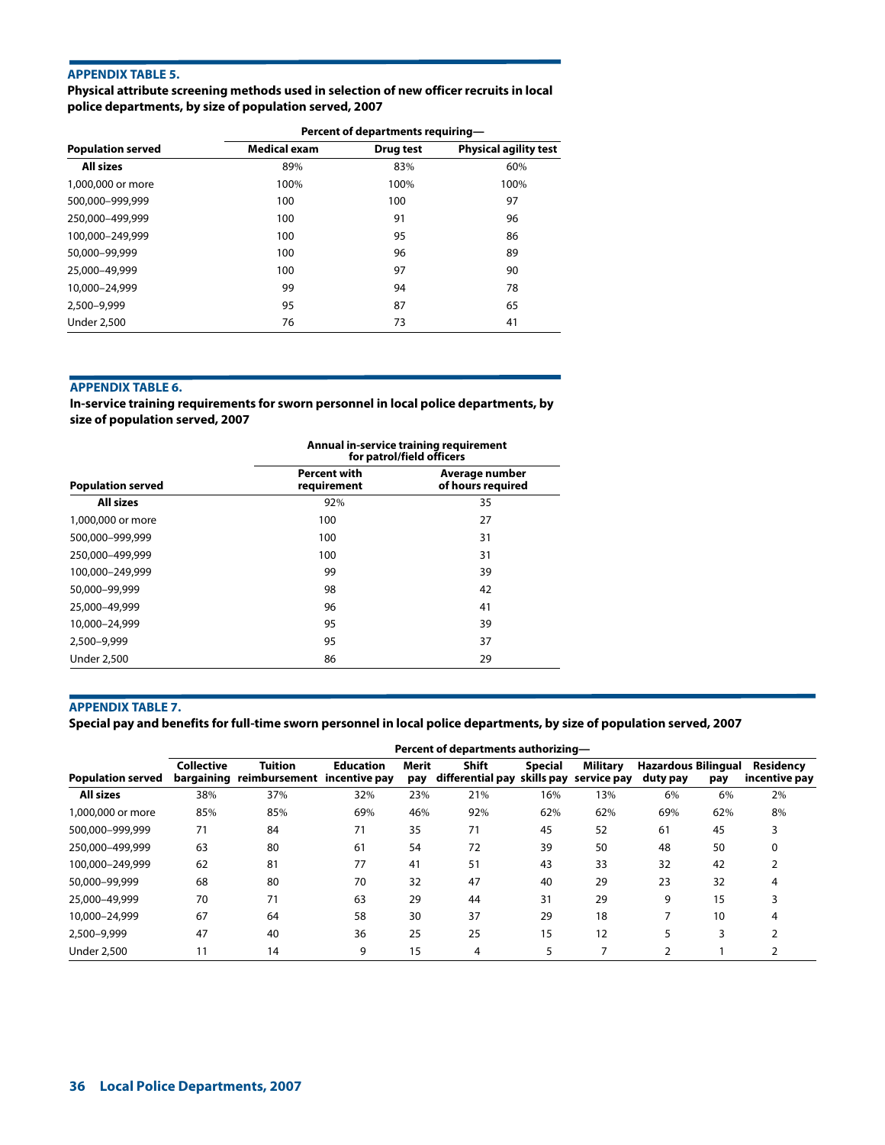## **APPENDIX TABLE 5.**

**Physical attribute screening methods used in selection of new officer recruits in local police departments, by size of population served, 2007**

|                          | Percent of departments requiring- |           |                              |  |  |  |
|--------------------------|-----------------------------------|-----------|------------------------------|--|--|--|
| <b>Population served</b> | <b>Medical exam</b>               | Drug test | <b>Physical agility test</b> |  |  |  |
| All sizes                | 89%                               | 83%       | 60%                          |  |  |  |
| 1,000,000 or more        | 100%                              | 100%      | 100%                         |  |  |  |
| 500.000-999.999          | 100                               | 100       | 97                           |  |  |  |
| 250.000-499.999          | 100                               | 91        | 96                           |  |  |  |
| 100.000-249.999          | 100                               | 95        | 86                           |  |  |  |
| 50,000-99,999            | 100                               | 96        | 89                           |  |  |  |
| 25,000-49,999            | 100                               | 97        | 90                           |  |  |  |
| 10,000-24,999            | 99                                | 94        | 78                           |  |  |  |
| 2,500-9,999              | 95                                | 87        | 65                           |  |  |  |
| <b>Under 2,500</b>       | 76                                | 73        | 41                           |  |  |  |

## **APPENDIX TABLE 6.**

**In-service training requirements for sworn personnel in local police departments, by size of population served, 2007**

|                          | Annual in-service training requirement<br>for patrol/field officers |                                     |  |  |  |
|--------------------------|---------------------------------------------------------------------|-------------------------------------|--|--|--|
| <b>Population served</b> | <b>Percent with</b><br>requirement                                  | Average number<br>of hours required |  |  |  |
| <b>All sizes</b>         | 92%                                                                 | 35                                  |  |  |  |
| 1,000,000 or more        | 100                                                                 | 27                                  |  |  |  |
| 500,000-999,999          | 100                                                                 | 31                                  |  |  |  |
| 250,000-499,999          | 100                                                                 | 31                                  |  |  |  |
| 100,000-249,999          | 99                                                                  | 39                                  |  |  |  |
| 50,000-99,999            | 98                                                                  | 42                                  |  |  |  |
| 25,000-49,999            | 96                                                                  | 41                                  |  |  |  |
| 10,000-24,999            | 95                                                                  | 39                                  |  |  |  |
| 2,500-9,999              | 95                                                                  | 37                                  |  |  |  |
| <b>Under 2,500</b>       | 86                                                                  | 29                                  |  |  |  |

## **APPENDIX TABLE 7.**

**Special pay and benefits for full-time sworn personnel in local police departments, by size of population served, 2007**

|                          | Percent of departments authorizing- |                                                          |                  |              |                                                  |         |          |                                        |     |                            |
|--------------------------|-------------------------------------|----------------------------------------------------------|------------------|--------------|--------------------------------------------------|---------|----------|----------------------------------------|-----|----------------------------|
| <b>Population served</b> | <b>Collective</b>                   | <b>Tuition</b><br>bargaining reimbursement incentive pay | <b>Education</b> | Merit<br>pay | Shift<br>differential pay skills pay service pay | Special | Military | <b>Hazardous Bilingual</b><br>duty pay | pay | Residency<br>incentive pay |
| <b>All sizes</b>         | 38%                                 | 37%                                                      | 32%              | 23%          | 21%                                              | 16%     | 13%      | 6%                                     | 6%  | 2%                         |
| 1,000,000 or more        | 85%                                 | 85%                                                      | 69%              | 46%          | 92%                                              | 62%     | 62%      | 69%                                    | 62% | 8%                         |
| 500,000-999,999          | 71                                  | 84                                                       | 71               | 35           | 71                                               | 45      | 52       | 61                                     | 45  |                            |
| 250,000-499,999          | 63                                  | 80                                                       | 61               | 54           | 72                                               | 39      | 50       | 48                                     | 50  | 0                          |
| 100,000-249,999          | 62                                  | 81                                                       | 77               | 41           | 51                                               | 43      | 33       | 32                                     | 42  |                            |
| 50,000-99,999            | 68                                  | 80                                                       | 70               | 32           | 47                                               | 40      | 29       | 23                                     | 32  |                            |
| 25,000-49,999            | 70                                  | 71                                                       | 63               | 29           | 44                                               | 31      | 29       | 9                                      | 15  |                            |
| 10.000-24.999            | 67                                  | 64                                                       | 58               | 30           | 37                                               | 29      | 18       |                                        | 10  |                            |
| 2,500-9,999              | 47                                  | 40                                                       | 36               | 25           | 25                                               | 15      | 12       | 5                                      | 3   |                            |
| Under 2,500              | 11                                  | 14                                                       | 9                | 15           | 4                                                | 5.      |          | ∍                                      |     |                            |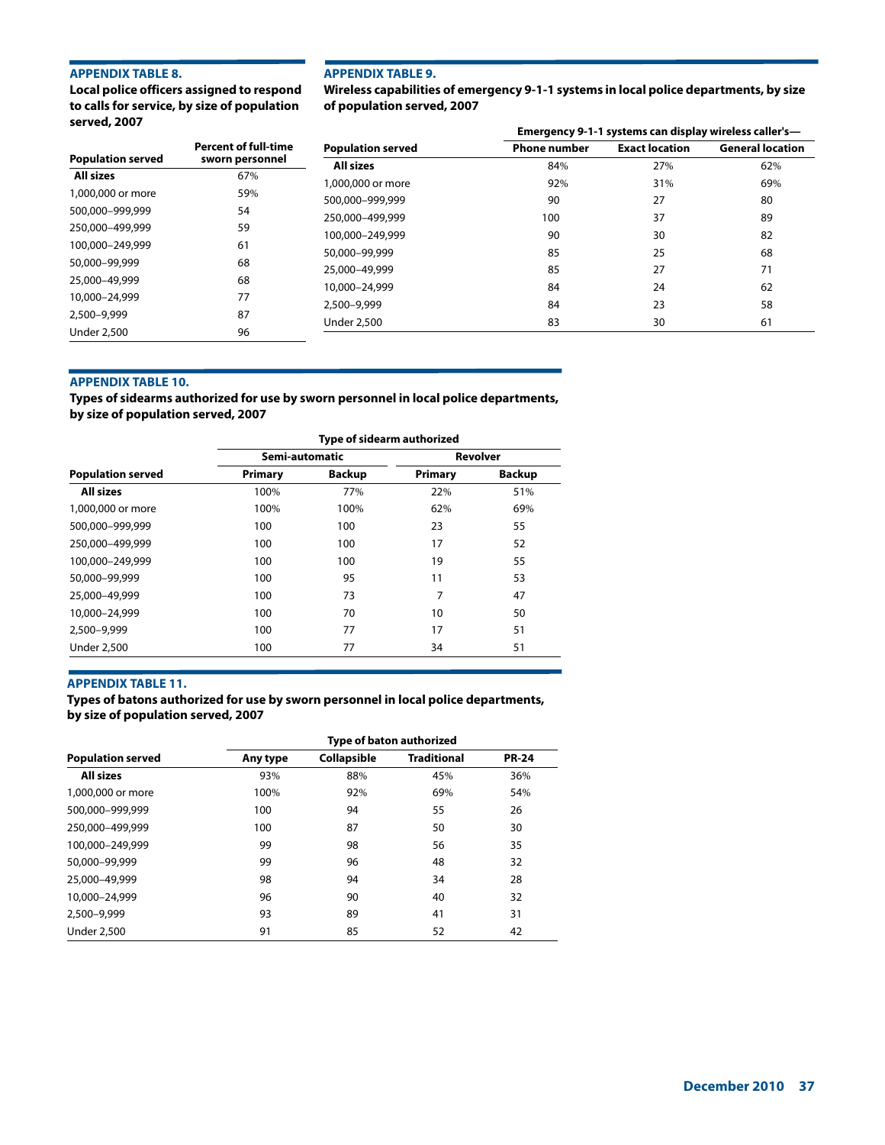## **APPENDIX TABLE 8.**

**Local police officers assigned to respond to calls for service, by size of population served, 2007**

#### **APPENDIX TABLE 9.**

**Wireless capabilities of emergency 9-1-1 systems in local police departments, by size of population served, 2007**

| $351$ yeu, $200$         |                             |                          | Emergency 9-1-1 systems can display wireless caller's- |                       |                         |  |  |
|--------------------------|-----------------------------|--------------------------|--------------------------------------------------------|-----------------------|-------------------------|--|--|
|                          | <b>Percent of full-time</b> | <b>Population served</b> | <b>Phone number</b>                                    | <b>Exact location</b> | <b>General location</b> |  |  |
| <b>Population served</b> | sworn personnel             | <b>All sizes</b>         | 84%                                                    | 27%                   | 62%                     |  |  |
| All sizes                | 67%                         | 1,000,000 or more        | 92%                                                    | 31%                   | 69%                     |  |  |
| 1,000,000 or more        | 59%                         | 500,000-999,999          | 90                                                     | 27                    | 80                      |  |  |
| 500,000-999,999          | 54                          | 250.000-499.999          | 100                                                    | 37                    | 89                      |  |  |
| 250,000-499,999          | 59                          | 100,000-249,999          | 90                                                     | 30                    | 82                      |  |  |
| 100.000-249.999          | 61                          | 50,000-99,999            | 85                                                     | 25                    | 68                      |  |  |
| 50,000-99,999            | 68                          | 25,000-49,999            | 85                                                     | 27                    | 71                      |  |  |
| 25,000-49,999            | 68                          |                          | 84                                                     | 24                    | 62                      |  |  |
| 10,000-24,999            | 77                          | 10,000-24,999            |                                                        |                       |                         |  |  |
| 2,500-9,999              | 87                          | 2,500-9,999              | 84                                                     | 23                    | 58                      |  |  |
| <b>Under 2,500</b>       | 96                          | <b>Under 2,500</b>       | 83                                                     | 30                    | 61                      |  |  |

## **APPENDIX TABLE 10.**

**Types of sidearms authorized for use by sworn personnel in local police departments, by size of population served, 2007**

|                          | Type of sidearm authorized |               |         |                 |  |  |
|--------------------------|----------------------------|---------------|---------|-----------------|--|--|
|                          | Semi-automatic             |               |         | <b>Revolver</b> |  |  |
| <b>Population served</b> | Primary                    | <b>Backup</b> | Primary | <b>Backup</b>   |  |  |
| <b>All sizes</b>         | 100%                       | 77%           | 22%     | 51%             |  |  |
| 1,000,000 or more        | 100%                       | 100%          | 62%     | 69%             |  |  |
| 500,000-999,999          | 100                        | 100           | 23      | 55              |  |  |
| 250,000-499,999          | 100                        | 100           | 17      | 52              |  |  |
| 100,000-249,999          | 100                        | 100           | 19      | 55              |  |  |
| 50,000-99,999            | 100                        | 95            | 11      | 53              |  |  |
| 25,000-49,999            | 100                        | 73            | 7       | 47              |  |  |
| 10.000-24.999            | 100                        | 70            | 10      | 50              |  |  |
| 2.500-9.999              | 100                        | 77            | 17      | 51              |  |  |
| <b>Under 2,500</b>       | 100                        | 77            | 34      | 51              |  |  |
|                          |                            |               |         |                 |  |  |

## **APPENDIX TABLE 11.**

**Types of batons authorized for use by sworn personnel in local police departments, by size of population served, 2007**

|                          | <b>Type of baton authorized</b> |             |                    |              |  |  |  |
|--------------------------|---------------------------------|-------------|--------------------|--------------|--|--|--|
| <b>Population served</b> | Any type                        | Collapsible | <b>Traditional</b> | <b>PR-24</b> |  |  |  |
| All sizes                | 93%                             | 88%         | 45%                | 36%          |  |  |  |
| 1,000,000 or more        | 100%                            | 92%         | 69%                | 54%          |  |  |  |
| 500,000-999,999          | 100                             | 94          | 55                 | 26           |  |  |  |
| 250,000-499,999          | 100                             | 87          | 50                 | 30           |  |  |  |
| 100,000-249,999          | 99                              | 98          | 56                 | 35           |  |  |  |
| 50,000-99,999            | 99                              | 96          | 48                 | 32           |  |  |  |
| 25,000-49,999            | 98                              | 94          | 34                 | 28           |  |  |  |
| 10,000-24,999            | 96                              | 90          | 40                 | 32           |  |  |  |
| 2,500-9,999              | 93                              | 89          | 41                 | 31           |  |  |  |
| <b>Under 2,500</b>       | 91                              | 85          | 52                 | 42           |  |  |  |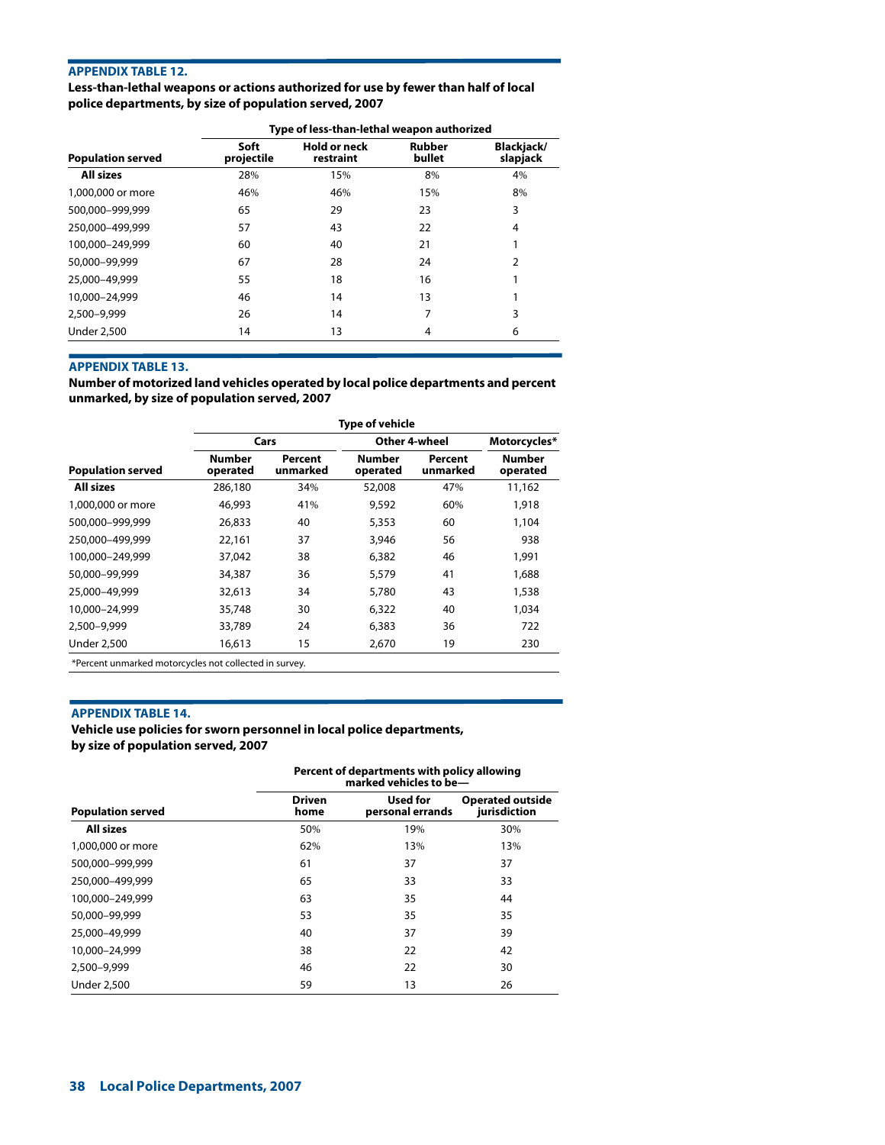## **APPENDIX TABLE 12.**

**Less-than-lethal weapons or actions authorized for use by fewer than half of local police departments, by size of population served, 2007**

| Type of less-than-lethal weapon authorized |                                  |                         |                               |  |  |
|--------------------------------------------|----------------------------------|-------------------------|-------------------------------|--|--|
| Soft<br>projectile                         | <b>Hold or neck</b><br>restraint | <b>Rubber</b><br>bullet | <b>Blackjack/</b><br>slapjack |  |  |
| 28%                                        | 15%                              | 8%                      | 4%                            |  |  |
| 46%                                        | 46%                              | 15%                     | 8%                            |  |  |
| 65                                         | 29                               | 23                      | 3                             |  |  |
| 57                                         | 43                               | 22                      | 4                             |  |  |
| 60                                         | 40                               | 21                      | 1                             |  |  |
| 67                                         | 28                               | 24                      | $\overline{2}$                |  |  |
| 55                                         | 18                               | 16                      | 1                             |  |  |
| 46                                         | 14                               | 13                      | 1                             |  |  |
| 26                                         | 14                               | 7                       | 3                             |  |  |
| 14                                         | 13                               | 4                       | 6                             |  |  |
|                                            |                                  |                         |                               |  |  |

## **APPENDIX TABLE 13.**

**Number of motorized land vehicles operated by local police departments and percent unmarked, by size of population served, 2007**

|                                                        | <b>Type of vehicle</b>    |                     |                           |                     |                    |  |
|--------------------------------------------------------|---------------------------|---------------------|---------------------------|---------------------|--------------------|--|
|                                                        |                           | Cars                |                           | Other 4-wheel       |                    |  |
| <b>Population served</b>                               | <b>Number</b><br>operated | Percent<br>unmarked | <b>Number</b><br>operated | Percent<br>unmarked | Number<br>operated |  |
| <b>All sizes</b>                                       | 286,180                   | 34%                 | 52,008                    | 47%                 | 11,162             |  |
| 1,000,000 or more                                      | 46,993                    | 41%                 | 9,592                     | 60%                 | 1,918              |  |
| 500,000-999,999                                        | 26,833                    | 40                  | 5,353                     | 60                  | 1,104              |  |
| 250.000-499.999                                        | 22,161                    | 37                  | 3,946                     | 56                  | 938                |  |
| 100.000-249.999                                        | 37,042                    | 38                  | 6,382                     | 46                  | 1,991              |  |
| 50,000-99,999                                          | 34,387                    | 36                  | 5,579                     | 41                  | 1,688              |  |
| 25,000-49,999                                          | 32,613                    | 34                  | 5,780                     | 43                  | 1,538              |  |
| 10,000-24,999                                          | 35,748                    | 30                  | 6,322                     | 40                  | 1,034              |  |
| 2,500-9,999                                            | 33,789                    | 24                  | 6,383                     | 36                  | 722                |  |
| <b>Under 2,500</b>                                     | 16,613                    | 15                  | 2,670                     | 19                  | 230                |  |
| *Percent unmarked motorcycles not collected in survey. |                           |                     |                           |                     |                    |  |

#### **APPENDIX TABLE 14.**

**Vehicle use policies for sworn personnel in local police departments, by size of population served, 2007**

|                          | Percent of departments with policy allowing<br>marked vehicles to be- |                              |                                         |  |  |
|--------------------------|-----------------------------------------------------------------------|------------------------------|-----------------------------------------|--|--|
| <b>Population served</b> | <b>Driven</b><br>home                                                 | Used for<br>personal errands | <b>Operated outside</b><br>jurisdiction |  |  |
| <b>All sizes</b>         | 50%                                                                   | 19%                          | 30%                                     |  |  |
| 1,000,000 or more        | 62%                                                                   | 13%                          | 13%                                     |  |  |
| 500.000-999.999          | 61                                                                    | 37                           | 37                                      |  |  |
| 250.000-499.999          | 65                                                                    | 33                           | 33                                      |  |  |
| 100.000-249.999          | 63                                                                    | 35                           | 44                                      |  |  |
| 50,000-99,999            | 53                                                                    | 35                           | 35                                      |  |  |
| 25,000-49,999            | 40                                                                    | 37                           | 39                                      |  |  |
| 10,000-24,999            | 38                                                                    | 22                           | 42                                      |  |  |
| 2,500-9,999              | 46                                                                    | 22                           | 30                                      |  |  |
| <b>Under 2,500</b>       | 59                                                                    | 13                           | 26                                      |  |  |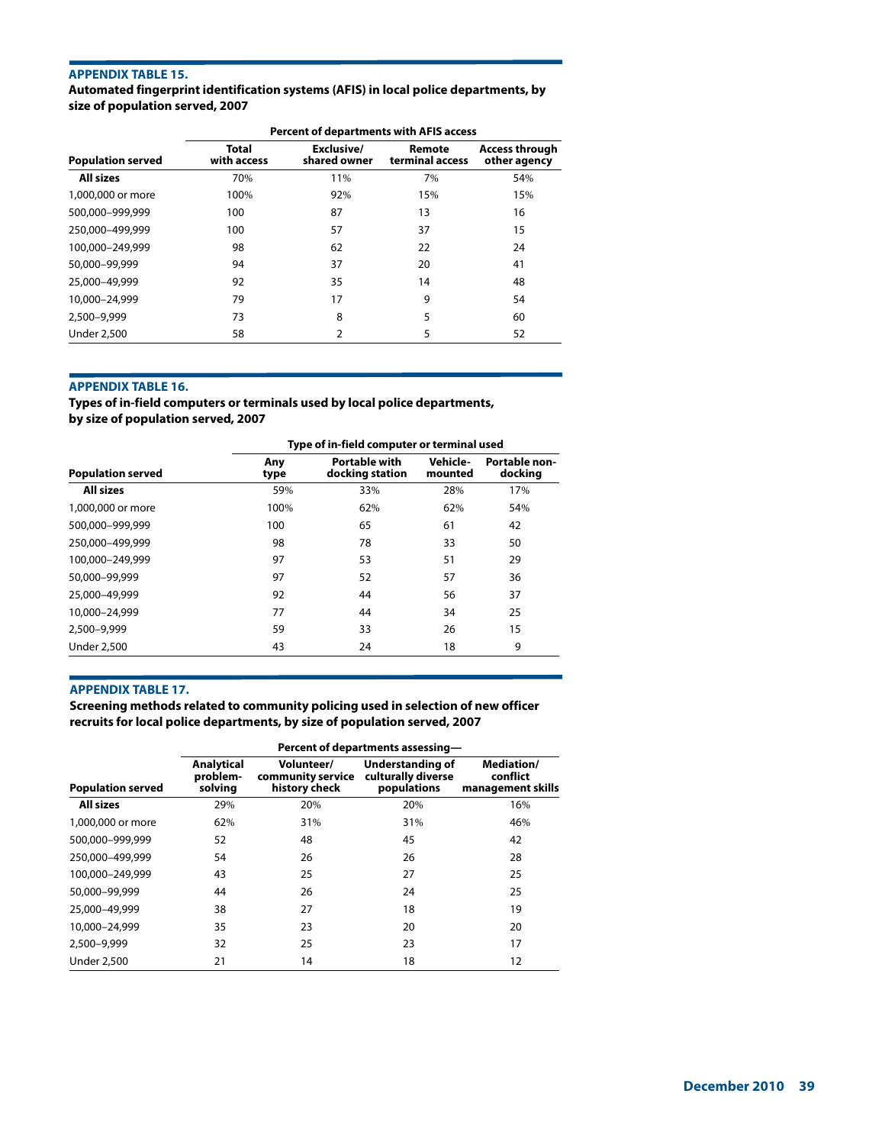## **APPENDIX TABLE 15.**

**Automated fingerprint identification systems (AFIS) in local police departments, by size of population served, 2007**

|                          | <b>Percent of departments with AFIS access</b> |                            |                           |                                       |  |  |
|--------------------------|------------------------------------------------|----------------------------|---------------------------|---------------------------------------|--|--|
| <b>Population served</b> | Total<br>with access                           | Exclusive/<br>shared owner | Remote<br>terminal access | <b>Access through</b><br>other agency |  |  |
| <b>All sizes</b>         | 70%                                            | 11%                        | 7%                        | 54%                                   |  |  |
| 1,000,000 or more        | 100%                                           | 92%                        | 15%                       | 15%                                   |  |  |
| 500.000-999.999          | 100                                            | 87                         | 13                        | 16                                    |  |  |
| 250,000-499,999          | 100                                            | 57                         | 37                        | 15                                    |  |  |
| 100.000-249.999          | 98                                             | 62                         | 22                        | 24                                    |  |  |
| 50,000-99,999            | 94                                             | 37                         | 20                        | 41                                    |  |  |
| 25,000-49,999            | 92                                             | 35                         | 14                        | 48                                    |  |  |
| 10,000-24,999            | 79                                             | 17                         | 9                         | 54                                    |  |  |
| 2.500-9.999              | 73                                             | 8                          | 5                         | 60                                    |  |  |
| <b>Under 2,500</b>       | 58                                             | 2                          | 5                         | 52                                    |  |  |

## **APPENDIX TABLE 16.**

**Types of in-field computers or terminals used by local police departments, by size of population served, 2007**

**Type of in-field computer or terminal used Population served Any type Portable with docking station Vehiclemounted Portable nondocking All sizes** 59% 33% 28% 17% 1,000,000 or more 100% 100% 62% 62% 62% 54% 500,000–999,999 100 65 61 42 250,000–499,999 98 78 33 50 100,000–249,999 97 53 51 29 50,000–99,999 97 52 57 36 25,000–49,999 92 44 56 37 10,000–24,999 77 44 34 25 2,500–9,999 59 33 26 15 Under 2,500 **43** 24 18 9

#### **APPENDIX TABLE 17.**

**Screening methods related to community policing used in selection of new officer recruits for local police departments, by size of population served, 2007**

|                          | Percent of departments assessing- |                                                  |                                                       |                                                    |  |  |
|--------------------------|-----------------------------------|--------------------------------------------------|-------------------------------------------------------|----------------------------------------------------|--|--|
| <b>Population served</b> | Analytical<br>problem-<br>solving | Volunteer/<br>community service<br>history check | Understanding of<br>culturally diverse<br>populations | <b>Mediation/</b><br>conflict<br>management skills |  |  |
| <b>All sizes</b>         | 29%                               | 20%                                              | 20%                                                   | 16%                                                |  |  |
| 1,000,000 or more        | 62%                               | 31%                                              | 31%                                                   | 46%                                                |  |  |
| 500.000-999.999          | 52                                | 48                                               | 45                                                    | 42                                                 |  |  |
| 250,000-499,999          | 54                                | 26                                               | 26                                                    | 28                                                 |  |  |
| 100.000-249.999          | 43                                | 25                                               | 27                                                    | 25                                                 |  |  |
| 50,000-99,999            | 44                                | 26                                               | 24                                                    | 25                                                 |  |  |
| 25,000-49,999            | 38                                | 27                                               | 18                                                    | 19                                                 |  |  |
| 10,000-24,999            | 35                                | 23                                               | 20                                                    | 20                                                 |  |  |
| 2,500-9,999              | 32                                | 25                                               | 23                                                    | 17                                                 |  |  |
| <b>Under 2,500</b>       | 21                                | 14                                               | 18                                                    | 12                                                 |  |  |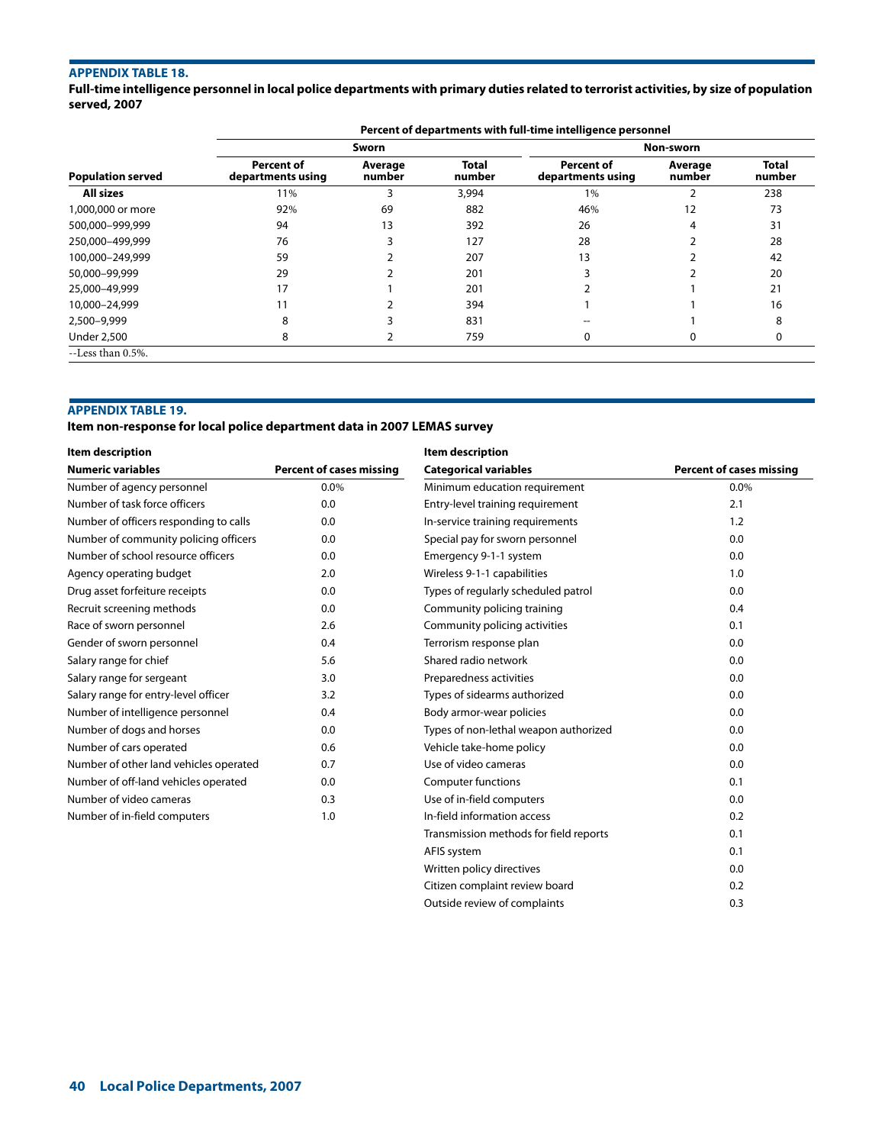## **APPENDIX TABLE 18.**

**Full-time intelligence personnel in local police departments with primary duties related to terrorist activities, by size of population served, 2007**

|                          | Percent of departments with full-time intelligence personnel |                   |                        |                                        |                   |                        |  |
|--------------------------|--------------------------------------------------------------|-------------------|------------------------|----------------------------------------|-------------------|------------------------|--|
|                          |                                                              | Sworn             |                        |                                        | Non-sworn         |                        |  |
| <b>Population served</b> | Percent of<br>departments using                              | Average<br>number | <b>Total</b><br>number | <b>Percent of</b><br>departments using | Average<br>number | <b>Total</b><br>number |  |
| All sizes                | 11%                                                          |                   | 3,994                  | 1%                                     | $\mathcal{P}$     | 238                    |  |
| 1,000,000 or more        | 92%                                                          | 69                | 882                    | 46%                                    | 12                | 73                     |  |
| 500,000-999,999          | 94                                                           | 13                | 392                    | 26                                     | 4                 | 31                     |  |
| 250.000-499.999          | 76                                                           |                   | 127                    | 28                                     |                   | 28                     |  |
| 100,000-249,999          | 59                                                           |                   | 207                    | 13                                     |                   | 42                     |  |
| 50,000-99,999            | 29                                                           |                   | 201                    |                                        |                   | 20                     |  |
| 25,000-49,999            | 17                                                           |                   | 201                    |                                        |                   | 21                     |  |
| 10,000-24,999            |                                                              |                   | 394                    |                                        |                   | 16                     |  |
| 2,500-9,999              | 8                                                            |                   | 831                    |                                        |                   | я                      |  |
| <b>Under 2,500</b>       | 8                                                            |                   | 759                    | 0                                      | 0                 | 0                      |  |
| --Less than 0.5%.        |                                                              |                   |                        |                                        |                   |                        |  |

## **APPENDIX TABLE 19.**

**Item non-response for local police department data in 2007 LEMAS survey**

| <b>Item description</b>                |                                 | Item description                       |                                 |
|----------------------------------------|---------------------------------|----------------------------------------|---------------------------------|
| <b>Numeric variables</b>               | <b>Percent of cases missing</b> | <b>Categorical variables</b>           | <b>Percent of cases missing</b> |
| Number of agency personnel             | $0.0\%$                         | Minimum education requirement          | 0.0%                            |
| Number of task force officers          | 0.0                             | Entry-level training requirement       | 2.1                             |
| Number of officers responding to calls | 0.0                             | In-service training requirements       | 1.2                             |
| Number of community policing officers  | 0.0                             | Special pay for sworn personnel        | 0.0                             |
| Number of school resource officers     | 0.0                             | Emergency 9-1-1 system                 | 0.0                             |
| Agency operating budget                | 2.0                             | Wireless 9-1-1 capabilities            | 1.0                             |
| Drug asset forfeiture receipts         | 0.0                             | Types of regularly scheduled patrol    | 0.0                             |
| Recruit screening methods              | 0.0                             | Community policing training            | 0.4                             |
| Race of sworn personnel                | 2.6                             | Community policing activities          | 0.1                             |
| Gender of sworn personnel              | 0.4                             | Terrorism response plan                | 0.0                             |
| Salary range for chief                 | 5.6                             | Shared radio network                   | 0.0                             |
| Salary range for sergeant              | 3.0                             | Preparedness activities                | 0.0                             |
| Salary range for entry-level officer   | 3.2                             | Types of sidearms authorized           | 0.0                             |
| Number of intelligence personnel       | 0.4                             | Body armor-wear policies               | 0.0                             |
| Number of dogs and horses              | 0.0                             | Types of non-lethal weapon authorized  | 0.0                             |
| Number of cars operated                | 0.6                             | Vehicle take-home policy               | 0.0                             |
| Number of other land vehicles operated | 0.7                             | Use of video cameras                   | 0.0                             |
| Number of off-land vehicles operated   | 0.0                             | <b>Computer functions</b>              | 0.1                             |
| Number of video cameras                | 0.3                             | Use of in-field computers              | 0.0                             |
| Number of in-field computers           | 1.0                             | In-field information access            | 0.2                             |
|                                        |                                 | Transmission methods for field reports | 0.1                             |
|                                        |                                 | AFIS system                            | 0.1                             |
|                                        |                                 | Written policy directives              | 0.0                             |

Citizen complaint review board **1996** Citizen complaint review board Outside review of complaints 0.3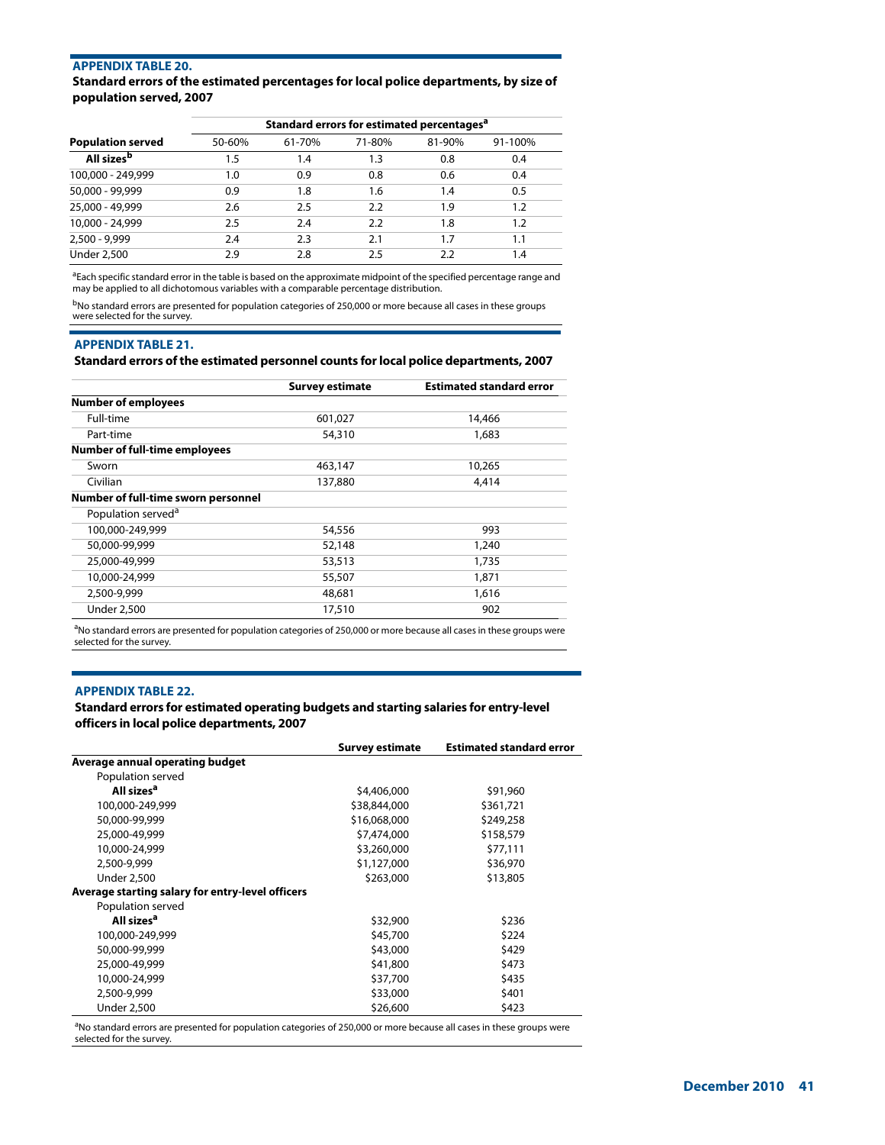## **APPENDIX TABLE 20.**

## **Standard errors of the estimated percentages for local police departments, by size of population served, 2007**

|                          | Standard errors for estimated percentages <sup>a</sup> |        |        |        |         |
|--------------------------|--------------------------------------------------------|--------|--------|--------|---------|
| <b>Population served</b> | 50-60%                                                 | 61-70% | 71-80% | 81-90% | 91-100% |
| All sizes <sup>b</sup>   | 1.5                                                    | 1.4    | 1.3    | 0.8    | 0.4     |
| 100,000 - 249,999        | 1.0                                                    | 0.9    | 0.8    | 0.6    | 0.4     |
| 50,000 - 99,999          | 0.9                                                    | 1.8    | 1.6    | 1.4    | 0.5     |
| 25,000 - 49,999          | 2.6                                                    | 2.5    | 2.2    | 1.9    | 1.2     |
| 10,000 - 24,999          | 2.5                                                    | 2.4    | 2.2    | 1.8    | 1.2     |
| $2,500 - 9,999$          | 2.4                                                    | 2.3    | 2.1    | 1.7    | 1.1     |
| <b>Under 2,500</b>       | 2.9                                                    | 2.8    | 2.5    | 2.2    | 1.4     |

<sup>a</sup>Each specific standard error in the table is based on the approximate midpoint of the specified percentage range and may be applied to all dichotomous variables with a comparable percentage distribution.

<sup>b</sup>No standard errors are presented for population categories of 250,000 or more because all cases in these groups were selected for the survey.

## **APPENDIX TABLE 21.**

#### **Standard errors of the estimated personnel counts for local police departments, 2007**

|                                      | <b>Survey estimate</b> | <b>Estimated standard error</b> |
|--------------------------------------|------------------------|---------------------------------|
| <b>Number of employees</b>           |                        |                                 |
| Full-time                            | 601,027                | 14,466                          |
| Part-time                            | 54,310                 | 1,683                           |
| <b>Number of full-time employees</b> |                        |                                 |
| Sworn                                | 463,147                | 10,265                          |
| Civilian                             | 137,880                | 4,414                           |
| Number of full-time sworn personnel  |                        |                                 |
| Population served <sup>a</sup>       |                        |                                 |
| 100,000-249,999                      | 54,556                 | 993                             |
| 50,000-99,999                        | 52,148                 | 1,240                           |
| 25,000-49,999                        | 53,513                 | 1,735                           |
| 10,000-24,999                        | 55,507                 | 1,871                           |
| 2,500-9,999                          | 48,681                 | 1,616                           |
| <b>Under 2,500</b>                   | 17,510                 | 902                             |

<sup>a</sup>No standard errors are presented for population categories of 250,000 or more because all cases in these groups were selected for the survey.

## **APPENDIX TABLE 22.**

## **Standard errors for estimated operating budgets and starting salaries for entry-level officers in local police departments, 2007**

|                                                  | <b>Survey estimate</b> | <b>Estimated standard error</b> |
|--------------------------------------------------|------------------------|---------------------------------|
| Average annual operating budget                  |                        |                                 |
| Population served                                |                        |                                 |
| All sizes <sup>a</sup>                           | \$4,406,000            | \$91,960                        |
| 100,000-249,999                                  | \$38,844,000           | \$361,721                       |
| 50,000-99,999                                    | \$16,068,000           | \$249,258                       |
| 25,000-49,999                                    | \$7,474,000            | \$158,579                       |
| 10,000-24,999                                    | \$3,260,000            | \$77,111                        |
| 2,500-9,999                                      | \$1,127,000            | \$36,970                        |
| <b>Under 2,500</b>                               | \$263,000              | \$13,805                        |
| Average starting salary for entry-level officers |                        |                                 |
| Population served                                |                        |                                 |
| All sizes <sup>a</sup>                           | \$32,900               | \$236                           |
| 100,000-249,999                                  | \$45,700               | \$224                           |
| 50,000-99,999                                    | \$43,000               | \$429                           |
| 25,000-49,999                                    | \$41,800               | \$473                           |
| 10,000-24,999                                    | \$37,700               | \$435                           |
| 2,500-9,999                                      | \$33,000               | \$401                           |
| <b>Under 2,500</b>                               | \$26,600               | \$423                           |

<sup>a</sup>No standard errors are presented for population categories of 250,000 or more because all cases in these groups were selected for the survey.